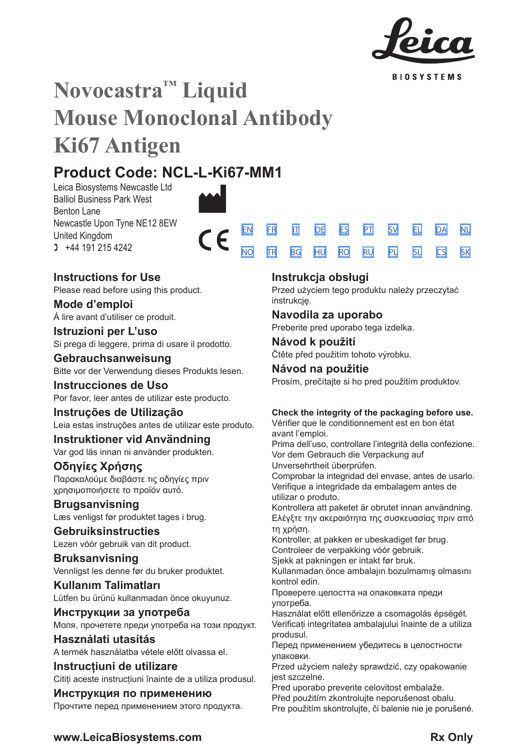

**BIOSYSTEMS** 

[SV](#page-20-0) [EL](#page-23-0) [DA](#page-26-0) [PL](#page-50-0) [SL](#page-53-0) [CS](#page-56-0)

[NL](#page-29-0)

[SK](#page-59-0)

# **Novocastra™ Liquid Mouse Monoclonal Antibody Ki67 Antigen**

# **Product Code: NCL-L-Ki67-MM1**

Leica Biosystems Newcastle Ltd Balliol Business Park West Benton Lane Newcastle Upon Tyne NE12 8EW United Kingdom  $1 +44 191 215 4242$ 



# **Instructions for Use**

Please read before using this product.

**Mode d'emploi** Á lire avant d'utiliser ce produit.

**Istruzioni per L'uso** Si prega di leggere, prima di usare il prodotto.

# **Gebrauchsanweisung**

Bitte vor der Verwendung dieses Produkts lesen.

**Instrucciones de Uso** Por favor, leer antes de utilizar este producto.

**Instruções de Utilização** Leia estas instruções antes de utilizar este produto.

**Instruktioner vid Användning** Var god läs innan ni använder produkten.

# **Οδηγίες Χρήσης**

Παρακαλούμε διαβάστε τις οδηγίες πριν χρησιμοποιήσετε το προϊόν αυτό.

**Brugsanvisning** Læs venligst før produktet tages i brug.

**Gebruiksinstructies** Lezen vóór gebruik van dit product.

**Bruksanvisning** Vennligst les denne før du bruker produktet.

**Kullanım Talimatları** Lütfen bu ürünü kullanmadan önce okuyunuz.

**Инструкции за употреба** Моля, прочетете преди употреба на този продукт.

**Használati utasítás** A termék használatba vétele előtt olvassa el.

**Instrucțiuni de utilizare** Citiți aceste instrucțiuni înainte de a utiliza produsul.

**Инструкция по применению** Прочтите перед применением этого продукта.

# **Instrukcja obsługi**

Przed użyciem tego produktu należy przeczytać instrukcie.

# **Navodila za uporabo**

Preberite pred uporabo tega izdelka.

# **Návod k použití**

Čtěte před použitím tohoto výrobku.

# **Návod na použitie** Prosím, prečítajte si ho pred použitím produktov.

# **Check the integrity of the packaging before use.**

Vérifier que le conditionnement est en bon état avant l'emploi.

Prima dell'uso, controllare l'integrità della confezione. Vor dem Gebrauch die Verpackung auf Unversehrtheit überprüfen. Comprobar la integridad del envase, antes de usarlo. Verifique a integridade da embalagem antes de

utilizar o produto.

Kontrollera att paketet är obrutet innan användning. Ελέγξτε την ακεραιότητα της συσκευασίας πριν από τη χρήση.

Kontroller, at pakken er ubeskadiget før brug.

Controleer de verpakking vóór gebruik.

Sjekk at pakningen er intakt før bruk.

Kullanmadan önce ambalajın bozulmamış olmasını kontrol edin.

Проверете целостта на опаковката преди употреба.

Használat előtt ellenőrizze a csomagolás épségét. Verificați integritatea ambalajului înainte de a utiliza produsul.

.<br>Перед применением убедитесь в целостности упаковки.

Przed użyciem należy sprawdzić, czy opakowanie jest szczelne.

Pred uporabo preverite celovitost embalaže.

Před použitím zkontrolujte neporušenost obalu. Pre použitím skontrolujte, či balenie nie je porušené.

# **www.LeicaBiosystems.com Rx Only**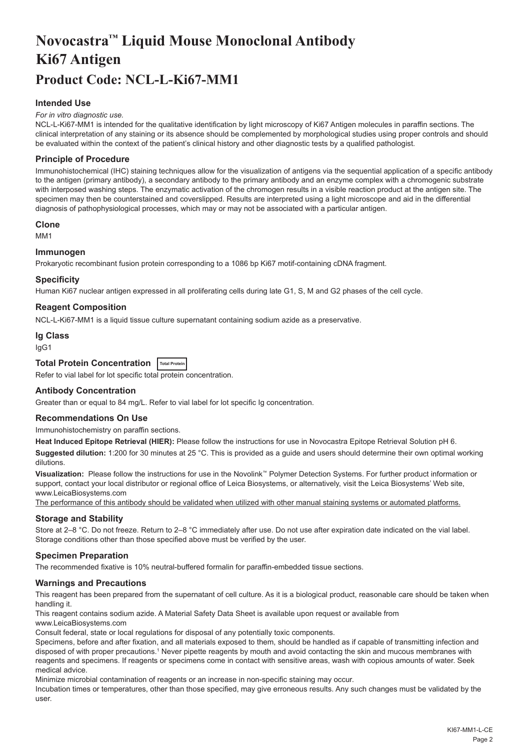# <span id="page-2-0"></span>**Novocastra™ Liquid Mouse Monoclonal Antibody Ki67 Antigen Product Code: NCL-L-Ki67-MM1**

# **Intended Use**

#### *For in vitro diagnostic use.*

NCL-L-Ki67-MM1 is intended for the qualitative identification by light microscopy of Ki67 Antigen molecules in paraffin sections. The clinical interpretation of any staining or its absence should be complemented by morphological studies using proper controls and should be evaluated within the context of the patient's clinical history and other diagnostic tests by a qualified pathologist.

#### **Principle of Procedure**

Immunohistochemical (IHC) staining techniques allow for the visualization of antigens via the sequential application of a specific antibody to the antigen (primary antibody), a secondary antibody to the primary antibody and an enzyme complex with a chromogenic substrate with interposed washing steps. The enzymatic activation of the chromogen results in a visible reaction product at the antigen site. The specimen may then be counterstained and coverslipped. Results are interpreted using a light microscope and aid in the differential diagnosis of pathophysiological processes, which may or may not be associated with a particular antigen.

#### **Clone**

M<sub>M1</sub>

#### **Immunogen**

Prokaryotic recombinant fusion protein corresponding to a 1086 bp Ki67 motif-containing cDNA fragment.

#### **Specificity**

Human Ki67 nuclear antigen expressed in all proliferating cells during late G1, S, M and G2 phases of the cell cycle.

# **Reagent Composition**

NCL-L-Ki67-MM1 is a liquid tissue culture supernatant containing sodium azide as a preservative.

#### **Ig Class**

IgG1

# **Total Protein Concentration Total Protein**

Refer to vial label for lot specific total protein concentration.

#### **Antibody Concentration**

Greater than or equal to 84 mg/L. Refer to vial label for lot specific Ig concentration.

# **Recommendations On Use**

Immunohistochemistry on paraffin sections.

**Heat Induced Epitope Retrieval (HIER):** Please follow the instructions for use in Novocastra Epitope Retrieval Solution pH 6.

**Suggested dilution:** 1:200 for 30 minutes at 25 °C. This is provided as a guide and users should determine their own optimal working dilutions.

**Visualization:** Please follow the instructions for use in the Novolink™ Polymer Detection Systems. For further product information or support, contact your local distributor or regional office of Leica Biosystems, or alternatively, visit the Leica Biosystems' Web site, www.LeicaBiosystems.com

The performance of this antibody should be validated when utilized with other manual staining systems or automated platforms.

#### **Storage and Stability**

Store at 2–8 °C. Do not freeze. Return to 2–8 °C immediately after use. Do not use after expiration date indicated on the vial label. Storage conditions other than those specified above must be verified by the user.

# **Specimen Preparation**

The recommended fixative is 10% neutral-buffered formalin for paraffin-embedded tissue sections.

# **Warnings and Precautions**

This reagent has been prepared from the supernatant of cell culture. As it is a biological product, reasonable care should be taken when handling it.

This reagent contains sodium azide. A Material Safety Data Sheet is available upon request or available from www.LeicaBiosystems.com

Consult federal, state or local regulations for disposal of any potentially toxic components.

Specimens, before and after fixation, and all materials exposed to them, should be handled as if capable of transmitting infection and disposed of with proper precautions.1 Never pipette reagents by mouth and avoid contacting the skin and mucous membranes with reagents and specimens. If reagents or specimens come in contact with sensitive areas, wash with copious amounts of water. Seek medical advice.

Minimize microbial contamination of reagents or an increase in non-specific staining may occur.

Incubation times or temperatures, other than those specified, may give erroneous results. Any such changes must be validated by the user.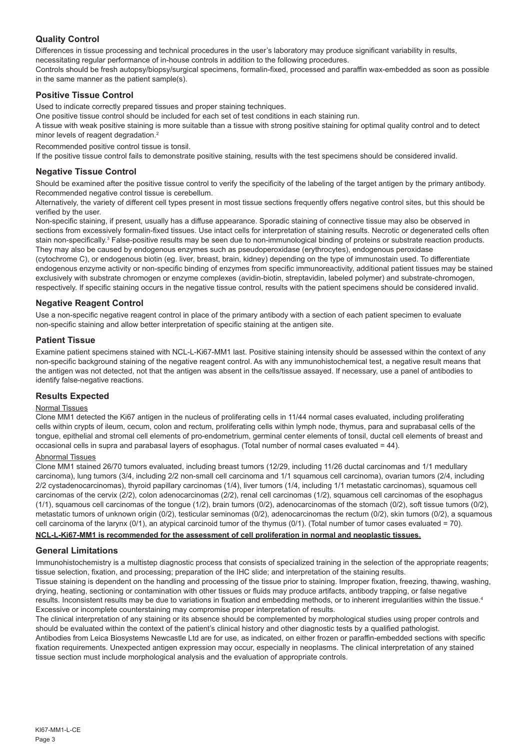# **Quality Control**

Differences in tissue processing and technical procedures in the user's laboratory may produce significant variability in results, necessitating regular performance of in-house controls in addition to the following procedures.

Controls should be fresh autopsy/biopsy/surgical specimens, formalin-fixed, processed and paraffin wax-embedded as soon as possible in the same manner as the patient sample(s).

# **Positive Tissue Control**

Used to indicate correctly prepared tissues and proper staining techniques.

One positive tissue control should be included for each set of test conditions in each staining run.

A tissue with weak positive staining is more suitable than a tissue with strong positive staining for optimal quality control and to detect minor levels of reagent degradation.<sup>2</sup>

Recommended positive control tissue is tonsil.

If the positive tissue control fails to demonstrate positive staining, results with the test specimens should be considered invalid.

# **Negative Tissue Control**

Should be examined after the positive tissue control to verify the specificity of the labeling of the target antigen by the primary antibody. Recommended negative control tissue is cerebellum.

Alternatively, the variety of different cell types present in most tissue sections frequently offers negative control sites, but this should be verified by the user.

Non-specific staining, if present, usually has a diffuse appearance. Sporadic staining of connective tissue may also be observed in sections from excessively formalin-fixed tissues. Use intact cells for interpretation of staining results. Necrotic or degenerated cells often stain non-specifically.<sup>3</sup> False-positive results may be seen due to non-immunological binding of proteins or substrate reaction products. They may also be caused by endogenous enzymes such as pseudoperoxidase (erythrocytes), endogenous peroxidase

(cytochrome C), or endogenous biotin (eg. liver, breast, brain, kidney) depending on the type of immunostain used. To differentiate endogenous enzyme activity or non-specific binding of enzymes from specific immunoreactivity, additional patient tissues may be stained exclusively with substrate chromogen or enzyme complexes (avidin-biotin, streptavidin, labeled polymer) and substrate-chromogen, respectively. If specific staining occurs in the negative tissue control, results with the patient specimens should be considered invalid.

# **Negative Reagent Control**

Use a non-specific negative reagent control in place of the primary antibody with a section of each patient specimen to evaluate non-specific staining and allow better interpretation of specific staining at the antigen site.

# **Patient Tissue**

Examine patient specimens stained with NCL-L-Ki67-MM1 last. Positive staining intensity should be assessed within the context of any non-specific background staining of the negative reagent control. As with any immunohistochemical test, a negative result means that the antigen was not detected, not that the antigen was absent in the cells/tissue assayed. If necessary, use a panel of antibodies to identify false-negative reactions.

# **Results Expected**

# Normal Tissues

Clone MM1 detected the Ki67 antigen in the nucleus of proliferating cells in 11/44 normal cases evaluated, including proliferating cells within crypts of ileum, cecum, colon and rectum, proliferating cells within lymph node, thymus, para and suprabasal cells of the tongue, epithelial and stromal cell elements of pro-endometrium, germinal center elements of tonsil, ductal cell elements of breast and occasional cells in supra and parabasal layers of esophagus. (Total number of normal cases evaluated = 44).

#### Abnormal Tissues

Clone MM1 stained 26/70 tumors evaluated, including breast tumors (12/29, including 11/26 ductal carcinomas and 1/1 medullary carcinoma), lung tumors (3/4, including 2/2 non-small cell carcinoma and 1/1 squamous cell carcinoma), ovarian tumors (2/4, including 2/2 cystadenocarcinomas), thyroid papillary carcinomas (1/4), liver tumors (1/4, including 1/1 metastatic carcinomas), squamous cell carcinomas of the cervix (2/2), colon adenocarcinomas (2/2), renal cell carcinomas (1/2), squamous cell carcinomas of the esophagus (1/1), squamous cell carcinomas of the tongue (1/2), brain tumors (0/2), adenocarcinomas of the stomach (0/2), soft tissue tumors (0/2), metastatic tumors of unknown origin (0/2), testicular seminomas (0/2), adenocarcinomas the rectum (0/2), skin tumors (0/2), a squamous cell carcinoma of the larynx (0/1), an atypical carcinoid tumor of the thymus (0/1). (Total number of tumor cases evaluated = 70).

# **NCL-L-Ki67-MM1 is recommended for the assessment of cell proliferation in normal and neoplastic tissues.**

# **General Limitations**

Immunohistochemistry is a multistep diagnostic process that consists of specialized training in the selection of the appropriate reagents; tissue selection, fixation, and processing; preparation of the IHC slide; and interpretation of the staining results.

Tissue staining is dependent on the handling and processing of the tissue prior to staining. Improper fixation, freezing, thawing, washing, drying, heating, sectioning or contamination with other tissues or fluids may produce artifacts, antibody trapping, or false negative results. Inconsistent results may be due to variations in fixation and embedding methods, or to inherent irregularities within the tissue.4 Excessive or incomplete counterstaining may compromise proper interpretation of results.

The clinical interpretation of any staining or its absence should be complemented by morphological studies using proper controls and should be evaluated within the context of the patient's clinical history and other diagnostic tests by a qualified pathologist.

Antibodies from Leica Biosystems Newcastle Ltd are for use, as indicated, on either frozen or paraffin-embedded sections with specific fixation requirements. Unexpected antigen expression may occur, especially in neoplasms. The clinical interpretation of any stained tissue section must include morphological analysis and the evaluation of appropriate controls.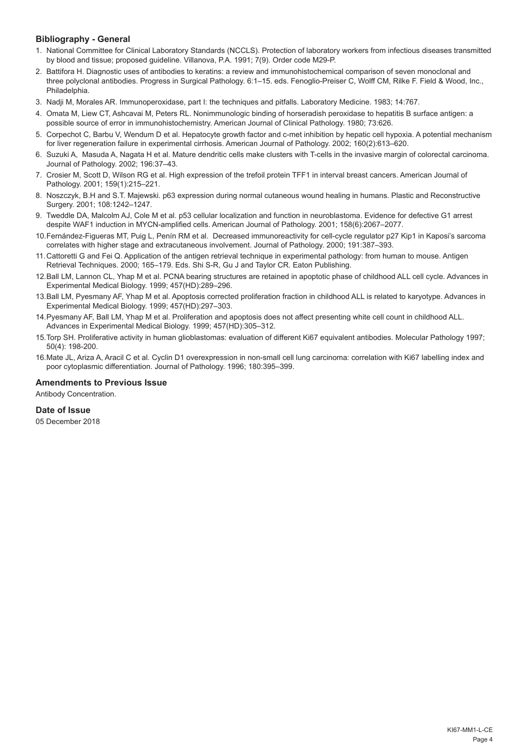# **Bibliography - General**

- 1. National Committee for Clinical Laboratory Standards (NCCLS). Protection of laboratory workers from infectious diseases transmitted by blood and tissue; proposed guideline. Villanova, P.A. 1991; 7(9). Order code M29-P.
- 2. Battifora H. Diagnostic uses of antibodies to keratins: a review and immunohistochemical comparison of seven monoclonal and three polyclonal antibodies. Progress in Surgical Pathology. 6:1–15. eds. Fenoglio-Preiser C, Wolff CM, Rilke F. Field & Wood, Inc., Philadelphia.
- 3. Nadji M, Morales AR. Immunoperoxidase, part I: the techniques and pitfalls. Laboratory Medicine. 1983; 14:767.
- 4. Omata M, Liew CT, Ashcavai M, Peters RL. Nonimmunologic binding of horseradish peroxidase to hepatitis B surface antigen: a possible source of error in immunohistochemistry. American Journal of Clinical Pathology. 1980; 73:626.
- 5. Corpechot C, Barbu V, Wendum D et al. Hepatocyte growth factor and c-met inhibition by hepatic cell hypoxia. A potential mechanism for liver regeneration failure in experimental cirrhosis. American Journal of Pathology. 2002; 160(2):613–620.
- 6. Suzuki A, Masuda A, Nagata H et al. Mature dendritic cells make clusters with T-cells in the invasive margin of colorectal carcinoma. Journal of Pathology. 2002; 196:37–43.
- 7. Crosier M, Scott D, Wilson RG et al. High expression of the trefoil protein TFF1 in interval breast cancers. American Journal of Pathology. 2001; 159(1):215–221.
- 8. Noszczyk, B.H and S.T. Majewski. p63 expression during normal cutaneous wound healing in humans. Plastic and Reconstructive Surgery. 2001; 108:1242–1247.
- 9. Tweddle DA, Malcolm AJ, Cole M et al. p53 cellular localization and function in neuroblastoma. Evidence for defective G1 arrest despite WAF1 induction in MYCN-amplified cells. American Journal of Pathology. 2001; 158(6):2067–2077.
- 10.Fernández-Figueras MT, Puig L, Penín RM et al. Decreased immunoreactivity for cell-cycle regulator p27 Kip1 in Kaposi's sarcoma correlates with higher stage and extracutaneous involvement. Journal of Pathology. 2000; 191:387–393.
- 11.Cattoretti G and Fei Q. Application of the antigen retrieval technique in experimental pathology: from human to mouse. Antigen Retrieval Techniques. 2000; 165–179. Eds. Shi S-R, Gu J and Taylor CR. Eaton Publishing.
- 12.Ball LM, Lannon CL, Yhap M et al. PCNA bearing structures are retained in apoptotic phase of childhood ALL cell cycle. Advances in Experimental Medical Biology. 1999; 457(HD):289–296.
- 13.Ball LM, Pyesmany AF, Yhap M et al. Apoptosis corrected proliferation fraction in childhood ALL is related to karyotype. Advances in Experimental Medical Biology. 1999; 457(HD):297–303.
- 14.Pyesmany AF, Ball LM, Yhap M et al. Proliferation and apoptosis does not affect presenting white cell count in childhood ALL. Advances in Experimental Medical Biology. 1999; 457(HD):305–312.
- 15.Torp SH. Proliferative activity in human glioblastomas: evaluation of different Ki67 equivalent antibodies. Molecular Pathology 1997; 50(4): 198-200.
- 16.Mate JL, Ariza A, Aracil C et al. Cyclin D1 overexpression in non-small cell lung carcinoma: correlation with Ki67 labelling index and poor cytoplasmic differentiation. Journal of Pathology. 1996; 180:395–399.

# **Amendments to Previous Issue**

Antibody Concentration.

#### **Date of Issue**

05 December 2018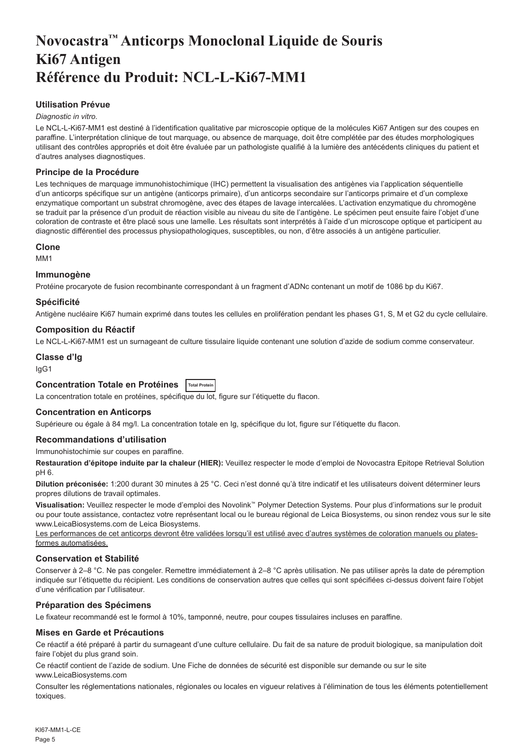# <span id="page-5-0"></span>**Novocastra™ Anticorps Monoclonal Liquide de Souris Ki67 Antigen Référence du Produit: NCL-L-Ki67-MM1**

# **Utilisation Prévue**

#### *Diagnostic in vitro*.

Le NCL-L-Ki67-MM1 est destiné à l'identification qualitative par microscopie optique de la molécules Ki67 Antigen sur des coupes en paraffine. L'interprétation clinique de tout marquage, ou absence de marquage, doit être complétée par des études morphologiques utilisant des contrôles appropriés et doit être évaluée par un pathologiste qualifié à la lumière des antécédents cliniques du patient et d'autres analyses diagnostiques.

# **Principe de la Procédure**

Les techniques de marquage immunohistochimique (IHC) permettent la visualisation des antigènes via l'application séquentielle d'un anticorps spécifique sur un antigène (anticorps primaire), d'un anticorps secondaire sur l'anticorps primaire et d'un complexe enzymatique comportant un substrat chromogène, avec des étapes de lavage intercalées. L'activation enzymatique du chromogène se traduit par la présence d'un produit de réaction visible au niveau du site de l'antigène. Le spécimen peut ensuite faire l'objet d'une coloration de contraste et être placé sous une lamelle. Les résultats sont interprétés à l'aide d'un microscope optique et participent au diagnostic différentiel des processus physiopathologiques, susceptibles, ou non, d'être associés à un antigène particulier.

#### **Clone**

M<sub>M41</sub>

#### **Immunogène**

Protéine procaryote de fusion recombinante correspondant à un fragment d'ADNc contenant un motif de 1086 bp du Ki67.

#### **Spécificité**

Antigène nucléaire Ki67 humain exprimé dans toutes les cellules en prolifération pendant les phases G1, S, M et G2 du cycle cellulaire.

#### **Composition du Réactif**

Le NCL-L-Ki67-MM1 est un surnageant de culture tissulaire liquide contenant une solution d'azide de sodium comme conservateur.

# **Classe d'Ig**

IgG1

# **Concentration Totale en Protéines Total Protein**

La concentration totale en protéines, spécifique du lot, figure sur l'étiquette du flacon.

# **Concentration en Anticorps**

Supérieure ou égale à 84 mg/l. La concentration totale en Ig, spécifique du lot, figure sur l'étiquette du flacon.

#### **Recommandations d'utilisation**

#### Immunohistochimie sur coupes en paraffine.

**Restauration d'épitope induite par la chaleur (HIER):** Veuillez respecter le mode d'emploi de Novocastra Epitope Retrieval Solution pH 6.

**Dilution préconisée:** 1:200 durant 30 minutes à 25 °C. Ceci n'est donné qu'à titre indicatif et les utilisateurs doivent déterminer leurs propres dilutions de travail optimales.

**Visualisation:** Veuillez respecter le mode d'emploi des Novolink™ Polymer Detection Systems. Pour plus d'informations sur le produit ou pour toute assistance, contactez votre représentant local ou le bureau régional de Leica Biosystems, ou sinon rendez vous sur le site www.LeicaBiosystems.com de Leica Biosystems.

Les performances de cet anticorps devront être validées lorsqu'il est utilisé avec d'autres systèmes de coloration manuels ou platesformes automatisées.

# **Conservation et Stabilité**

Conserver à 2–8 °C. Ne pas congeler. Remettre immédiatement à 2–8 °C après utilisation. Ne pas utiliser après la date de péremption indiquée sur l'étiquette du récipient. Les conditions de conservation autres que celles qui sont spécifiées ci-dessus doivent faire l'objet d'une vérification par l'utilisateur.

# **Préparation des Spécimens**

Le fixateur recommandé est le formol à 10%, tamponné, neutre, pour coupes tissulaires incluses en paraffine.

# **Mises en Garde et Précautions**

Ce réactif a été préparé à partir du surnageant d'une culture cellulaire. Du fait de sa nature de produit biologique, sa manipulation doit faire l'objet du plus grand soin.

Ce réactif contient de l'azide de sodium. Une Fiche de données de sécurité est disponible sur demande ou sur le site www.LeicaBiosystems.com

Consulter les réglementations nationales, régionales ou locales en vigueur relatives à l'élimination de tous les éléments potentiellement toxiques.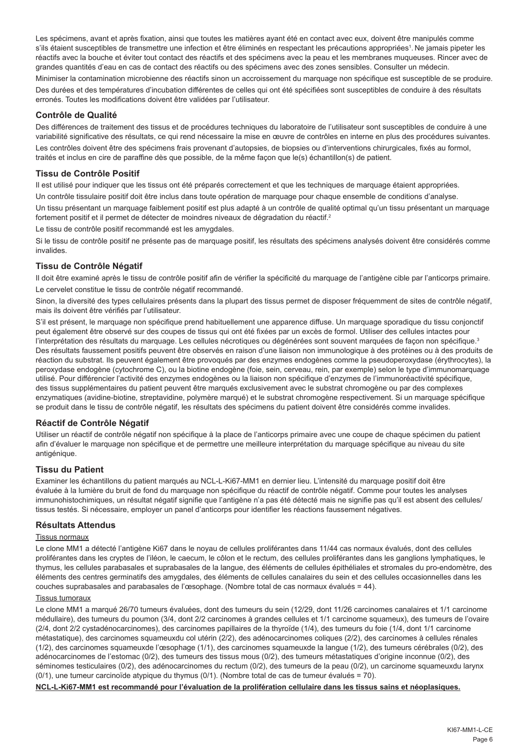Les spécimens, avant et après fixation, ainsi que toutes les matières ayant été en contact avec eux, doivent être manipulés comme s'ils étaient susceptibles de transmettre une infection et être éliminés en respectant les précautions appropriées<sup>1</sup>. Ne jamais pipeter les réactifs avec la bouche et éviter tout contact des réactifs et des spécimens avec la peau et les membranes muqueuses. Rincer avec de grandes quantités d'eau en cas de contact des réactifs ou des spécimens avec des zones sensibles. Consulter un médecin.

Minimiser la contamination microbienne des réactifs sinon un accroissement du marquage non spécifique est susceptible de se produire. Des durées et des températures d'incubation différentes de celles qui ont été spécifiées sont susceptibles de conduire à des résultats erronés. Toutes les modifications doivent être validées par l'utilisateur.

#### **Contrôle de Qualité**

Des différences de traitement des tissus et de procédures techniques du laboratoire de l'utilisateur sont susceptibles de conduire à une variabilité significative des résultats, ce qui rend nécessaire la mise en œuvre de contrôles en interne en plus des procédures suivantes.

Les contrôles doivent être des spécimens frais provenant d'autopsies, de biopsies ou d'interventions chirurgicales, fixés au formol, traités et inclus en cire de paraffine dès que possible, de la même façon que le(s) échantillon(s) de patient.

# **Tissu de Contrôle Positif**

Il est utilisé pour indiquer que les tissus ont été préparés correctement et que les techniques de marquage étaient appropriées. Un contrôle tissulaire positif doit être inclus dans toute opération de marquage pour chaque ensemble de conditions d'analyse. Un tissu présentant un marquage faiblement positif est plus adapté à un contrôle de qualité optimal qu'un tissu présentant un marquage fortement positif et il permet de détecter de moindres niveaux de dégradation du réactif.<sup>2</sup>

Le tissu de contrôle positif recommandé est les amygdales.

Si le tissu de contrôle positif ne présente pas de marquage positif, les résultats des spécimens analysés doivent être considérés comme invalides.

# **Tissu de Contrôle Négatif**

Il doit être examiné après le tissu de contrôle positif afin de vérifier la spécificité du marquage de l'antigène cible par l'anticorps primaire. Le cervelet constitue le tissu de contrôle négatif recommandé.

Sinon, la diversité des types cellulaires présents dans la plupart des tissus permet de disposer fréquemment de sites de contrôle négatif, mais ils doivent être vérifiés par l'utilisateur.

S'il est présent, le marquage non spécifique prend habituellement une apparence diffuse. Un marquage sporadique du tissu conjonctif peut également être observé sur des coupes de tissus qui ont été fixées par un excès de formol. Utiliser des cellules intactes pour l'interprétation des résultats du marquage. Les cellules nécrotiques ou dégénérées sont souvent marquées de façon non spécifique.<sup>3</sup> Des résultats faussement positifs peuvent être observés en raison d'une liaison non immunologique à des protéines ou à des produits de réaction du substrat. Ils peuvent également être provoqués par des enzymes endogènes comme la pseudoperoxydase (érythrocytes), la peroxydase endogène (cytochrome C), ou la biotine endogène (foie, sein, cerveau, rein, par exemple) selon le type d'immunomarquage utilisé. Pour différencier l'activité des enzymes endogènes ou la liaison non spécifique d'enzymes de l'immunoréactivité spécifique, des tissus supplémentaires du patient peuvent être marqués exclusivement avec le substrat chromogène ou par des complexes enzymatiques (avidine-biotine, streptavidine, polymère marqué) et le substrat chromogène respectivement. Si un marquage spécifique se produit dans le tissu de contrôle négatif, les résultats des spécimens du patient doivent être considérés comme invalides.

# **Réactif de Contrôle Négatif**

Utiliser un réactif de contrôle négatif non spécifique à la place de l'anticorps primaire avec une coupe de chaque spécimen du patient afin d'évaluer le marquage non spécifique et de permettre une meilleure interprétation du marquage spécifique au niveau du site antigénique.

#### **Tissu du Patient**

Examiner les échantillons du patient marqués au NCL-L-Ki67-MM1 en dernier lieu. L'intensité du marquage positif doit être évaluée à la lumière du bruit de fond du marquage non spécifique du réactif de contrôle négatif. Comme pour toutes les analyses immunohistochimiques, un résultat négatif signifie que l'antigène n'a pas été détecté mais ne signifie pas qu'il est absent des cellules/ tissus testés. Si nécessaire, employer un panel d'anticorps pour identifier les réactions faussement négatives.

# **Résultats Attendus**

#### Tissus normaux

Le clone MM1 a détecté l'antigène Ki67 dans le noyau de cellules proliférantes dans 11/44 cas normaux évalués, dont des cellules proliférantes dans les cryptes de l'iléon, le caecum, le côlon et le rectum, des cellules proliférantes dans les ganglions lymphatiques, le thymus, les cellules parabasales et suprabasales de la langue, des éléments de cellules épithéliales et stromales du pro-endomètre, des éléments des centres germinatifs des amygdales, des éléments de cellules canalaires du sein et des cellules occasionnelles dans les couches suprabasales and parabasales de l'œsophage. (Nombre total de cas normaux évalués = 44).

#### Tissus tumoraux

Le clone MM1 a marqué 26/70 tumeurs évaluées, dont des tumeurs du sein (12/29, dont 11/26 carcinomes canalaires et 1/1 carcinome médullaire), des tumeurs du poumon (3/4, dont 2/2 carcinomes à grandes cellules et 1/1 carcinome squameux), des tumeurs de l'ovaire (2/4, dont 2/2 cystadénocarcinomes), des carcinomes papillaires de la thyroïde (1/4), des tumeurs du foie (1/4, dont 1/1 carcinome métastatique), des carcinomes squameuxdu col utérin (2/2), des adénocarcinomes coliques (2/2), des carcinomes à cellules rénales (1/2), des carcinomes squameuxde l'œsophage (1/1), des carcinomes squameuxde la langue (1/2), des tumeurs cérébrales (0/2), des adénocarcinomes de l'estomac (0/2), des tumeurs des tissus mous (0/2), des tumeurs métastatiques d'origine inconnue (0/2), des séminomes testiculaires (0/2), des adénocarcinomes du rectum (0/2), des tumeurs de la peau (0/2), un carcinome squameuxdu larynx (0/1), une tumeur carcinoïde atypique du thymus (0/1). (Nombre total de cas de tumeur évalués = 70).

**NCL-L-Ki67-MM1 est recommandé pour l'évaluation de la prolifération cellulaire dans les tissus sains et néoplasiques.**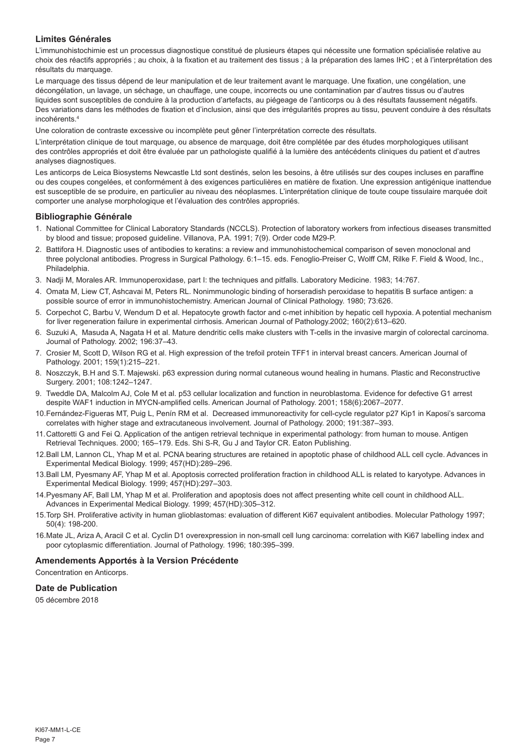# **Limites Générales**

L'immunohistochimie est un processus diagnostique constitué de plusieurs étapes qui nécessite une formation spécialisée relative au choix des réactifs appropriés ; au choix, à la fixation et au traitement des tissus ; à la préparation des lames IHC ; et à l'interprétation des résultats du marquage.

Le marquage des tissus dépend de leur manipulation et de leur traitement avant le marquage. Une fixation, une congélation, une décongélation, un lavage, un séchage, un chauffage, une coupe, incorrects ou une contamination par d'autres tissus ou d'autres liquides sont susceptibles de conduire à la production d'artefacts, au piégeage de l'anticorps ou à des résultats faussement négatifs. Des variations dans les méthodes de fixation et d'inclusion, ainsi que des irrégularités propres au tissu, peuvent conduire à des résultats incohérents.4

Une coloration de contraste excessive ou incomplète peut gêner l'interprétation correcte des résultats.

L'interprétation clinique de tout marquage, ou absence de marquage, doit être complétée par des études morphologiques utilisant des contrôles appropriés et doit être évaluée par un pathologiste qualifié à la lumière des antécédents cliniques du patient et d'autres analyses diagnostiques.

Les anticorps de Leica Biosystems Newcastle Ltd sont destinés, selon les besoins, à être utilisés sur des coupes incluses en paraffine ou des coupes congelées, et conformément à des exigences particulières en matière de fixation. Une expression antigénique inattendue est susceptible de se produire, en particulier au niveau des néoplasmes. L'interprétation clinique de toute coupe tissulaire marquée doit comporter une analyse morphologique et l'évaluation des contrôles appropriés.

#### **Bibliographie Générale**

- 1. National Committee for Clinical Laboratory Standards (NCCLS). Protection of laboratory workers from infectious diseases transmitted by blood and tissue; proposed guideline. Villanova, P.A. 1991; 7(9). Order code M29-P.
- 2. Battifora H. Diagnostic uses of antibodies to keratins: a review and immunohistochemical comparison of seven monoclonal and three polyclonal antibodies. Progress in Surgical Pathology. 6:1–15. eds. Fenoglio-Preiser C, Wolff CM, Rilke F. Field & Wood, Inc., Philadelphia.
- 3. Nadji M, Morales AR. Immunoperoxidase, part I: the techniques and pitfalls. Laboratory Medicine. 1983; 14:767.
- 4. Omata M, Liew CT, Ashcavai M, Peters RL. Nonimmunologic binding of horseradish peroxidase to hepatitis B surface antigen: a possible source of error in immunohistochemistry. American Journal of Clinical Pathology. 1980; 73:626.
- 5. Corpechot C, Barbu V, Wendum D et al. Hepatocyte growth factor and c-met inhibition by hepatic cell hypoxia. A potential mechanism for liver regeneration failure in experimental cirrhosis. American Journal of Pathology.2002; 160(2):613–620.
- 6. Suzuki A, Masuda A, Nagata H et al. Mature dendritic cells make clusters with T-cells in the invasive margin of colorectal carcinoma. Journal of Pathology. 2002; 196:37–43.
- 7. Crosier M, Scott D, Wilson RG et al. High expression of the trefoil protein TFF1 in interval breast cancers. American Journal of Pathology. 2001; 159(1):215–221.
- 8. Noszczyk, B.H and S.T. Majewski. p63 expression during normal cutaneous wound healing in humans. Plastic and Reconstructive Surgery. 2001; 108:1242–1247.
- 9. Tweddle DA, Malcolm AJ, Cole M et al. p53 cellular localization and function in neuroblastoma. Evidence for defective G1 arrest despite WAF1 induction in MYCN-amplified cells. American Journal of Pathology. 2001; 158(6):2067–2077.
- 10.Fernández-Figueras MT, Puig L, Penín RM et al. Decreased immunoreactivity for cell-cycle regulator p27 Kip1 in Kaposi's sarcoma correlates with higher stage and extracutaneous involvement. Journal of Pathology. 2000; 191:387–393.
- 11.Cattoretti G and Fei Q. Application of the antigen retrieval technique in experimental pathology: from human to mouse. Antigen Retrieval Techniques. 2000; 165–179. Eds. Shi S-R, Gu J and Taylor CR. Eaton Publishing.
- 12.Ball LM, Lannon CL, Yhap M et al. PCNA bearing structures are retained in apoptotic phase of childhood ALL cell cycle. Advances in Experimental Medical Biology. 1999; 457(HD):289–296.
- 13.Ball LM, Pyesmany AF, Yhap M et al. Apoptosis corrected proliferation fraction in childhood ALL is related to karyotype. Advances in Experimental Medical Biology. 1999; 457(HD):297–303.
- 14.Pyesmany AF, Ball LM, Yhap M et al. Proliferation and apoptosis does not affect presenting white cell count in childhood ALL. Advances in Experimental Medical Biology. 1999; 457(HD):305–312.
- 15.Torp SH. Proliferative activity in human glioblastomas: evaluation of different Ki67 equivalent antibodies. Molecular Pathology 1997; 50(4): 198-200.
- 16.Mate JL, Ariza A, Aracil C et al. Cyclin D1 overexpression in non-small cell lung carcinoma: correlation with Ki67 labelling index and poor cytoplasmic differentiation. Journal of Pathology. 1996; 180:395–399.

# **Amendements Apportés à la Version Précédente**

Concentration en Anticorps.

# **Date de Publication**

05 décembre 2018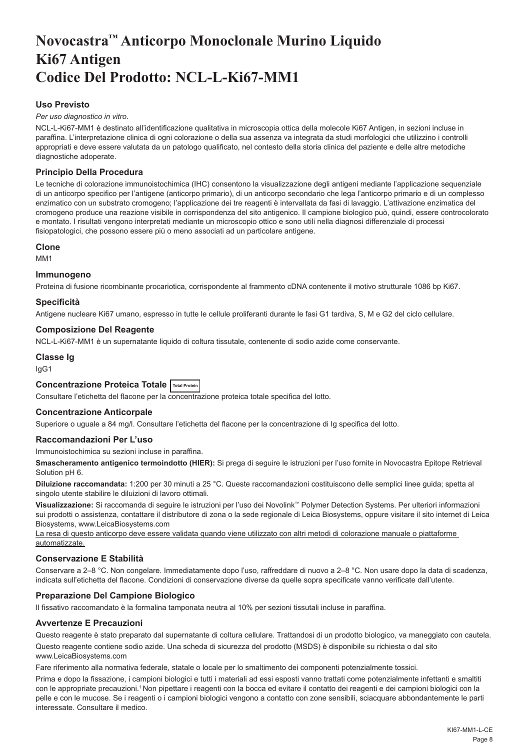# <span id="page-8-0"></span>**Novocastra™ Anticorpo Monoclonale Murino Liquido Ki67 Antigen Codice Del Prodotto: NCL-L-Ki67-MM1**

# **Uso Previsto**

#### *Per uso diagnostico in vitro*.

NCL-L-Ki67-MM1 è destinato all'identificazione qualitativa in microscopia ottica della molecole Ki67 Antigen, in sezioni incluse in paraffina. L'interpretazione clinica di ogni colorazione o della sua assenza va integrata da studi morfologici che utilizzino i controlli appropriati e deve essere valutata da un patologo qualificato, nel contesto della storia clinica del paziente e delle altre metodiche diagnostiche adoperate.

# **Principio Della Procedura**

Le tecniche di colorazione immunoistochimica (IHC) consentono la visualizzazione degli antigeni mediante l'applicazione sequenziale di un anticorpo specifico per l'antigene (anticorpo primario), di un anticorpo secondario che lega l'anticorpo primario e di un complesso enzimatico con un substrato cromogeno; l'applicazione dei tre reagenti è intervallata da fasi di lavaggio. L'attivazione enzimatica del cromogeno produce una reazione visibile in corrispondenza del sito antigenico. Il campione biologico può, quindi, essere controcolorato e montato. I risultati vengono interpretati mediante un microscopio ottico e sono utili nella diagnosi differenziale di processi fisiopatologici, che possono essere più o meno associati ad un particolare antigene.

#### **Clone**

M<sub>M4</sub>1

#### **Immunogeno**

Proteina di fusione ricombinante procariotica, corrispondente al frammento cDNA contenente il motivo strutturale 1086 bp Ki67.

#### **Specificità**

Antigene nucleare Ki67 umano, espresso in tutte le cellule proliferanti durante le fasi G1 tardiva, S, M e G2 del ciclo cellulare.

#### **Composizione Del Reagente**

NCL-L-Ki67-MM1 è un supernatante liquido di coltura tissutale, contenente di sodio azide come conservante.

# **Classe Ig**

IgG1

# **Concentrazione Proteica Totale Total Protein**

Consultare l'etichetta del flacone per la concentrazione proteica totale specifica del lotto.

# **Concentrazione Anticorpale**

Superiore o uguale a 84 mg/l. Consultare l'etichetta del flacone per la concentrazione di Ig specifica del lotto.

# **Raccomandazioni Per L'uso**

# Immunoistochimica su sezioni incluse in paraffina.

**Smascheramento antigenico termoindotto (HIER):** Si prega di seguire le istruzioni per l'uso fornite in Novocastra Epitope Retrieval Solution pH 6.

**Diluizione raccomandata:** 1:200 per 30 minuti a 25 °C. Queste raccomandazioni costituiscono delle semplici linee guida; spetta al singolo utente stabilire le diluizioni di lavoro ottimali.

**Visualizzazione:** Si raccomanda di seguire le istruzioni per l'uso dei Novolink™ Polymer Detection Systems. Per ulteriori informazioni sui prodotti o assistenza, contattare il distributore di zona o la sede regionale di Leica Biosystems, oppure visitare il sito internet di Leica Biosystems, www.LeicaBiosystems.com

La resa di questo anticorpo deve essere validata quando viene utilizzato con altri metodi di colorazione manuale o piattaforme automatizzate.

# **Conservazione E Stabilità**

Conservare a 2–8 °C. Non congelare. Immediatamente dopo l'uso, raffreddare di nuovo a 2–8 °C. Non usare dopo la data di scadenza, indicata sull'etichetta del flacone. Condizioni di conservazione diverse da quelle sopra specificate vanno verificate dall'utente.

# **Preparazione Del Campione Biologico**

Il fissativo raccomandato è la formalina tamponata neutra al 10% per sezioni tissutali incluse in paraffina.

# **Avvertenze E Precauzioni**

Questo reagente è stato preparato dal supernatante di coltura cellulare. Trattandosi di un prodotto biologico, va maneggiato con cautela. Questo reagente contiene sodio azide. Una scheda di sicurezza del prodotto (MSDS) è disponibile su richiesta o dal sito www.LeicaBiosystems.com

Fare riferimento alla normativa federale, statale o locale per lo smaltimento dei componenti potenzialmente tossici.

Prima e dopo la fissazione, i campioni biologici e tutti i materiali ad essi esposti vanno trattati come potenzialmente infettanti e smaltiti con le appropriate precauzioni.<sup>1</sup> Non pipettare i reagenti con la bocca ed evitare il contatto dei reagenti e dei campioni biologici con la pelle e con le mucose. Se i reagenti o i campioni biologici vengono a contatto con zone sensibili, sciacquare abbondantemente le parti interessate. Consultare il medico.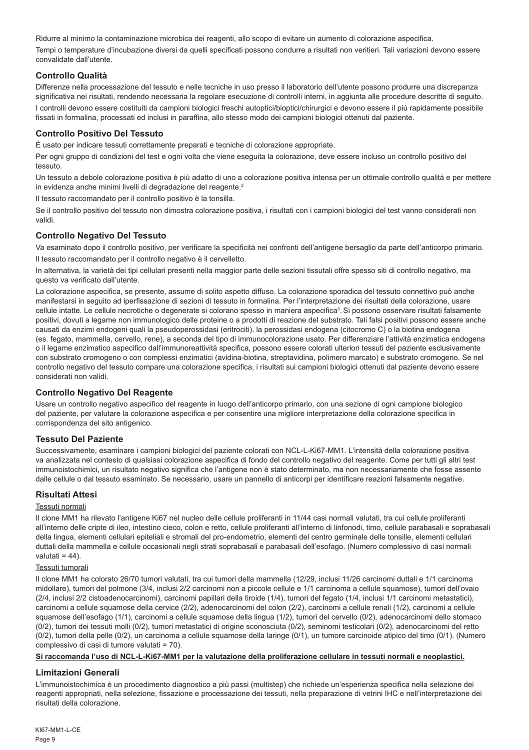Ridurre al minimo la contaminazione microbica dei reagenti, allo scopo di evitare un aumento di colorazione aspecifica. Tempi o temperature d'incubazione diversi da quelli specificati possono condurre a risultati non veritieri. Tali variazioni devono essere convalidate dall'utente.

# **Controllo Qualità**

Differenze nella processazione del tessuto e nelle tecniche in uso presso il laboratorio dell'utente possono produrre una discrepanza significativa nei risultati, rendendo necessaria la regolare esecuzione di controlli interni, in aggiunta alle procedure descritte di seguito. I controlli devono essere costituiti da campioni biologici freschi autoptici/bioptici/chirurgici e devono essere il più rapidamente possibile fissati in formalina, processati ed inclusi in paraffina, allo stesso modo dei campioni biologici ottenuti dal paziente.

# **Controllo Positivo Del Tessuto**

È usato per indicare tessuti correttamente preparati e tecniche di colorazione appropriate.

Per ogni gruppo di condizioni del test e ogni volta che viene eseguita la colorazione, deve essere incluso un controllo positivo del tessuto.

Un tessuto a debole colorazione positiva è più adatto di uno a colorazione positiva intensa per un ottimale controllo qualità e per mettere in evidenza anche minimi livelli di degradazione del reagente.<sup>2</sup>

Il tessuto raccomandato per il controllo positivo è la tonsilla.

Se il controllo positivo del tessuto non dimostra colorazione positiva, i risultati con i campioni biologici del test vanno considerati non validi.

# **Controllo Negativo Del Tessuto**

Va esaminato dopo il controllo positivo, per verificare la specificità nei confronti dell'antigene bersaglio da parte dell'anticorpo primario. Il tessuto raccomandato per il controllo negativo è il cervelletto.

In alternativa, la varietà dei tipi cellulari presenti nella maggior parte delle sezioni tissutali offre spesso siti di controllo negativo, ma questo va verificato dall'utente.

La colorazione aspecifica, se presente, assume di solito aspetto diffuso. La colorazione sporadica del tessuto connettivo può anche manifestarsi in seguito ad iperfissazione di sezioni di tessuto in formalina. Per l'interpretazione dei risultati della colorazione, usare cellule intatte. Le cellule necrotiche o degenerate si colorano spesso in maniera aspecifica<sup>3</sup>. Si possono osservare risultati falsamente positivi, dovuti a legame non immunologico delle proteine o a prodotti di reazione del substrato. Tali falsi positivi possono essere anche causati da enzimi endogeni quali la pseudoperossidasi (eritrociti), la perossidasi endogena (citocromo C) o la biotina endogena (es. fegato, mammella, cervello, rene), a seconda del tipo di immunocolorazione usato. Per differenziare l'attività enzimatica endogena o il legame enzimatico aspecifico dall'immunoreattività specifica, possono essere colorati ulteriori tessuti del paziente esclusivamente con substrato cromogeno o con complessi enzimatici (avidina-biotina, streptavidina, polimero marcato) e substrato cromogeno. Se nel controllo negativo del tessuto compare una colorazione specifica, i risultati sui campioni biologici ottenuti dal paziente devono essere considerati non validi.

# **Controllo Negativo Del Reagente**

Usare un controllo negativo aspecifico del reagente in luogo dell'anticorpo primario, con una sezione di ogni campione biologico del paziente, per valutare la colorazione aspecifica e per consentire una migliore interpretazione della colorazione specifica in corrispondenza del sito antigenico.

# **Tessuto Del Paziente**

Successivamente, esaminare i campioni biologici del paziente colorati con NCL-L-Ki67-MM1. L'intensità della colorazione positiva va analizzata nel contesto di qualsiasi colorazione aspecifica di fondo del controllo negativo del reagente. Come per tutti gli altri test immunoistochimici, un risultato negativo significa che l'antigene non è stato determinato, ma non necessariamente che fosse assente dalle cellule o dal tessuto esaminato. Se necessario, usare un pannello di anticorpi per identificare reazioni falsamente negative.

# **Risultati Attesi**

#### Tessuti normali

Il clone MM1 ha rilevato l'antigene Ki67 nel nucleo delle cellule proliferanti in 11/44 casi normali valutati, tra cui cellule proliferanti all'interno delle cripte di ileo, intestino cieco, colon e retto, cellule proliferanti all'interno di linfonodi, timo, cellule parabasali e soprabasali della lingua, elementi cellulari epiteliali e stromali del pro-endometrio, elementi del centro germinale delle tonsille, elementi cellulari duttali della mammella e cellule occasionali negli strati soprabasali e parabasali dell'esofago. (Numero complessivo di casi normali valutati = 44).

#### Tessuti tumorali

Il clone MM1 ha colorato 26/70 tumori valutati, tra cui tumori della mammella (12/29, inclusi 11/26 carcinomi duttali e 1/1 carcinoma midollare), tumori del polmone (3/4, inclusi 2/2 carcinomi non a piccole cellule e 1/1 carcinoma a cellule squamose), tumori dell'ovaio (2/4, inclusi 2/2 cistoadenocarcinomi), carcinomi papillari della tiroide (1/4), tumori del fegato (1/4, inclusi 1/1 carcinomi metastatici), carcinomi a cellule squamose della cervice (2/2), adenocarcinomi del colon (2/2), carcinomi a cellule renali (1/2), carcinomi a cellule squamose dell'esofago (1/1), carcinomi a cellule squamose della lingua (1/2), tumori del cervello (0/2), adenocarcinomi dello stomaco (0/2), tumori dei tessuti molli (0/2), tumori metastatici di origine sconosciuta (0/2), seminomi testicolari (0/2), adenocarcinomi del retto (0/2), tumori della pelle (0/2), un carcinoma a cellule squamose della laringe (0/1), un tumore carcinoide atipico del timo (0/1). (Numero complessivo di casi di tumore valutati = 70).

**Si raccomanda l'uso di NCL-L-Ki67-MM1 per la valutazione della proliferazione cellulare in tessuti normali e neoplastici.**

# **Limitazioni Generali**

L'immunoistochimica è un procedimento diagnostico a più passi (multistep) che richiede un'esperienza specifica nella selezione dei reagenti appropriati, nella selezione, fissazione e processazione dei tessuti, nella preparazione di vetrini IHC e nell'interpretazione dei risultati della colorazione.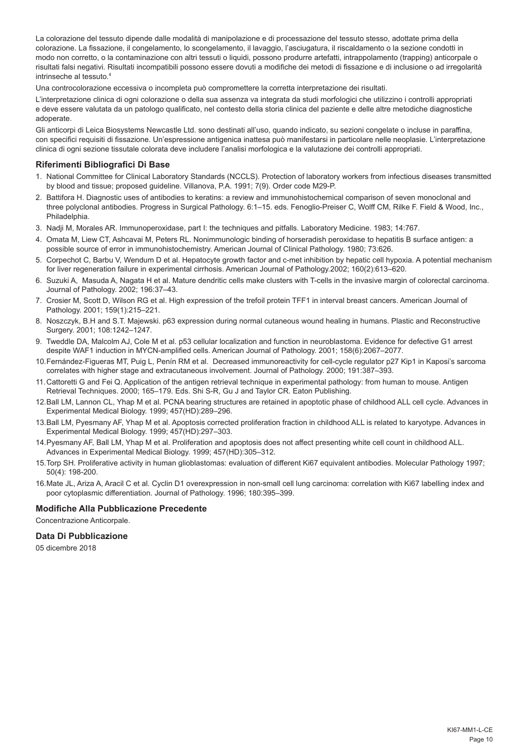La colorazione del tessuto dipende dalle modalità di manipolazione e di processazione del tessuto stesso, adottate prima della colorazione. La fissazione, il congelamento, lo scongelamento, il lavaggio, l'asciugatura, il riscaldamento o la sezione condotti in modo non corretto, o la contaminazione con altri tessuti o liquidi, possono produrre artefatti, intrappolamento (trapping) anticorpale o risultati falsi negativi. Risultati incompatibili possono essere dovuti a modifiche dei metodi di fissazione e di inclusione o ad irregolarità intrinseche al tessuto.4

Una controcolorazione eccessiva o incompleta può compromettere la corretta interpretazione dei risultati.

L'interpretazione clinica di ogni colorazione o della sua assenza va integrata da studi morfologici che utilizzino i controlli appropriati e deve essere valutata da un patologo qualificato, nel contesto della storia clinica del paziente e delle altre metodiche diagnostiche adoperate.

Gli anticorpi di Leica Biosystems Newcastle Ltd. sono destinati all'uso, quando indicato, su sezioni congelate o incluse in paraffina, con specifici requisiti di fissazione. Un'espressione antigenica inattesa può manifestarsi in particolare nelle neoplasie. L'interpretazione clinica di ogni sezione tissutale colorata deve includere l'analisi morfologica e la valutazione dei controlli appropriati.

# **Riferimenti Bibliografici Di Base**

- 1. National Committee for Clinical Laboratory Standards (NCCLS). Protection of laboratory workers from infectious diseases transmitted by blood and tissue; proposed guideline. Villanova, P.A. 1991; 7(9). Order code M29-P.
- 2. Battifora H. Diagnostic uses of antibodies to keratins: a review and immunohistochemical comparison of seven monoclonal and three polyclonal antibodies. Progress in Surgical Pathology. 6:1–15. eds. Fenoglio-Preiser C, Wolff CM, Rilke F. Field & Wood, Inc., Philadelphia.
- 3. Nadji M, Morales AR. Immunoperoxidase, part I: the techniques and pitfalls. Laboratory Medicine. 1983; 14:767.
- 4. Omata M, Liew CT, Ashcavai M, Peters RL. Nonimmunologic binding of horseradish peroxidase to hepatitis B surface antigen: a possible source of error in immunohistochemistry. American Journal of Clinical Pathology. 1980; 73:626.
- 5. Corpechot C, Barbu V, Wendum D et al. Hepatocyte growth factor and c-met inhibition by hepatic cell hypoxia. A potential mechanism for liver regeneration failure in experimental cirrhosis. American Journal of Pathology.2002; 160(2):613–620.
- 6. Suzuki A, Masuda A, Nagata H et al. Mature dendritic cells make clusters with T-cells in the invasive margin of colorectal carcinoma. Journal of Pathology. 2002; 196:37–43.
- 7. Crosier M, Scott D, Wilson RG et al. High expression of the trefoil protein TFF1 in interval breast cancers. American Journal of Pathology. 2001; 159(1):215–221.
- 8. Noszczyk, B.H and S.T. Majewski. p63 expression during normal cutaneous wound healing in humans. Plastic and Reconstructive Surgery. 2001; 108:1242–1247.
- 9. Tweddle DA, Malcolm AJ, Cole M et al. p53 cellular localization and function in neuroblastoma. Evidence for defective G1 arrest despite WAF1 induction in MYCN-amplified cells. American Journal of Pathology. 2001; 158(6):2067–2077.
- 10.Fernández-Figueras MT, Puig L, Penín RM et al. Decreased immunoreactivity for cell-cycle regulator p27 Kip1 in Kaposi's sarcoma correlates with higher stage and extracutaneous involvement. Journal of Pathology. 2000; 191:387–393.
- 11.Cattoretti G and Fei Q. Application of the antigen retrieval technique in experimental pathology: from human to mouse. Antigen Retrieval Techniques. 2000; 165–179. Eds. Shi S-R, Gu J and Taylor CR. Eaton Publishing.
- 12.Ball LM, Lannon CL, Yhap M et al. PCNA bearing structures are retained in apoptotic phase of childhood ALL cell cycle. Advances in Experimental Medical Biology. 1999; 457(HD):289–296.
- 13.Ball LM, Pyesmany AF, Yhap M et al. Apoptosis corrected proliferation fraction in childhood ALL is related to karyotype. Advances in Experimental Medical Biology. 1999; 457(HD):297–303.
- 14.Pyesmany AF, Ball LM, Yhap M et al. Proliferation and apoptosis does not affect presenting white cell count in childhood ALL. Advances in Experimental Medical Biology. 1999; 457(HD):305–312.
- 15.Torp SH. Proliferative activity in human glioblastomas: evaluation of different Ki67 equivalent antibodies. Molecular Pathology 1997; 50(4): 198-200.
- 16.Mate JL, Ariza A, Aracil C et al. Cyclin D1 overexpression in non-small cell lung carcinoma: correlation with Ki67 labelling index and poor cytoplasmic differentiation. Journal of Pathology. 1996; 180:395–399.

# **Modifiche Alla Pubblicazione Precedente**

Concentrazione Anticorpale.

# **Data Di Pubblicazione**

05 dicembre 2018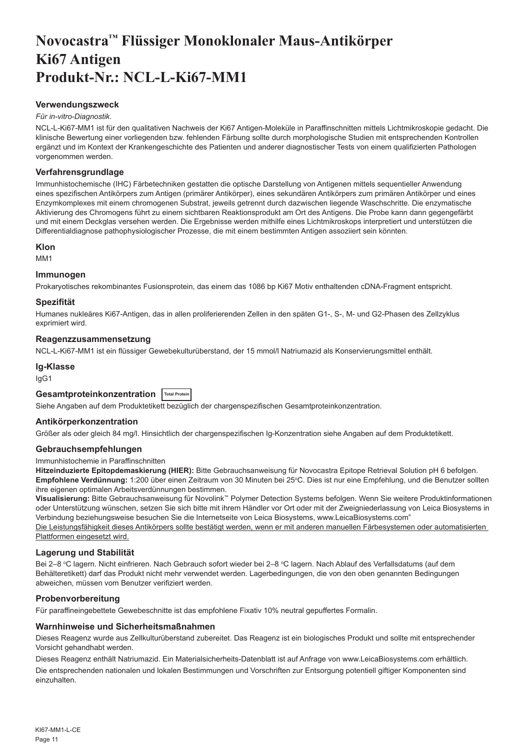# <span id="page-11-0"></span>**Novocastra™ Flüssiger Monoklonaler Maus-Antikörper Ki67 Antigen Produkt-Nr.: NCL-L-Ki67-MM1**

# **Verwendungszweck**

#### *Für in-vitro-Diagnostik*.

NCL-L-Ki67-MM1 ist für den qualitativen Nachweis der Ki67 Antigen-Moleküle in Paraffinschnitten mittels Lichtmikroskopie gedacht. Die klinische Bewertung einer vorliegenden bzw. fehlenden Färbung sollte durch morphologische Studien mit entsprechenden Kontrollen ergänzt und im Kontext der Krankengeschichte des Patienten und anderer diagnostischer Tests von einem qualifizierten Pathologen vorgenommen werden.

#### **Verfahrensgrundlage**

Immunhistochemische (IHC) Färbetechniken gestatten die optische Darstellung von Antigenen mittels sequentieller Anwendung eines spezifischen Antikörpers zum Antigen (primärer Antikörper), eines sekundären Antikörpers zum primären Antikörper und eines Enzymkomplexes mit einem chromogenen Substrat, jeweils getrennt durch dazwischen liegende Waschschritte. Die enzymatische Aktivierung des Chromogens führt zu einem sichtbaren Reaktionsprodukt am Ort des Antigens. Die Probe kann dann gegengefärbt und mit einem Deckglas versehen werden. Die Ergebnisse werden mithilfe eines Lichtmikroskops interpretiert und unterstützen die Differentialdiagnose pathophysiologischer Prozesse, die mit einem bestimmten Antigen assoziiert sein könnten.

#### **Klon**

M<sub>M41</sub>

#### **Immunogen**

Prokaryotisches rekombinantes Fusionsprotein, das einem das 1086 bp Ki67 Motiv enthaltenden cDNA-Fragment entspricht.

#### **Spezifität**

Humanes nukleäres Ki67-Antigen, das in allen proliferierenden Zellen in den späten G1-, S-, M- und G2-Phasen des Zellzyklus exprimiert wird.

#### **Reagenzzusammensetzung**

NCL-L-Ki67-MM1 ist ein flüssiger Gewebekulturüberstand, der 15 mmol/l Natriumazid als Konservierungsmittel enthält.

#### **Ig-Klasse**

IgG1

# **Gesamtproteinkonzentration Total Protein**

Siehe Angaben auf dem Produktetikett bezüglich der chargenspezifischen Gesamtproteinkonzentration.

#### **Antikörperkonzentration**

Größer als oder gleich 84 mg/l. Hinsichtlich der chargenspezifischen Ig-Konzentration siehe Angaben auf dem Produktetikett.

#### **Gebrauchsempfehlungen**

#### Immunhistochemie in Paraffinschnitten

**Hitzeinduzierte Epitopdemaskierung (HIER):** Bitte Gebrauchsanweisung für Novocastra Epitope Retrieval Solution pH 6 befolgen. **Empfohlene Verdünnung:** 1:200 über einen Zeitraum von 30 Minuten bei 25°C. Dies ist nur eine Empfehlung, und die Benutzer sollten ihre eigenen optimalen Arbeitsverdünnungen bestimmen.

**Visualisierung:** Bitte Gebrauchsanweisung für Novolink™ Polymer Detection Systems befolgen. Wenn Sie weitere Produktinformationen oder Unterstützung wünschen, setzen Sie sich bitte mit ihrem Händler vor Ort oder mit der Zweigniederlassung von Leica Biosystems in Verbindung beziehungsweise besuchen Sie die Internetseite von Leica Biosystems, www.LeicaBiosystems.com"

Die Leistungsfähigkeit dieses Antikörpers sollte bestätigt werden, wenn er mit anderen manuellen Färbesystemen oder automatisierten Plattformen eingesetzt wird.

# **Lagerung und Stabilität**

Bei 2–8 °C lagern. Nicht einfrieren. Nach Gebrauch sofort wieder bei 2–8 °C lagern. Nach Ablauf des Verfallsdatums (auf dem Behälteretikett) darf das Produkt nicht mehr verwendet werden. Lagerbedingungen, die von den oben genannten Bedingungen abweichen, müssen vom Benutzer verifiziert werden.

# **Probenvorbereitung**

Für paraffineingebettete Gewebeschnitte ist das empfohlene Fixativ 10% neutral gepuffertes Formalin.

#### **Warnhinweise und Sicherheitsmaßnahmen**

Dieses Reagenz wurde aus Zellkulturüberstand zubereitet. Das Reagenz ist ein biologisches Produkt und sollte mit entsprechender Vorsicht gehandhabt werden.

Dieses Reagenz enthält Natriumazid. Ein Materialsicherheits-Datenblatt ist auf Anfrage von www.LeicaBiosystems.com erhältlich. Die entsprechenden nationalen und lokalen Bestimmungen und Vorschriften zur Entsorgung potentiell giftiger Komponenten sind einzuhalten.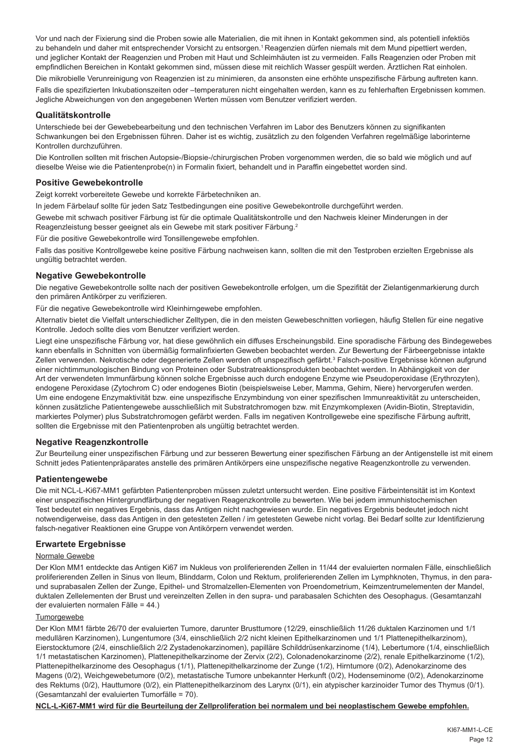Vor und nach der Fixierung sind die Proben sowie alle Materialien, die mit ihnen in Kontakt gekommen sind, als potentiell infektiös zu behandeln und daher mit entsprechender Vorsicht zu entsorgen.<sup>1</sup> Reagenzien dürfen niemals mit dem Mund pipettiert werden, und jeglicher Kontakt der Reagenzien und Proben mit Haut und Schleimhäuten ist zu vermeiden. Falls Reagenzien oder Proben mit empfindlichen Bereichen in Kontakt gekommen sind, müssen diese mit reichlich Wasser gespült werden. Ärztlichen Rat einholen.

Die mikrobielle Verunreinigung von Reagenzien ist zu minimieren, da ansonsten eine erhöhte unspezifische Färbung auftreten kann. Falls die spezifizierten Inkubationszeiten oder –temperaturen nicht eingehalten werden, kann es zu fehlerhaften Ergebnissen kommen. Jegliche Abweichungen von den angegebenen Werten müssen vom Benutzer verifiziert werden.

# **Qualitätskontrolle**

Unterschiede bei der Gewebebearbeitung und den technischen Verfahren im Labor des Benutzers können zu signifikanten Schwankungen bei den Ergebnissen führen. Daher ist es wichtig, zusätzlich zu den folgenden Verfahren regelmäßige laborinterne Kontrollen durchzuführen.

Die Kontrollen sollten mit frischen Autopsie-/Biopsie-/chirurgischen Proben vorgenommen werden, die so bald wie möglich und auf dieselbe Weise wie die Patientenprobe(n) in Formalin fixiert, behandelt und in Paraffin eingebettet worden sind.

# **Positive Gewebekontrolle**

Zeigt korrekt vorbereitete Gewebe und korrekte Färbetechniken an.

In jedem Färbelauf sollte für jeden Satz Testbedingungen eine positive Gewebekontrolle durchgeführt werden.

Gewebe mit schwach positiver Färbung ist für die optimale Qualitätskontrolle und den Nachweis kleiner Minderungen in der Reagenzleistung besser geeignet als ein Gewebe mit stark positiver Färbung.<sup>2</sup>

Für die positive Gewebekontrolle wird Tonsillengewebe empfohlen.

Falls das positive Kontrollgewebe keine positive Färbung nachweisen kann, sollten die mit den Testproben erzielten Ergebnisse als ungültig betrachtet werden.

# **Negative Gewebekontrolle**

Die negative Gewebekontrolle sollte nach der positiven Gewebekontrolle erfolgen, um die Spezifität der Zielantigenmarkierung durch den primären Antikörper zu verifizieren.

Für die negative Gewebekontrolle wird Kleinhirngewebe empfohlen.

Alternativ bietet die Vielfalt unterschiedlicher Zelltypen, die in den meisten Gewebeschnitten vorliegen, häufig Stellen für eine negative Kontrolle. Jedoch sollte dies vom Benutzer verifiziert werden.

Liegt eine unspezifische Färbung vor, hat diese gewöhnlich ein diffuses Erscheinungsbild. Eine sporadische Färbung des Bindegewebes kann ebenfalls in Schnitten von übermäßig formalinfixierten Geweben beobachtet werden. Zur Bewertung der Färbeergebnisse intakte Zellen verwenden. Nekrotische oder degenerierte Zellen werden oft unspezifisch gefärbt.<sup>3</sup> Falsch-positive Ergebnisse können aufgrund einer nichtimmunologischen Bindung von Proteinen oder Substratreaktionsprodukten beobachtet werden. In Abhängigkeit von der Art der verwendeten Immunfärbung können solche Ergebnisse auch durch endogene Enzyme wie Pseudoperoxidase (Erythrozyten), endogene Peroxidase (Zytochrom C) oder endogenes Biotin (beispielsweise Leber, Mamma, Gehirn, Niere) hervorgerufen werden. Um eine endogene Enzymaktivität bzw. eine unspezifische Enzymbindung von einer spezifischen Immunreaktivität zu unterscheiden, können zusätzliche Patientengewebe ausschließlich mit Substratchromogen bzw. mit Enzymkomplexen (Avidin-Biotin, Streptavidin, markiertes Polymer) plus Substratchromogen gefärbt werden. Falls im negativen Kontrollgewebe eine spezifische Färbung auftritt, sollten die Ergebnisse mit den Patientenproben als ungültig betrachtet werden.

# **Negative Reagenzkontrolle**

Zur Beurteilung einer unspezifischen Färbung und zur besseren Bewertung einer spezifischen Färbung an der Antigenstelle ist mit einem Schnitt jedes Patientenpräparates anstelle des primären Antikörpers eine unspezifische negative Reagenzkontrolle zu verwenden.

# **Patientengewebe**

Die mit NCL-L-Ki67-MM1 gefärbten Patientenproben müssen zuletzt untersucht werden. Eine positive Färbeintensität ist im Kontext einer unspezifischen Hintergrundfärbung der negativen Reagenzkontrolle zu bewerten. Wie bei jedem immunhistochemischen Test bedeutet ein negatives Ergebnis, dass das Antigen nicht nachgewiesen wurde. Ein negatives Ergebnis bedeutet jedoch nicht notwendigerweise, dass das Antigen in den getesteten Zellen / im getesteten Gewebe nicht vorlag. Bei Bedarf sollte zur Identifizierung falsch-negativer Reaktionen eine Gruppe von Antikörpern verwendet werden.

#### **Erwartete Ergebnisse**

#### Normale Gewebe

Der Klon MM1 entdeckte das Antigen Ki67 im Nukleus von proliferierenden Zellen in 11/44 der evaluierten normalen Fälle, einschließlich proliferierenden Zellen in Sinus von Ileum, Blinddarm, Colon und Rektum, proliferierenden Zellen im Lymphknoten, Thymus, in den paraund suprabasalen Zellen der Zunge, Epithel- und Stromalzellen-Elementen von Proendometrium, Keimzentrumelementen der Mandel, duktalen Zellelementen der Brust und vereinzelten Zellen in den supra- und parabasalen Schichten des Oesophagus. (Gesamtanzahl der evaluierten normalen Fälle = 44.)

#### **Tumorgewebe**

Der Klon MM1 färbte 26/70 der evaluierten Tumore, darunter Brusttumore (12/29, einschließlich 11/26 duktalen Karzinomen und 1/1 medullären Karzinomen), Lungentumore (3/4, einschließlich 2/2 nicht kleinen Epithelkarzinomen und 1/1 Plattenepithelkarzinom), Eierstocktumore (2/4, einschließlich 2/2 Zystadenokarzinomen), papilläre Schilddrüsenkarzinome (1/4), Lebertumore (1/4, einschließlich 1/1 metastatischen Karzinomen), Plattenepithelkarzinome der Zervix (2/2), Colonadenokarzinome (2/2), renale Epithelkarzinome (1/2), Plattenepithelkarzinome des Oesophagus (1/1), Plattenepithelkarzinome der Zunge (1/2), Hirntumore (0/2), Adenokarzinome des Magens (0/2), Weichgewebetumore (0/2), metastatische Tumore unbekannter Herkunft (0/2), Hodenseminome (0/2), Adenokarzinome des Rektums (0/2), Hauttumore (0/2), ein Plattenepithelkarzinom des Larynx (0/1), ein atypischer karzinoider Tumor des Thymus (0/1). (Gesamtanzahl der evaluierten Tumorfälle = 70).

**NCL-L-Ki67-MM1 wird für die Beurteilung der Zellproliferation bei normalem und bei neoplastischem Gewebe empfohlen.**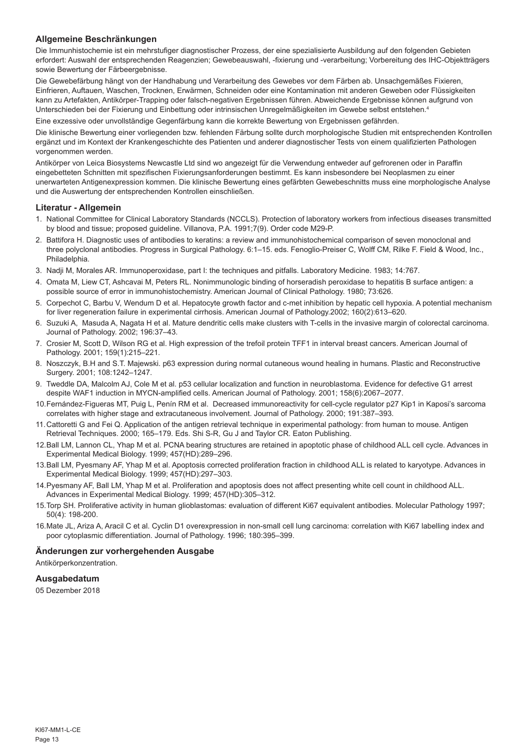# **Allgemeine Beschränkungen**

Die Immunhistochemie ist ein mehrstufiger diagnostischer Prozess, der eine spezialisierte Ausbildung auf den folgenden Gebieten erfordert: Auswahl der entsprechenden Reagenzien; Gewebeauswahl, -fixierung und -verarbeitung; Vorbereitung des IHC-Objektträgers sowie Bewertung der Färbeergebnisse.

Die Gewebefärbung hängt von der Handhabung und Verarbeitung des Gewebes vor dem Färben ab. Unsachgemäßes Fixieren, Einfrieren, Auftauen, Waschen, Trocknen, Erwärmen, Schneiden oder eine Kontamination mit anderen Geweben oder Flüssigkeiten kann zu Artefakten, Antikörper-Trapping oder falsch-negativen Ergebnissen führen. Abweichende Ergebnisse können aufgrund von Unterschieden bei der Fixierung und Einbettung oder intrinsischen Unregelmäßigkeiten im Gewebe selbst entstehen.4

Eine exzessive oder unvollständige Gegenfärbung kann die korrekte Bewertung von Ergebnissen gefährden.

Die klinische Bewertung einer vorliegenden bzw. fehlenden Färbung sollte durch morphologische Studien mit entsprechenden Kontrollen ergänzt und im Kontext der Krankengeschichte des Patienten und anderer diagnostischer Tests von einem qualifizierten Pathologen vorgenommen werden.

Antikörper von Leica Biosystems Newcastle Ltd sind wo angezeigt für die Verwendung entweder auf gefrorenen oder in Paraffin eingebetteten Schnitten mit spezifischen Fixierungsanforderungen bestimmt. Es kann insbesondere bei Neoplasmen zu einer unerwarteten Antigenexpression kommen. Die klinische Bewertung eines gefärbten Gewebeschnitts muss eine morphologische Analyse und die Auswertung der entsprechenden Kontrollen einschließen.

#### **Literatur - Allgemein**

- 1. National Committee for Clinical Laboratory Standards (NCCLS). Protection of laboratory workers from infectious diseases transmitted by blood and tissue; proposed guideline. Villanova, P.A. 1991;7(9). Order code M29-P.
- 2. Battifora H. Diagnostic uses of antibodies to keratins: a review and immunohistochemical comparison of seven monoclonal and three polyclonal antibodies. Progress in Surgical Pathology. 6:1–15. eds. Fenoglio-Preiser C, Wolff CM, Rilke F. Field & Wood, Inc., Philadelphia.
- 3. Nadji M, Morales AR. Immunoperoxidase, part I: the techniques and pitfalls. Laboratory Medicine. 1983; 14:767.
- 4. Omata M, Liew CT, Ashcavai M, Peters RL. Nonimmunologic binding of horseradish peroxidase to hepatitis B surface antigen: a possible source of error in immunohistochemistry. American Journal of Clinical Pathology. 1980; 73:626.
- 5. Corpechot C, Barbu V, Wendum D et al. Hepatocyte growth factor and c-met inhibition by hepatic cell hypoxia. A potential mechanism for liver regeneration failure in experimental cirrhosis. American Journal of Pathology.2002; 160(2):613–620.
- 6. Suzuki A, Masuda A, Nagata H et al. Mature dendritic cells make clusters with T-cells in the invasive margin of colorectal carcinoma. Journal of Pathology. 2002; 196:37–43.
- 7. Crosier M, Scott D, Wilson RG et al. High expression of the trefoil protein TFF1 in interval breast cancers. American Journal of Pathology. 2001; 159(1):215–221.
- 8. Noszczyk, B.H and S.T. Majewski. p63 expression during normal cutaneous wound healing in humans. Plastic and Reconstructive Surgery. 2001; 108:1242–1247.
- 9. Tweddle DA, Malcolm AJ, Cole M et al. p53 cellular localization and function in neuroblastoma. Evidence for defective G1 arrest despite WAF1 induction in MYCN-amplified cells. American Journal of Pathology. 2001; 158(6):2067–2077.
- 10.Fernández-Figueras MT, Puig L, Penín RM et al. Decreased immunoreactivity for cell-cycle regulator p27 Kip1 in Kaposi's sarcoma correlates with higher stage and extracutaneous involvement. Journal of Pathology. 2000; 191:387–393.
- 11.Cattoretti G and Fei Q. Application of the antigen retrieval technique in experimental pathology: from human to mouse. Antigen Retrieval Techniques. 2000; 165–179. Eds. Shi S-R, Gu J and Taylor CR. Eaton Publishing.
- 12.Ball LM, Lannon CL, Yhap M et al. PCNA bearing structures are retained in apoptotic phase of childhood ALL cell cycle. Advances in Experimental Medical Biology. 1999; 457(HD):289–296.
- 13.Ball LM, Pyesmany AF, Yhap M et al. Apoptosis corrected proliferation fraction in childhood ALL is related to karyotype. Advances in Experimental Medical Biology. 1999; 457(HD):297–303.
- 14.Pyesmany AF, Ball LM, Yhap M et al. Proliferation and apoptosis does not affect presenting white cell count in childhood ALL. Advances in Experimental Medical Biology. 1999; 457(HD):305–312.
- 15.Torp SH. Proliferative activity in human glioblastomas: evaluation of different Ki67 equivalent antibodies. Molecular Pathology 1997; 50(4): 198-200.
- 16.Mate JL, Ariza A, Aracil C et al. Cyclin D1 overexpression in non-small cell lung carcinoma: correlation with Ki67 labelling index and poor cytoplasmic differentiation. Journal of Pathology. 1996; 180:395–399.

#### **Änderungen zur vorhergehenden Ausgabe**

Antikörperkonzentration.

#### **Ausgabedatum**

05 Dezember 2018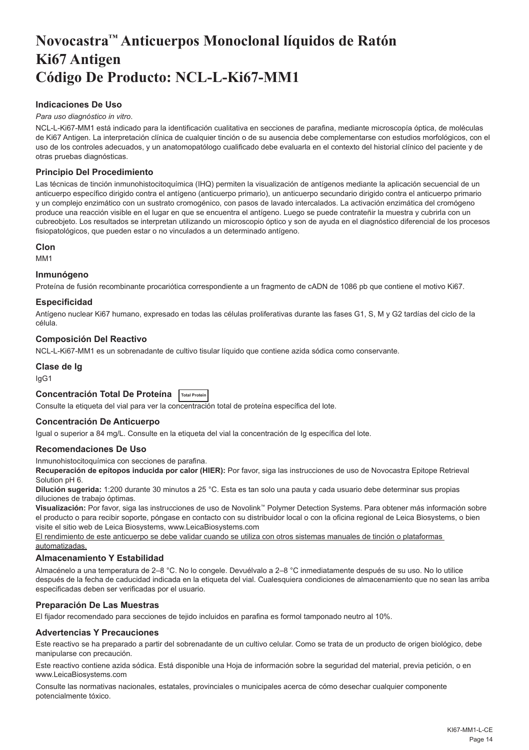# <span id="page-14-0"></span>**Novocastra™ Anticuerpos Monoclonal líquidos de Ratón Ki67 Antigen Código De Producto: NCL-L-Ki67-MM1**

# **Indicaciones De Uso**

#### *Para uso diagnóstico in vitro*.

NCL-L-Ki67-MM1 está indicado para la identificación cualitativa en secciones de parafina, mediante microscopía óptica, de moléculas de Ki67 Antigen. La interpretación clínica de cualquier tinción o de su ausencia debe complementarse con estudios morfológicos, con el uso de los controles adecuados, y un anatomopatólogo cualificado debe evaluarla en el contexto del historial clínico del paciente y de otras pruebas diagnósticas.

# **Principio Del Procedimiento**

Las técnicas de tinción inmunohistocitoquímica (IHQ) permiten la visualización de antígenos mediante la aplicación secuencial de un anticuerpo específico dirigido contra el antígeno (anticuerpo primario), un anticuerpo secundario dirigido contra el anticuerpo primario y un complejo enzimático con un sustrato cromogénico, con pasos de lavado intercalados. La activación enzimática del cromógeno produce una reacción visible en el lugar en que se encuentra el antígeno. Luego se puede contrateñir la muestra y cubrirla con un cubreobjeto. Los resultados se interpretan utilizando un microscopio óptico y son de ayuda en el diagnóstico diferencial de los procesos fisiopatológicos, que pueden estar o no vinculados a un determinado antígeno.

#### **Clon**

M<sub>M41</sub>

#### **Inmunógeno**

Proteína de fusión recombinante procariótica correspondiente a un fragmento de cADN de 1086 pb que contiene el motivo Ki67.

# **Especificidad**

Antígeno nuclear Ki67 humano, expresado en todas las células proliferativas durante las fases G1, S, M y G2 tardías del ciclo de la célula.

#### **Composición Del Reactivo**

NCL-L-Ki67-MM1 es un sobrenadante de cultivo tisular líquido que contiene azida sódica como conservante.

#### **Clase de Ig**

IgG1

# **Concentración Total De Proteína Total Protein**

Consulte la etiqueta del vial para ver la concentración total de proteína específica del lote.

#### **Concentración De Anticuerpo**

Igual o superior a 84 mg/L. Consulte en la etiqueta del vial la concentración de Ig específica del lote.

#### **Recomendaciones De Uso**

Inmunohistocitoquímica con secciones de parafina.

**Recuperación de epítopos inducida por calor (HIER):** Por favor, siga las instrucciones de uso de Novocastra Epitope Retrieval Solution pH 6.

**Dilución sugerida:** 1:200 durante 30 minutos a 25 °C. Esta es tan solo una pauta y cada usuario debe determinar sus propias diluciones de trabajo óptimas.

**Visualización:** Por favor, siga las instrucciones de uso de Novolink™ Polymer Detection Systems. Para obtener más información sobre el producto o para recibir soporte, póngase en contacto con su distribuidor local o con la oficina regional de Leica Biosystems, o bien visite el sitio web de Leica Biosystems, www.LeicaBiosystems.com

El rendimiento de este anticuerpo se debe validar cuando se utiliza con otros sistemas manuales de tinción o plataformas automatizadas.

# **Almacenamiento Y Estabilidad**

Almacénelo a una temperatura de 2–8 °C. No lo congele. Devuélvalo a 2–8 °C inmediatamente después de su uso. No lo utilice después de la fecha de caducidad indicada en la etiqueta del vial. Cualesquiera condiciones de almacenamiento que no sean las arriba especificadas deben ser verificadas por el usuario.

# **Preparación De Las Muestras**

El fijador recomendado para secciones de tejido incluidos en parafina es formol tamponado neutro al 10%.

# **Advertencias Y Precauciones**

Este reactivo se ha preparado a partir del sobrenadante de un cultivo celular. Como se trata de un producto de origen biológico, debe manipularse con precaución.

Este reactivo contiene azida sódica. Está disponible una Hoja de información sobre la seguridad del material, previa petición, o en www.LeicaBiosystems.com

Consulte las normativas nacionales, estatales, provinciales o municipales acerca de cómo desechar cualquier componente potencialmente tóxico.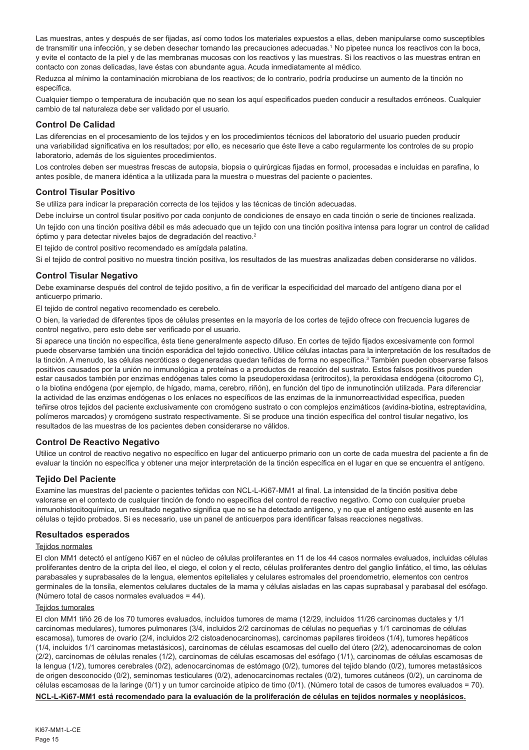Las muestras, antes y después de ser fijadas, así como todos los materiales expuestos a ellas, deben manipularse como susceptibles de transmitir una infección, y se deben desechar tomando las precauciones adecuadas.<sup>1</sup> No pipetee nunca los reactivos con la boca, y evite el contacto de la piel y de las membranas mucosas con los reactivos y las muestras. Si los reactivos o las muestras entran en contacto con zonas delicadas, lave éstas con abundante agua. Acuda inmediatamente al médico.

Reduzca al mínimo la contaminación microbiana de los reactivos; de lo contrario, podría producirse un aumento de la tinción no específica.

Cualquier tiempo o temperatura de incubación que no sean los aquí especificados pueden conducir a resultados erróneos. Cualquier cambio de tal naturaleza debe ser validado por el usuario.

#### **Control De Calidad**

Las diferencias en el procesamiento de los tejidos y en los procedimientos técnicos del laboratorio del usuario pueden producir una variabilidad significativa en los resultados; por ello, es necesario que éste lleve a cabo regularmente los controles de su propio laboratorio, además de los siguientes procedimientos.

Los controles deben ser muestras frescas de autopsia, biopsia o quirúrgicas fijadas en formol, procesadas e incluidas en parafina, lo antes posible, de manera idéntica a la utilizada para la muestra o muestras del paciente o pacientes.

# **Control Tisular Positivo**

Se utiliza para indicar la preparación correcta de los tejidos y las técnicas de tinción adecuadas.

Debe incluirse un control tisular positivo por cada conjunto de condiciones de ensayo en cada tinción o serie de tinciones realizada. Un tejido con una tinción positiva débil es más adecuado que un tejido con una tinción positiva intensa para lograr un control de calidad óptimo y para detectar niveles bajos de degradación del reactivo.<sup>2</sup>

El tejido de control positivo recomendado es amígdala palatina.

Si el tejido de control positivo no muestra tinción positiva, los resultados de las muestras analizadas deben considerarse no válidos.

# **Control Tisular Negativo**

Debe examinarse después del control de tejido positivo, a fin de verificar la especificidad del marcado del antígeno diana por el anticuerpo primario.

El tejido de control negativo recomendado es cerebelo.

O bien, la variedad de diferentes tipos de células presentes en la mayoría de los cortes de tejido ofrece con frecuencia lugares de control negativo, pero esto debe ser verificado por el usuario.

Si aparece una tinción no específica, ésta tiene generalmente aspecto difuso. En cortes de tejido fijados excesivamente con formol puede observarse también una tinción esporádica del tejido conectivo. Utilice células intactas para la interpretación de los resultados de la tinción. A menudo, las células necróticas o degeneradas quedan teñidas de forma no específica.<sup>3</sup> También pueden observarse falsos positivos causados por la unión no inmunológica a proteínas o a productos de reacción del sustrato. Estos falsos positivos pueden estar causados también por enzimas endógenas tales como la pseudoperoxidasa (eritrocitos), la peroxidasa endógena (citocromo C), o la biotina endógena (por ejemplo, de hígado, mama, cerebro, riñón), en función del tipo de inmunotinción utilizada. Para diferenciar la actividad de las enzimas endógenas o los enlaces no específicos de las enzimas de la inmunorreactividad específica, pueden teñirse otros tejidos del paciente exclusivamente con cromógeno sustrato o con complejos enzimáticos (avidina-biotina, estreptavidina, polímeros marcados) y cromógeno sustrato respectivamente. Si se produce una tinción específica del control tisular negativo, los resultados de las muestras de los pacientes deben considerarse no válidos.

#### **Control De Reactivo Negativo**

Utilice un control de reactivo negativo no específico en lugar del anticuerpo primario con un corte de cada muestra del paciente a fin de evaluar la tinción no específica y obtener una mejor interpretación de la tinción específica en el lugar en que se encuentra el antígeno.

# **Tejido Del Paciente**

Examine las muestras del paciente o pacientes teñidas con NCL-L-Ki67-MM1 al final. La intensidad de la tinción positiva debe valorarse en el contexto de cualquier tinción de fondo no específica del control de reactivo negativo. Como con cualquier prueba inmunohistocitoquímica, un resultado negativo significa que no se ha detectado antígeno, y no que el antígeno esté ausente en las células o tejido probados. Si es necesario, use un panel de anticuerpos para identificar falsas reacciones negativas.

#### **Resultados esperados**

#### Teiidos normales

El clon MM1 detectó el antígeno Ki67 en el núcleo de células proliferantes en 11 de los 44 casos normales evaluados, incluidas células proliferantes dentro de la cripta del íleo, el ciego, el colon y el recto, células proliferantes dentro del ganglio linfático, el timo, las células parabasales y suprabasales de la lengua, elementos epiteliales y celulares estromales del proendometrio, elementos con centros germinales de la tonsila, elementos celulares ductales de la mama y células aisladas en las capas suprabasal y parabasal del esófago. (Número total de casos normales evaluados = 44).

# Tejidos tumorales

El clon MM1 tiñó 26 de los 70 tumores evaluados, incluidos tumores de mama (12/29, incluidos 11/26 carcinomas ductales y 1/1 carcinomas medulares), tumores pulmonares (3/4, incluidos 2/2 carcinomas de células no pequeñas y 1/1 carcinomas de células escamosa), tumores de ovario (2/4, incluidos 2/2 cistoadenocarcinomas), carcinomas papilares tiroideos (1/4), tumores hepáticos (1/4, incluidos 1/1 carcinomas metastásicos), carcinomas de células escamosas del cuello del útero (2/2), adenocarcinomas de colon (2/2), carcinomas de células renales (1/2), carcinomas de células escamosas del esófago (1/1), carcinomas de células escamosas de la lengua (1/2), tumores cerebrales (0/2), adenocarcinomas de estómago (0/2), tumores del tejido blando (0/2), tumores metastásicos de origen desconocido (0/2), seminomas testiculares (0/2), adenocarcinomas rectales (0/2), tumores cutáneos (0/2), un carcinoma de células escamosas de la laringe (0/1) y un tumor carcinoide atípico de timo (0/1). (Número total de casos de tumores evaluados = 70). **NCL-L-Ki67-MM1 está recomendado para la evaluación de la proliferación de células en tejidos normales y neoplásicos.**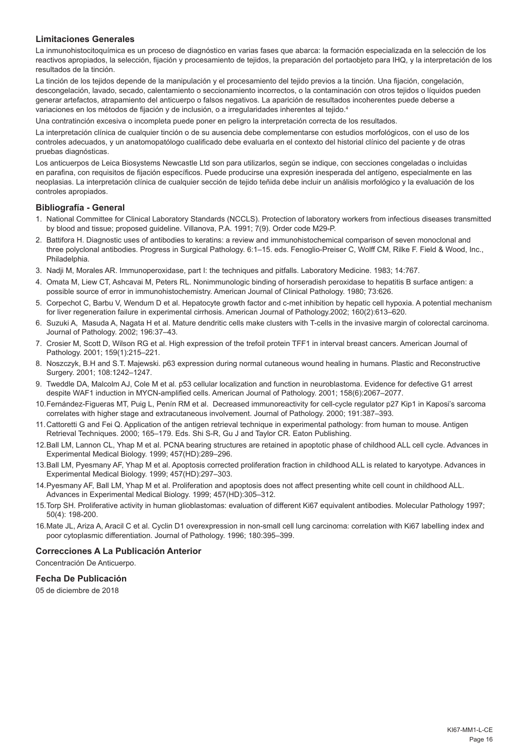# **Limitaciones Generales**

La inmunohistocitoquímica es un proceso de diagnóstico en varias fases que abarca: la formación especializada en la selección de los reactivos apropiados, la selección, fijación y procesamiento de tejidos, la preparación del portaobjeto para IHQ, y la interpretación de los resultados de la tinción.

La tinción de los tejidos depende de la manipulación y el procesamiento del tejido previos a la tinción. Una fijación, congelación, descongelación, lavado, secado, calentamiento o seccionamiento incorrectos, o la contaminación con otros tejidos o líquidos pueden generar artefactos, atrapamiento del anticuerpo o falsos negativos. La aparición de resultados incoherentes puede deberse a variaciones en los métodos de fijación y de inclusión, o a irregularidades inherentes al tejido.<sup>4</sup>

Una contratinción excesiva o incompleta puede poner en peligro la interpretación correcta de los resultados.

La interpretación clínica de cualquier tinción o de su ausencia debe complementarse con estudios morfológicos, con el uso de los controles adecuados, y un anatomopatólogo cualificado debe evaluarla en el contexto del historial clínico del paciente y de otras pruebas diagnósticas.

Los anticuerpos de Leica Biosystems Newcastle Ltd son para utilizarlos, según se indique, con secciones congeladas o incluidas en parafina, con requisitos de fijación específicos. Puede producirse una expresión inesperada del antígeno, especialmente en las neoplasias. La interpretación clínica de cualquier sección de tejido teñida debe incluir un análisis morfológico y la evaluación de los controles apropiados.

#### **Bibliografía - General**

- 1. National Committee for Clinical Laboratory Standards (NCCLS). Protection of laboratory workers from infectious diseases transmitted by blood and tissue; proposed guideline. Villanova, P.A. 1991; 7(9). Order code M29-P.
- 2. Battifora H. Diagnostic uses of antibodies to keratins: a review and immunohistochemical comparison of seven monoclonal and three polyclonal antibodies. Progress in Surgical Pathology. 6:1–15. eds. Fenoglio-Preiser C, Wolff CM, Rilke F. Field & Wood, Inc., Philadelphia.
- 3. Nadji M, Morales AR. Immunoperoxidase, part I: the techniques and pitfalls. Laboratory Medicine. 1983; 14:767.
- 4. Omata M, Liew CT, Ashcavai M, Peters RL. Nonimmunologic binding of horseradish peroxidase to hepatitis B surface antigen: a possible source of error in immunohistochemistry. American Journal of Clinical Pathology. 1980; 73:626.
- 5. Corpechot C, Barbu V, Wendum D et al. Hepatocyte growth factor and c-met inhibition by hepatic cell hypoxia. A potential mechanism for liver regeneration failure in experimental cirrhosis. American Journal of Pathology.2002; 160(2):613–620.
- 6. Suzuki A, Masuda A, Nagata H et al. Mature dendritic cells make clusters with T-cells in the invasive margin of colorectal carcinoma. Journal of Pathology. 2002; 196:37–43.
- 7. Crosier M, Scott D, Wilson RG et al. High expression of the trefoil protein TFF1 in interval breast cancers. American Journal of Pathology. 2001; 159(1):215–221.
- 8. Noszczyk, B.H and S.T. Majewski. p63 expression during normal cutaneous wound healing in humans. Plastic and Reconstructive Surgery. 2001; 108:1242–1247.
- 9. Tweddle DA, Malcolm AJ, Cole M et al. p53 cellular localization and function in neuroblastoma. Evidence for defective G1 arrest despite WAF1 induction in MYCN-amplified cells. American Journal of Pathology. 2001; 158(6):2067–2077.
- 10.Fernández-Figueras MT, Puig L, Penín RM et al. Decreased immunoreactivity for cell-cycle regulator p27 Kip1 in Kaposi's sarcoma correlates with higher stage and extracutaneous involvement. Journal of Pathology. 2000; 191:387–393.
- 11.Cattoretti G and Fei Q. Application of the antigen retrieval technique in experimental pathology: from human to mouse. Antigen Retrieval Techniques. 2000; 165–179. Eds. Shi S-R, Gu J and Taylor CR. Eaton Publishing.
- 12.Ball LM, Lannon CL, Yhap M et al. PCNA bearing structures are retained in apoptotic phase of childhood ALL cell cycle. Advances in Experimental Medical Biology. 1999; 457(HD):289–296.
- 13.Ball LM, Pyesmany AF, Yhap M et al. Apoptosis corrected proliferation fraction in childhood ALL is related to karyotype. Advances in Experimental Medical Biology. 1999; 457(HD):297–303.
- 14.Pyesmany AF, Ball LM, Yhap M et al. Proliferation and apoptosis does not affect presenting white cell count in childhood ALL. Advances in Experimental Medical Biology. 1999; 457(HD):305–312.
- 15.Torp SH. Proliferative activity in human glioblastomas: evaluation of different Ki67 equivalent antibodies. Molecular Pathology 1997; 50(4): 198-200.
- 16.Mate JL, Ariza A, Aracil C et al. Cyclin D1 overexpression in non-small cell lung carcinoma: correlation with Ki67 labelling index and poor cytoplasmic differentiation. Journal of Pathology. 1996; 180:395–399.

#### **Correcciones A La Publicación Anterior**

Concentración De Anticuerpo.

# **Fecha De Publicación**

05 de diciembre de 2018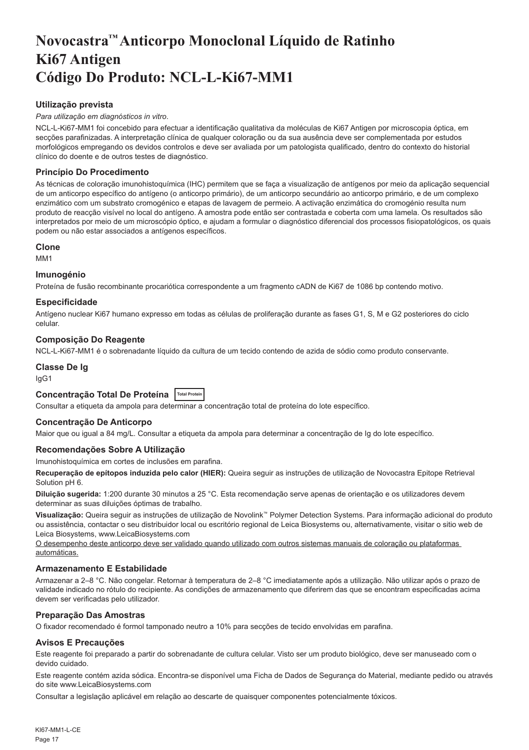# <span id="page-17-0"></span>**Novocastra™ Anticorpo Monoclonal Líquido de Ratinho Ki67 Antigen Código Do Produto: NCL-L-Ki67-MM1**

# **Utilização prevista**

#### *Para utilização em diagnósticos in vitro*.

NCL-L-Ki67-MM1 foi concebido para efectuar a identificação qualitativa da moléculas de Ki67 Antigen por microscopia óptica, em secções parafinizadas. A interpretação clínica de qualquer coloração ou da sua ausência deve ser complementada por estudos morfológicos empregando os devidos controlos e deve ser avaliada por um patologista qualificado, dentro do contexto do historial clínico do doente e de outros testes de diagnóstico.

# **Princípio Do Procedimento**

As técnicas de coloração imunohistoquímica (IHC) permitem que se faça a visualização de antígenos por meio da aplicação sequencial de um anticorpo específico do antígeno (o anticorpo primário), de um anticorpo secundário ao anticorpo primário, e de um complexo enzimático com um substrato cromogénico e etapas de lavagem de permeio. A activação enzimática do cromogénio resulta num produto de reacção visível no local do antígeno. A amostra pode então ser contrastada e coberta com uma lamela. Os resultados são interpretados por meio de um microscópio óptico, e ajudam a formular o diagnóstico diferencial dos processos fisiopatológicos, os quais podem ou não estar associados a antígenos específicos.

#### **Clone**

M<sub>M4</sub>1

#### **Imunogénio**

Proteína de fusão recombinante procariótica correspondente a um fragmento cADN de Ki67 de 1086 bp contendo motivo.

#### **Especificidade**

Antígeno nuclear Ki67 humano expresso em todas as células de proliferação durante as fases G1, S, M e G2 posteriores do ciclo celular.

# **Composição Do Reagente**

NCL-L-Ki67-MM1 é o sobrenadante líquido da cultura de um tecido contendo de azida de sódio como produto conservante.

#### **Classe De Ig**

IgG1

# **Concentração Total De Proteína Total Protein**

Consultar a etiqueta da ampola para determinar a concentração total de proteína do lote específico.

#### **Concentração De Anticorpo**

Maior que ou igual a 84 mg/L. Consultar a etiqueta da ampola para determinar a concentração de Ig do lote específico.

# **Recomendações Sobre A Utilização**

Imunohistoquímica em cortes de inclusões em parafina.

**Recuperação de epítopos induzida pelo calor (HIER):** Queira seguir as instruções de utilização de Novocastra Epitope Retrieval Solution pH 6.

**Diluição sugerida:** 1:200 durante 30 minutos a 25 °C. Esta recomendação serve apenas de orientação e os utilizadores devem determinar as suas diluições óptimas de trabalho.

**Visualização:** Queira seguir as instruções de utilização de Novolink™ Polymer Detection Systems. Para informação adicional do produto ou assistência, contactar o seu distribuidor local ou escritório regional de Leica Biosystems ou, alternativamente, visitar o sitio web de Leica Biosystems, www.LeicaBiosystems.com

O desempenho deste anticorpo deve ser validado quando utilizado com outros sistemas manuais de coloração ou plataformas automáticas.

# **Armazenamento E Estabilidade**

Armazenar a 2–8 °C. Não congelar. Retornar à temperatura de 2–8 °C imediatamente após a utilização. Não utilizar após o prazo de validade indicado no rótulo do recipiente. As condições de armazenamento que diferirem das que se encontram especificadas acima devem ser verificadas pelo utilizador.

# **Preparação Das Amostras**

O fixador recomendado é formol tamponado neutro a 10% para secções de tecido envolvidas em parafina.

# **Avisos E Precauções**

Este reagente foi preparado a partir do sobrenadante de cultura celular. Visto ser um produto biológico, deve ser manuseado com o devido cuidado.

Este reagente contém azida sódica. Encontra-se disponível uma Ficha de Dados de Segurança do Material, mediante pedido ou através do site www.LeicaBiosystems.com

Consultar a legislação aplicável em relação ao descarte de quaisquer componentes potencialmente tóxicos.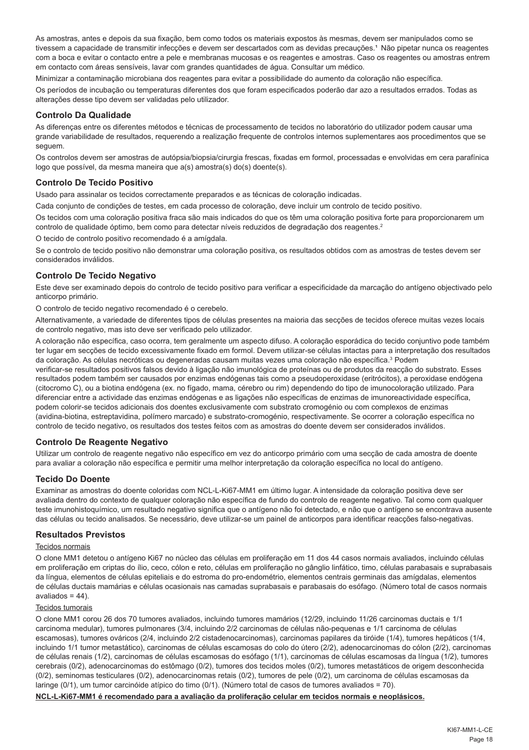As amostras, antes e depois da sua fixação, bem como todos os materiais expostos às mesmas, devem ser manipulados como se tivessem a capacidade de transmitir infecções e devem ser descartados com as devidas precauções.<sup>1</sup> Não pipetar nunca os reagentes com a boca e evitar o contacto entre a pele e membranas mucosas e os reagentes e amostras. Caso os reagentes ou amostras entrem em contacto com áreas sensíveis, lavar com grandes quantidades de água. Consultar um médico.

Minimizar a contaminação microbiana dos reagentes para evitar a possibilidade do aumento da coloração não específica.

Os períodos de incubação ou temperaturas diferentes dos que foram especificados poderão dar azo a resultados errados. Todas as alterações desse tipo devem ser validadas pelo utilizador.

# **Controlo Da Qualidade**

As diferenças entre os diferentes métodos e técnicas de processamento de tecidos no laboratório do utilizador podem causar uma grande variabilidade de resultados, requerendo a realização frequente de controlos internos suplementares aos procedimentos que se seguem.

Os controlos devem ser amostras de autópsia/biopsia/cirurgia frescas, fixadas em formol, processadas e envolvidas em cera parafínica logo que possível, da mesma maneira que a(s) amostra(s) do(s) doente(s).

#### **Controlo De Tecido Positivo**

Usado para assinalar os tecidos correctamente preparados e as técnicas de coloração indicadas.

Cada conjunto de condições de testes, em cada processo de coloração, deve incluir um controlo de tecido positivo.

Os tecidos com uma coloração positiva fraca são mais indicados do que os têm uma coloração positiva forte para proporcionarem um controlo de qualidade óptimo, bem como para detectar níveis reduzidos de degradação dos reagentes.<sup>2</sup>

O tecido de controlo positivo recomendado é a amígdala.

Se o controlo de tecido positivo não demonstrar uma coloração positiva, os resultados obtidos com as amostras de testes devem ser considerados inválidos.

# **Controlo De Tecido Negativo**

Este deve ser examinado depois do controlo de tecido positivo para verificar a especificidade da marcação do antígeno objectivado pelo anticorpo primário.

O controlo de tecido negativo recomendado é o cerebelo.

Alternativamente, a variedade de diferentes tipos de células presentes na maioria das secções de tecidos oferece muitas vezes locais de controlo negativo, mas isto deve ser verificado pelo utilizador.

A coloração não específica, caso ocorra, tem geralmente um aspecto difuso. A coloração esporádica do tecido conjuntivo pode também ter lugar em secções de tecido excessivamente fixado em formol. Devem utilizar-se células intactas para a interpretação dos resultados da coloração. As células necróticas ou degeneradas causam muitas vezes uma coloração não específica.<sup>3</sup> Podem

verificar-se resultados positivos falsos devido à ligação não imunológica de proteínas ou de produtos da reacção do substrato. Esses resultados podem também ser causados por enzimas endógenas tais como a pseudoperoxidase (eritrócitos), a peroxidase endógena (citocromo C), ou a biotina endógena (ex. no fígado, mama, cérebro ou rim) dependendo do tipo de imunocoloração utilizado. Para diferenciar entre a actividade das enzimas endógenas e as ligações não específicas de enzimas de imunoreactividade específica, podem colorir-se tecidos adicionais dos doentes exclusivamente com substrato cromogénio ou com complexos de enzimas (avidina-biotina, estreptavidina, polímero marcado) e substrato-cromogénio, respectivamente. Se ocorrer a coloração específica no controlo de tecido negativo, os resultados dos testes feitos com as amostras do doente devem ser considerados inválidos.

# **Controlo De Reagente Negativo**

Utilizar um controlo de reagente negativo não específico em vez do anticorpo primário com uma secção de cada amostra de doente para avaliar a coloração não específica e permitir uma melhor interpretação da coloração específica no local do antígeno.

# **Tecido Do Doente**

Examinar as amostras do doente coloridas com NCL-L-Ki67-MM1 em último lugar. A intensidade da coloração positiva deve ser avaliada dentro do contexto de qualquer coloração não específica de fundo do controlo de reagente negativo. Tal como com qualquer teste imunohistoquímico, um resultado negativo significa que o antígeno não foi detectado, e não que o antígeno se encontrava ausente das células ou tecido analisados. Se necessário, deve utilizar-se um painel de anticorpos para identificar reacções falso-negativas.

#### **Resultados Previstos**

#### Tecidos normais

O clone MM1 detetou o antígeno Ki67 no núcleo das células em proliferação em 11 dos 44 casos normais avaliados, incluindo células em proliferação em criptas do ílio, ceco, cólon e reto, células em proliferação no gânglio linfático, timo, células parabasais e suprabasais da língua, elementos de células epiteliais e do estroma do pro-endométrio, elementos centrais germinais das amígdalas, elementos de células ductais mamárias e células ocasionais nas camadas suprabasais e parabasais do esófago. (Número total de casos normais avaliados =  $44$ ).

# Tecidos tumorais

O clone MM1 corou 26 dos 70 tumores avaliados, incluindo tumores mamários (12/29, incluindo 11/26 carcinomas ductais e 1/1 carcinoma medular), tumores pulmonares (3/4, incluindo 2/2 carcinomas de células não-pequenas e 1/1 carcinoma de células escamosas), tumores ováricos (2/4, incluindo 2/2 cistadenocarcinomas), carcinomas papilares da tiróide (1/4), tumores hepáticos (1/4, incluindo 1/1 tumor metastático), carcinomas de células escamosas do colo do útero (2/2), adenocarcinomas do cólon (2/2), carcinomas de células renais (1/2), carcinomas de células escamosas do esófago (1/1), carcinomas de células escamosas da língua (1/2), tumores cerebrais (0/2), adenocarcinomas do estômago (0/2), tumores dos tecidos moles (0/2), tumores metastáticos de origem desconhecida (0/2), seminomas testiculares (0/2), adenocarcinomas retais (0/2), tumores de pele (0/2), um carcinoma de células escamosas da laringe (0/1), um tumor carcinóide atípico do timo (0/1). (Número total de casos de tumores avaliados = 70).

**NCL-L-Ki67-MM1 é recomendado para a avaliação da proliferação celular em tecidos normais e neoplásicos.**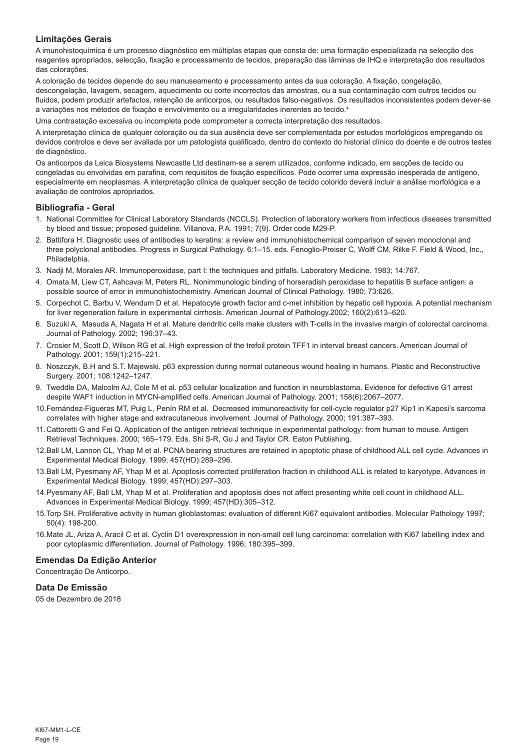# **Limitações Gerais**

A imunohistoquímica é um processo diagnóstico em múltiplas etapas que consta de: uma formação especializada na selecção dos reagentes apropriados, selecção, fixação e processamento de tecidos, preparação das lâminas de IHQ e interpretação dos resultados das colorações.

A coloração de tecidos depende do seu manuseamento e processamento antes da sua coloração. A fixação, congelação, descongelação, lavagem, secagem, aquecimento ou corte incorrectos das amostras, ou a sua contaminação com outros tecidos ou fluidos, podem produzir artefactos, retenção de anticorpos, ou resultados falso-negativos. Os resultados inconsistentes podem dever-se a variações nos métodos de fixação e envolvimento ou a irregularidades inerentes ao tecido.4

Uma contrastação excessiva ou incompleta pode comprometer a correcta interpretação dos resultados.

A interpretação clínica de qualquer coloração ou da sua ausência deve ser complementada por estudos morfológicos empregando os devidos controlos e deve ser avaliada por um patologista qualificado, dentro do contexto do historial clínico do doente e de outros testes de diagnóstico.

Os anticorpos da Leica Biosystems Newcastle Ltd destinam-se a serem utilizados, conforme indicado, em secções de tecido ou congeladas ou envolvidas em parafina, com requisitos de fixação específicos. Pode ocorrer uma expressão inesperada de antígeno, especialmente em neoplasmas. A interpretação clínica de qualquer secção de tecido colorido deverá incluir a análise morfológica e a avaliação de controlos apropriados.

#### **Bibliografia - Geral**

- 1. National Committee for Clinical Laboratory Standards (NCCLS). Protection of laboratory workers from infectious diseases transmitted by blood and tissue; proposed guideline. Villanova, P.A. 1991; 7(9). Order code M29-P.
- 2. Battifora H. Diagnostic uses of antibodies to keratins: a review and immunohistochemical comparison of seven monoclonal and three polyclonal antibodies. Progress in Surgical Pathology. 6:1–15. eds. Fenoglio-Preiser C, Wolff CM, Rilke F. Field & Wood, Inc., Philadelphia.
- 3. Nadji M, Morales AR. Immunoperoxidase, part I: the techniques and pitfalls. Laboratory Medicine. 1983; 14:767.
- 4. Omata M, Liew CT, Ashcavai M, Peters RL. Nonimmunologic binding of horseradish peroxidase to hepatitis B surface antigen: a possible source of error in immunohistochemistry. American Journal of Clinical Pathology. 1980; 73:626.
- 5. Corpechot C, Barbu V, Wendum D et al. Hepatocyte growth factor and c-met inhibition by hepatic cell hypoxia. A potential mechanism for liver regeneration failure in experimental cirrhosis. American Journal of Pathology.2002; 160(2):613–620.
- 6. Suzuki A, Masuda A, Nagata H et al. Mature dendritic cells make clusters with T-cells in the invasive margin of colorectal carcinoma. Journal of Pathology. 2002; 196:37–43.
- 7. Crosier M, Scott D, Wilson RG et al. High expression of the trefoil protein TFF1 in interval breast cancers. American Journal of Pathology. 2001; 159(1):215–221.
- 8. Noszczyk, B.H and S.T. Majewski. p63 expression during normal cutaneous wound healing in humans. Plastic and Reconstructive Surgery. 2001; 108:1242–1247.
- 9. Tweddle DA, Malcolm AJ, Cole M et al. p53 cellular localization and function in neuroblastoma. Evidence for defective G1 arrest despite WAF1 induction in MYCN-amplified cells. American Journal of Pathology. 2001; 158(6):2067–2077.
- 10.Fernández-Figueras MT, Puig L, Penín RM et al. Decreased immunoreactivity for cell-cycle regulator p27 Kip1 in Kaposi's sarcoma correlates with higher stage and extracutaneous involvement. Journal of Pathology. 2000; 191:387–393.
- 11.Cattoretti G and Fei Q. Application of the antigen retrieval technique in experimental pathology: from human to mouse. Antigen Retrieval Techniques. 2000; 165–179. Eds. Shi S-R, Gu J and Taylor CR. Eaton Publishing.
- 12.Ball LM, Lannon CL, Yhap M et al. PCNA bearing structures are retained in apoptotic phase of childhood ALL cell cycle. Advances in Experimental Medical Biology. 1999; 457(HD):289–296.
- 13.Ball LM, Pyesmany AF, Yhap M et al. Apoptosis corrected proliferation fraction in childhood ALL is related to karyotype. Advances in Experimental Medical Biology. 1999; 457(HD):297–303.
- 14.Pyesmany AF, Ball LM, Yhap M et al. Proliferation and apoptosis does not affect presenting white cell count in childhood ALL. Advances in Experimental Medical Biology. 1999; 457(HD):305–312.
- 15.Torp SH. Proliferative activity in human glioblastomas: evaluation of different Ki67 equivalent antibodies. Molecular Pathology 1997; 50(4): 198-200.
- 16.Mate JL, Ariza A, Aracil C et al. Cyclin D1 overexpression in non-small cell lung carcinoma: correlation with Ki67 labelling index and poor cytoplasmic differentiation. Journal of Pathology. 1996; 180:395–399.

# **Emendas Da Edição Anterior**

Concentração De Anticorpo.

# **Data De Emissão**

05 de Dezembro de 2018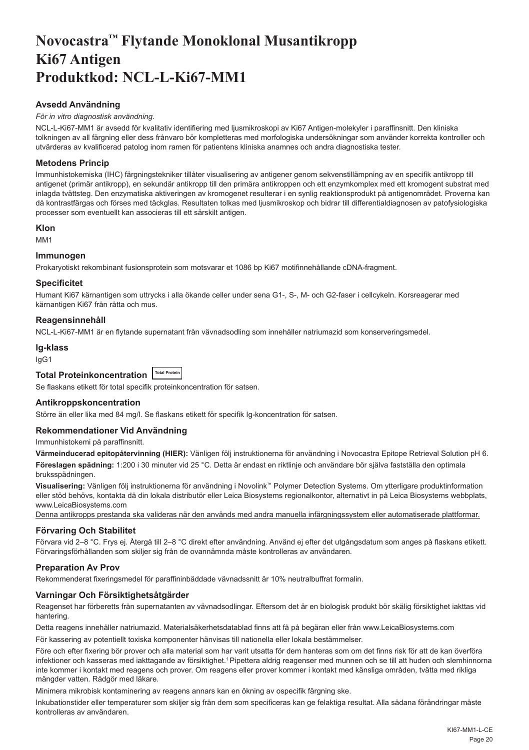# <span id="page-20-0"></span>**Novocastra™ Flytande Monoklonal Musantikropp Ki67 Antigen Produktkod: NCL-L-Ki67-MM1**

# **Avsedd Användning**

#### *För in vitro diagnostisk användning*.

NCL-L-Ki67-MM1 är avsedd för kvalitativ identifiering med ljusmikroskopi av Ki67 Antigen-molekyler i paraffinsnitt. Den kliniska tolkningen av all färgning eller dess frånvaro bör kompletteras med morfologiska undersökningar som använder korrekta kontroller och utvärderas av kvalificerad patolog inom ramen för patientens kliniska anamnes och andra diagnostiska tester.

# **Metodens Princip**

Immunhistokemiska (IHC) färgningstekniker tillåter visualisering av antigener genom sekvenstillämpning av en specifik antikropp till antigenet (primär antikropp), en sekundär antikropp till den primära antikroppen och ett enzymkomplex med ett kromogent substrat med inlagda tvättsteg. Den enzymatiska aktiveringen av kromogenet resulterar i en synlig reaktionsprodukt på antigenområdet. Proverna kan då kontrastfärgas och förses med täckglas. Resultaten tolkas med ljusmikroskop och bidrar till differentialdiagnosen av patofysiologiska processer som eventuellt kan associeras till ett särskilt antigen.

#### **Klon**

MM1

# **Immunogen**

Prokaryotiskt rekombinant fusionsprotein som motsvarar et 1086 bp Ki67 motifinnehållande cDNA-fragment.

# **Specificitet**

Humant Ki67 kärnantigen som uttrycks i alla ökande celler under sena G1-, S-, M- och G2-faser i cellcykeln. Korsreagerar med kärnantigen Ki67 från råtta och mus.

# **Reagensinnehåll**

NCL-L-Ki67-MM1 är en flytande supernatant från vävnadsodling som innehåller natriumazid som konserveringsmedel.

#### **Ig-klass**

IgG1

Se flaskans etikett för total specifik proteinkoncentration för satsen.

#### **Antikroppskoncentration**

Större än eller lika med 84 mg/l. Se flaskans etikett för specifik Ig-koncentration för satsen.

# **Rekommendationer Vid Användning**

Immunhistokemi på paraffinsnitt.

**Värmeinducerad epitopåtervinning (HIER):** Vänligen följ instruktionerna för användning i Novocastra Epitope Retrieval Solution pH 6. **Föreslagen spädning:** 1:200 i 30 minuter vid 25 °C. Detta är endast en riktlinje och användare bör själva fastställa den optimala bruksspädningen.

**Visualisering:** Vänligen följ instruktionerna för användning i Novolink™ Polymer Detection Systems. Om ytterligare produktinformation eller stöd behövs, kontakta då din lokala distributör eller Leica Biosystems regionalkontor, alternativt in på Leica Biosystems webbplats, www.LeicaBiosystems.com

Denna antikropps prestanda ska valideras när den används med andra manuella infärgningssystem eller automatiserade plattformar.

#### **Förvaring Och Stabilitet**

Förvara vid 2–8 °C. Frys ej. Återgå till 2–8 °C direkt efter användning. Använd ej efter det utgångsdatum som anges på flaskans etikett. Förvaringsförhållanden som skiljer sig från de ovannämnda måste kontrolleras av användaren.

# **Preparation Av Prov**

Rekommenderat fixeringsmedel för paraffininbäddade vävnadssnitt är 10% neutralbuffrat formalin.

# **Varningar Och Försiktighetsåtgärder**

Reagenset har förberetts från supernatanten av vävnadsodlingar. Eftersom det är en biologisk produkt bör skälig försiktighet iakttas vid hantering.

Detta reagens innehåller natriumazid. Materialsäkerhetsdatablad finns att få på begäran eller från www.LeicaBiosystems.com

För kassering av potentiellt toxiska komponenter hänvisas till nationella eller lokala bestämmelser.

Före och efter fixering bör prover och alla material som har varit utsatta för dem hanteras som om det finns risk för att de kan överföra infektioner och kasseras med iakttagande av försiktighet.<sup>1</sup> Pipettera aldrig reagenser med munnen och se till att huden och slemhinnorna inte kommer i kontakt med reagens och prover. Om reagens eller prover kommer i kontakt med känsliga områden, tvätta med rikliga mängder vatten. Rådgör med läkare.

Minimera mikrobisk kontaminering av reagens annars kan en ökning av ospecifik färgning ske.

Inkubationstider eller temperaturer som skiljer sig från dem som specificeras kan ge felaktiga resultat. Alla sådana förändringar måste kontrolleras av användaren.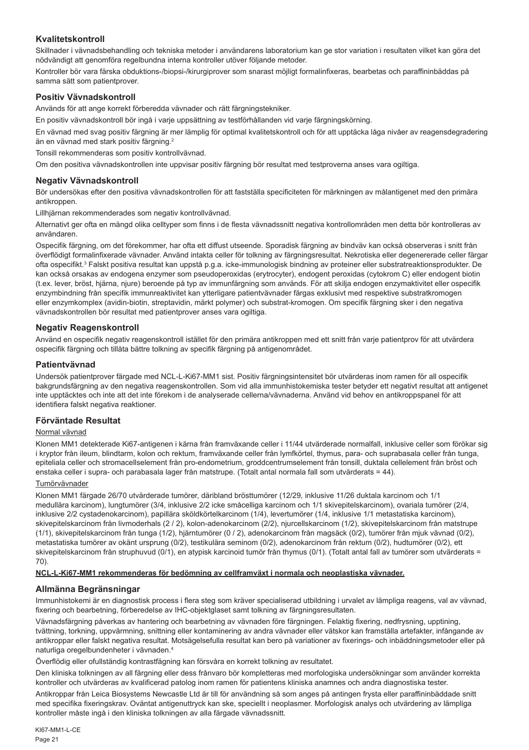# **Kvalitetskontroll**

Skillnader i vävnadsbehandling och tekniska metoder i användarens laboratorium kan ge stor variation i resultaten vilket kan göra det nödvändigt att genomföra regelbundna interna kontroller utöver följande metoder.

Kontroller bör vara färska obduktions-/biopsi-/kirurgiprover som snarast möjligt formalinfixeras, bearbetas och paraffininbäddas på samma sätt som patientprover.

# **Positiv Vävnadskontroll**

Används för att ange korrekt förberedda vävnader och rätt färgningstekniker.

En positiv vävnadskontroll bör ingå i varje uppsättning av testförhållanden vid varje färgningskörning.

En vävnad med svag positiv färgning är mer lämplig för optimal kvalitetskontroll och för att upptäcka låga nivåer av reagensdegradering än en vävnad med stark positiv färgning.<sup>2</sup>

Tonsill rekommenderas som positiv kontrollvävnad.

Om den positiva vävnadskontrollen inte uppvisar positiv färgning bör resultat med testproverna anses vara ogiltiga.

# **Negativ Vävnadskontroll**

Bör undersökas efter den positiva vävnadskontrollen för att fastställa specificiteten för märkningen av målantigenet med den primära antikroppen.

Lillhjärnan rekommenderades som negativ kontrollvävnad.

Alternativt ger ofta en mängd olika celltyper som finns i de flesta vävnadssnitt negativa kontrollområden men detta bör kontrolleras av användaren.

Ospecifik färgning, om det förekommer, har ofta ett diffust utseende. Sporadisk färgning av bindväv kan också observeras i snitt från överflödigt formalinfixerade vävnader. Använd intakta celler för tolkning av färgningsresultat. Nekrotiska eller degenererade celler färgar ofta ospecifikt.3 Falskt positiva resultat kan uppstå p.g.a. icke-immunologisk bindning av proteiner eller substratreaktionsprodukter. De kan också orsakas av endogena enzymer som pseudoperoxidas (erytrocyter), endogent peroxidas (cytokrom C) eller endogent biotin (t.ex. lever, bröst, hjärna, njure) beroende på typ av immunfärgning som används. För att skilja endogen enzymaktivitet eller ospecifik enzymbindning från specifik immunreaktivitet kan ytterligare patientvävnader färgas exklusivt med respektive substratkromogen eller enzymkomplex (avidin-biotin, streptavidin, märkt polymer) och substrat-kromogen. Om specifik färgning sker i den negativa vävnadskontrollen bör resultat med patientprover anses vara ogiltiga.

# **Negativ Reagenskontroll**

Använd en ospecifik negativ reagenskontroll istället för den primära antikroppen med ett snitt från varje patientprov för att utvärdera ospecifik färgning och tillåta bättre tolkning av specifik färgning på antigenområdet.

# **Patientvävnad**

Undersök patientprover färgade med NCL-L-Ki67-MM1 sist. Positiv färgningsintensitet bör utvärderas inom ramen för all ospecifik bakgrundsfärgning av den negativa reagenskontrollen. Som vid alla immunhistokemiska tester betyder ett negativt resultat att antigenet inte upptäcktes och inte att det inte förekom i de analyserade cellerna/vävnaderna. Använd vid behov en antikroppspanel för att identifiera falskt negativa reaktioner.

# **Förväntade Resultat**

# Normal vävnad

Klonen MM1 detekterade Ki67-antigenen i kärna från framväxande celler i 11/44 utvärderade normalfall, inklusive celler som förökar sig i kryptor från ileum, blindtarm, kolon och rektum, framväxande celler från lymfkörtel, thymus, para- och suprabasala celler från tunga, epiteliala celler och stromacellselement från pro-endometrium, groddcentrumselement från tonsill, duktala cellelement från bröst och enstaka celler i supra- och parabasala lager från matstrupe. (Totalt antal normala fall som utvärderats = 44).

# Tumörvävnader

Klonen MM1 färgade 26/70 utvärderade tumörer, däribland brösttumörer (12/29, inklusive 11/26 duktala karcinom och 1/1 medullära karcinom), lungtumörer (3/4, inklusive 2/2 icke småcelliga karcinom och 1/1 skivepitelskarcinom), ovariala tumörer (2/4, inklusive 2/2 cystadenokarcinom), papillära sköldkörtelkarcinom (1/4), levertumörer (1/4, inklusive 1/1 metastatiska karcinom), skivepitelskarcinom från livmoderhals (2 / 2), kolon-adenokarcinom (2/2), njurcellskarcinom (1/2), skivepitelskarcinom från matstrupe (1/1), skivepitelskarcinom från tunga (1/2), hjärntumörer (0 / 2), adenokarcinom från magsäck (0/2), tumörer från mjuk vävnad (0/2), metastatiska tumörer av okänt ursprung (0/2), testikulära seminom (0/2), adenokarcinom från rektum (0/2), hudtumörer (0/2), ett skivepitelskarcinom från struphuvud (0/1), en atypisk karcinoid tumör från thymus (0/1). (Totalt antal fall av tumörer som utvärderats = 70).

#### **NCL-L-Ki67-MM1 rekommenderas för bedömning av cellframväxt i normala och neoplastiska vävnader.**

# **Allmänna Begränsningar**

Immunhistokemi är en diagnostisk process i flera steg som kräver specialiserad utbildning i urvalet av lämpliga reagens, val av vävnad, fixering och bearbetning, förberedelse av IHC-objektglaset samt tolkning av färgningsresultaten.

Vävnadsfärgning påverkas av hantering och bearbetning av vävnaden före färgningen. Felaktig fixering, nedfrysning, upptining, tvättning, torkning, uppvärmning, snittning eller kontaminering av andra vävnader eller vätskor kan framställa artefakter, infångande av antikroppar eller falskt negativa resultat. Motsägelsefulla resultat kan bero på variationer av fixerings- och inbäddningsmetoder eller på naturliga oregelbundenheter i vävnaden.4

Överflödig eller ofullständig kontrastfägning kan försvåra en korrekt tolkning av resultatet.

Den kliniska tolkningen av all färgning eller dess frånvaro bör kompletteras med morfologiska undersökningar som använder korrekta kontroller och utvärderas av kvalificerad patolog inom ramen för patientens kliniska anamnes och andra diagnostiska tester.

Antikroppar från Leica Biosystems Newcastle Ltd är till för användning så som anges på antingen frysta eller paraffininbäddade snitt med specifika fixeringskrav. Oväntat antigenuttryck kan ske, speciellt i neoplasmer. Morfologisk analys och utvärdering av lämpliga kontroller måste ingå i den kliniska tolkningen av alla färgade vävnadssnitt.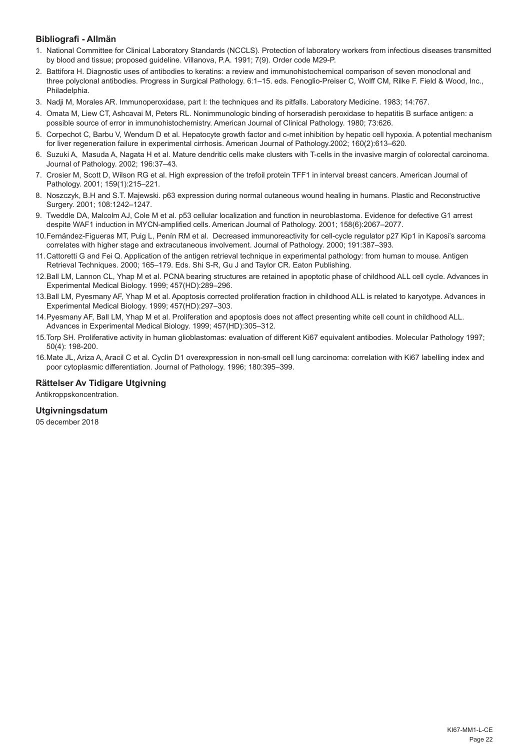# **Bibliografi - Allmän**

- 1. National Committee for Clinical Laboratory Standards (NCCLS). Protection of laboratory workers from infectious diseases transmitted by blood and tissue; proposed guideline. Villanova, P.A. 1991; 7(9). Order code M29-P.
- 2. Battifora H. Diagnostic uses of antibodies to keratins: a review and immunohistochemical comparison of seven monoclonal and three polyclonal antibodies. Progress in Surgical Pathology. 6:1–15. eds. Fenoglio-Preiser C, Wolff CM, Rilke F. Field & Wood, Inc., Philadelphia.
- 3. Nadji M, Morales AR. Immunoperoxidase, part I: the techniques and its pitfalls. Laboratory Medicine. 1983; 14:767.
- 4. Omata M, Liew CT, Ashcavai M, Peters RL. Nonimmunologic binding of horseradish peroxidase to hepatitis B surface antigen: a possible source of error in immunohistochemistry. American Journal of Clinical Pathology. 1980; 73:626.
- 5. Corpechot C, Barbu V, Wendum D et al. Hepatocyte growth factor and c-met inhibition by hepatic cell hypoxia. A potential mechanism for liver regeneration failure in experimental cirrhosis. American Journal of Pathology.2002; 160(2):613–620.
- 6. Suzuki A, Masuda A, Nagata H et al. Mature dendritic cells make clusters with T-cells in the invasive margin of colorectal carcinoma. Journal of Pathology. 2002; 196:37–43.
- 7. Crosier M, Scott D, Wilson RG et al. High expression of the trefoil protein TFF1 in interval breast cancers. American Journal of Pathology. 2001; 159(1):215–221.
- 8. Noszczyk, B.H and S.T. Majewski. p63 expression during normal cutaneous wound healing in humans. Plastic and Reconstructive Surgery. 2001; 108:1242–1247.
- 9. Tweddle DA, Malcolm AJ, Cole M et al. p53 cellular localization and function in neuroblastoma. Evidence for defective G1 arrest despite WAF1 induction in MYCN-amplified cells. American Journal of Pathology. 2001; 158(6):2067–2077.
- 10.Fernández-Figueras MT, Puig L, Penín RM et al. Decreased immunoreactivity for cell-cycle regulator p27 Kip1 in Kaposi's sarcoma correlates with higher stage and extracutaneous involvement. Journal of Pathology. 2000; 191:387–393.
- 11.Cattoretti G and Fei Q. Application of the antigen retrieval technique in experimental pathology: from human to mouse. Antigen Retrieval Techniques. 2000; 165–179. Eds. Shi S-R, Gu J and Taylor CR. Eaton Publishing.
- 12.Ball LM, Lannon CL, Yhap M et al. PCNA bearing structures are retained in apoptotic phase of childhood ALL cell cycle. Advances in Experimental Medical Biology. 1999; 457(HD):289–296.
- 13.Ball LM, Pyesmany AF, Yhap M et al. Apoptosis corrected proliferation fraction in childhood ALL is related to karyotype. Advances in Experimental Medical Biology. 1999; 457(HD):297–303.
- 14.Pyesmany AF, Ball LM, Yhap M et al. Proliferation and apoptosis does not affect presenting white cell count in childhood ALL. Advances in Experimental Medical Biology. 1999; 457(HD):305–312.
- 15.Torp SH. Proliferative activity in human glioblastomas: evaluation of different Ki67 equivalent antibodies. Molecular Pathology 1997; 50(4): 198-200.
- 16.Mate JL, Ariza A, Aracil C et al. Cyclin D1 overexpression in non-small cell lung carcinoma: correlation with Ki67 labelling index and poor cytoplasmic differentiation. Journal of Pathology. 1996; 180:395–399.

# **Rättelser Av Tidigare Utgivning**

Antikroppskoncentration.

# **Utgivningsdatum**

05 december 2018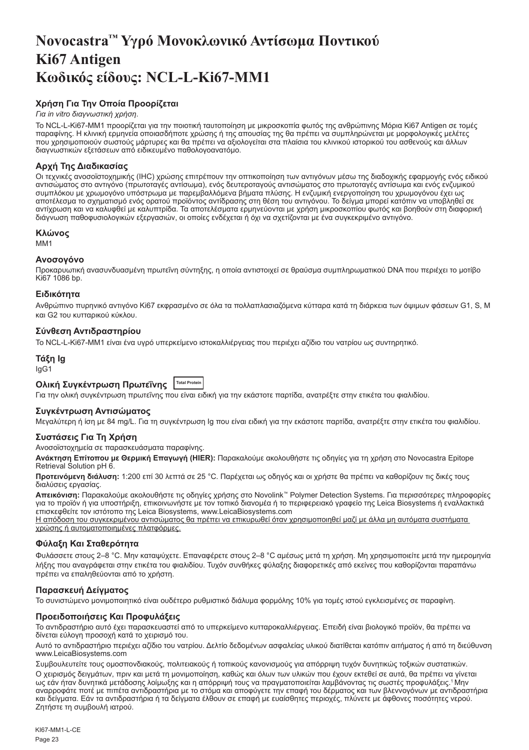# <span id="page-23-0"></span>**Novocastra™ Υγρό Μονοκλωνικό Αντίσωμα Ποντικού Ki67 Antigen Κωδικός είδους: NCL-L-Ki67-MM1**

# **Χρήση Για Την Οποία Προορίζεται**

# *Για in vitro διαγνωστική χρήση*.

Το NCL-L-Ki67-MM1 προορίζεται για την ποιοτική ταυτοποίηση με μικροσκοπία φωτός της ανθρώπινης Μόρια Ki67 Antigen σε τομές<br>παραφίνης. Η κλινική ερμηνεία οποιασδήποτε χρώσης ή της απουσίας της θα πρέπει να συμπληρώνεται με που χρησιμοποιούν σωστούς μάρτυρες και θα πρέπει να αξιολογείται στα πλαίσια του κλινικού ιστορικού του ασθενούς και άλλων διαγνωστικών εξετάσεων από ειδικευμένο παθολογοανατόμο.

# **Αρχή Της Διαδικασίας**

Οι τεχνικές ανοσοϊστοχημικής (IHC) χρώσης επιτρέπουν την οπτικοποίηση των αντιγόνων μέσω της διαδοχικής εφαρμογής ενός ειδικού αντισώματος στο αντιγόνο (πρωτοταγές αντίσωμα), ενός δευτεροταγούς αντισώματος στο πρωτοταγές αντίσωμα και ενός ενζυμικού συμπλόκου με χρωμογόνο υπόστρωμα με παρεμβαλλόμενα βήματα πλύσης. Η ενζυμική ενεργοποίηση του χρωμογόνου έχει ως αποτέλεσμα το σχηματισμό ενός ορατού προϊόντος αντίδρασης στη θέση του αντιγόνου. Το δείγμα μπορεί κατόπιν να υποβληθεί σε αντίχρωση και να καλυφθεί με καλυπτρίδα. Τα αποτελέσματα ερμηνεύονται με χρήση μικροσκοπίου φωτός και βοηθούν στη διαφορική διάγνωση παθοφυσιολογικών εξεργασιών, οι οποίες ενδέχεται ή όχι να σχετίζονται με ένα συγκεκριμένο αντιγόνο.

# **Κλώνος**

M<sub>M1</sub>

# **Ανοσογόνο**

Προκαρυωτική ανασυνδυασμένη πρωτεΐνη σύντηξης, η οποία αντιστοιχεί σε θραύσμα συμπληρωματικού DNA που περιέχει το μοτίβο Ki67 1086 bp.

# **Ειδικότητα**

Ανθρώπινο πυρηνικό αντιγόνο Ki67 εκφρασμένο σε όλα τα πολλαπλασιαζόμενα κύτταρα κατά τη διάρκεια των όψιμων φάσεων G1, S, M και G2 του κυτταρικού κύκλου.

# **Σύνθεση Αντιδραστηρίου**

Το NCL-L-Ki67-MM1 είναι ένα υγρό υπερκείμενο ιστοκαλλιέργειας που περιέχει αζίδιο του νατρίου ως συντηρητικό.

# **Τάξη Ig** IgG1

#### **Ολική Συγκέντρωση Πρωτεΐνης Total Protein**

Για την ολική συγκέντρωση πρωτεΐνης που είναι ειδική για την εκάστοτε παρτίδα, ανατρέξτε στην ετικέτα του φιαλιδίου.

# **Συγκέντρωση Αντισώματος**

Μεγαλύτερη ή ίση με 84 mg/L. Για τη συγκέντρωση Ig που είναι ειδική για την εκάστοτε παρτίδα, ανατρέξτε στην ετικέτα του φιαλιδίου.

# **Συστάσεις Για Τη Χρήση**

Ανοσοϊστοχημεία σε παρασκευάσματα παραφίνης.

**Ανάκτηση Επίτοπου με Θερμική Επαγωγή (HIER):** Παρακαλούμε ακολουθήστε τις οδηγίες για τη χρήση στο Novocastra Epitope Retrieval Solution pH 6.

**Προτεινόμενη διάλυση:** 1:200 επί 30 λεπτά σε 25 °C. Παρέχεται ως οδηγός και οι χρήστε θα πρέπει να καθορίζουν τις δικές τους διαλύσεις εργασίας.

**Απεικόνιση:** Παρακαλούμε ακολουθήστε τις οδηγίες χρήσης στο Novolink™ Polymer Detection Systems. Για περισσότερες πληροφορίες για το προϊόν ή για υποστήριξη, επικοινωνήστε με τον τοπικό διανομέα ή το περιφερειακό γραφείο της Leica Biosystems ή εναλλακτικά επισκεφθείτε τον ιστότοπο της Leica Biosystems, www.LeicaBiosystems.com

Η απόδοση του συγκεκριμένου αντισώματος θα πρέπει να επικυρωθεί όταν χρησιμοποιηθεί μαζί με άλλα μη αυτόματα συστήματα χρώσης ή αυτοματοποιημένες πλατφόρμες.

# **Φύλαξη Και Σταθερότητα**

Φυλάσσετε στους 2–8 °C. Μην καταψύχετε. Επαναφέρετε στους 2–8 °C αμέσως μετά τη χρήση. Μη χρησιμοποιείτε μετά την ημερομηνία λήξης που αναγράφεται στην ετικέτα του φιαλιδίου. Τυχόν συνθήκες φύλαξης διαφορετικές από εκείνες που καθορίζονται παραπάνω πρέπει να επαληθεύονται από το χρήστη.

# **Παρασκευή Δείγματος**

Το συνιστώμενο μονιμοποιητικό είναι ουδέτερο ρυθμιστικό διάλυμα φορμόλης 10% για τομές ιστού εγκλεισμένες σε παραφίνη.

# **Προειδοποιήσεις Και Προφυλάξεις**

Το αντιδραστήριο αυτό έχει παρασκευαστεί από το υπερκείμενο κυτταροκαλλιέργειας. Επειδή είναι βιολογικό προϊόν, θα πρέπει να δίνεται εύλογη προσοχή κατά το χειρισμό του.

Αυτό το αντιδραστήριο περιέχει αζίδιο του νατρίου. Δελτίο δεδομένων ασφαλείας υλικού διατίθεται κατόπιν αιτήματος ή από τη διεύθυνση www.LeicaBiosystems.com

Συμβουλευτείτε τους ομοσπονδιακούς, πολιτειακούς ή τοπικούς κανονισμούς για απόρριψη τυχόν δυνητικώς τοξικών συστατικών. Ο χειρισμός δειγμάτων, πριν και μετά τη μονιμοποίηση, καθώς και όλων των υλικών που έχουν εκτεθεί σε αυτά, θα πρέπει να γίνεται ως εάν ήταν δυνητικά μετάδοσης λοίμωξης και η απόρριψή τους να πραγματοποιείται λαμβάνοντας τις σωστές προφυλάξεις.<sup>1</sup>Μην αναρροφάτε ποτέ με πιπέτα αντιδραστήρια με το στόμα και αποφύγετε την επαφή του δέρματος και των βλεννογόνων με αντιδραστήρια και δείγματα. Εάν τα αντιδραστήρια ή τα δείγματα έλθουν σε επαφή με ευαίσθητες περιοχές, πλύνετε με άφθονες ποσότητες νερού. Ζητήστε τη συμβουλή ιατρού.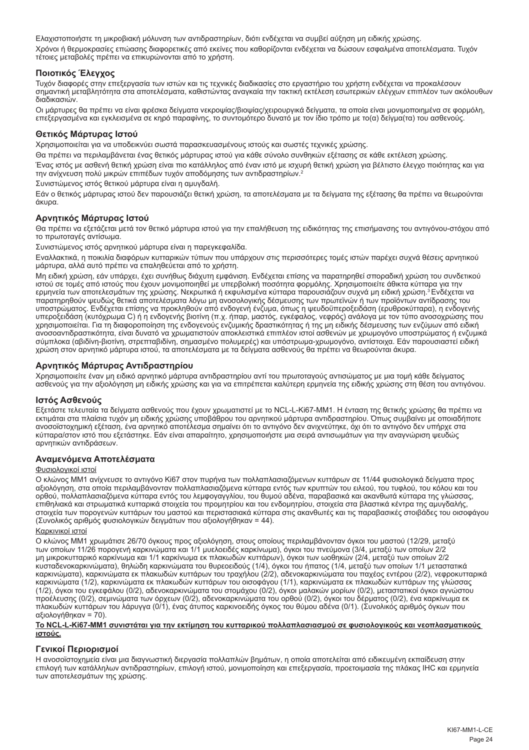Ελαχιστοποιήστε τη μικροβιακή μόλυνση των αντιδραστηρίων, διότι ενδέχεται να συμβεί αύξηση μη ειδικής χρώσης. Χρόνοι ή θερμοκρασίες επώασης διαφορετικές από εκείνες που καθορίζονται ενδέχεται να δώσουν εσφαλμένα αποτελέσματα. Τυχόν τέτοιες μεταβολές πρέπει να επικυρώνονται από το χρήστη.

# **Ποιοτικός Έλεγχος**

Τυχόν διαφορές στην επεξεργασία των ιστών και τις τεχνικές διαδικασίες στο εργαστήριο του χρήστη ενδέχεται να προκαλέσουν σημαντική μεταβλητότητα στα αποτελέσματα, καθιστώντας αναγκαία την τακτική εκτέλεση εσωτερικών ελέγχων επιπλέον των ακόλουθων διαδικασιών.

Οι μάρτυρες θα πρέπει να είναι φρέσκα δείγματα νεκροψίας/βιοψίας/χειρουργικά δείγματα, τα οποία είναι μονιμοποιημένα σε φορμόλη, επεξεργασμένα και εγκλεισμένα σε κηρό παραφίνης, το συντομότερο δυνατό με τον ίδιο τρόπο με το(α) δείγμα(τα) του ασθενούς.

# **Θετικός Μάρτυρας Ιστού**

Χρησιμοποιείται για να υποδεικνύει σωστά παρασκευασμένους ιστούς και σωστές τεχνικές χρώσης.

Θα πρέπει να περιλαμβάνεται ένας θετικός μάρτυρας ιστού για κάθε σύνολο συνθηκών εξέτασης σε κάθε εκτέλεση χρώσης.

Ένας ιστός με ασθενή θετική χρώση είναι πιο κατάλληλος από έναν ιστό με ισχυρή θετική χρώση για βέλτιστο έλεγχο ποιότητας και για την ανίχνευση πολύ μικρών επιπέδων τυχόν αποδόμησης των αντιδραστηρίων.<sup>2</sup>

Συνιστώμενος ιστός θετικού μάρτυρα είναι η αμυγδαλή.

Εάν ο θετικός μάρτυρας ιστού δεν παρουσιάζει θετική χρώση, τα αποτελέσματα με τα δείγματα της εξέτασης θα πρέπει να θεωρούνται άκυρα.

# **Αρνητικός Μάρτυρας Ιστού**

Θα πρέπει να εξετάζεται μετά τον θετικό μάρτυρα ιστού για την επαλήθευση της ειδικότητας της επισήμανσης του αντιγόνου-στόχου από το πρωτοταγές αντίσωμα.

Συνιστώμενος ιστός αρνητικού μάρτυρα είναι η παρεγκεφαλίδα.

Εναλλακτικά, η ποικιλία διαφόρων κυτταρικών τύπων που υπάρχουν στις περισσότερες τομές ιστών παρέχει συχνά θέσεις αρνητικού μάρτυρα, αλλά αυτό πρέπει να επαληθεύεται από το χρήστη.

Μη ειδική χρώση, εάν υπάρχει, έχει συνήθως διάχυτη εμφάνιση. Ενδέχεται επίσης να παρατηρηθεί σποραδική χρώση του συνδετικού ιστού σε τομές από ιστούς που έχουν μονιμοποιηθεί με υπερβολική ποσότητα φορμόλης. Χρησιμοποιείτε άθικτα κύτταρα για την<br>ερμηνεία των αποτελεσμάτων της χρώσης. Νεκρωτικά ή εκφυλισμένα κύτταρα παρουσιάζουν συχνά μη ειδική παρατηρηθούν ψευδώς θετικά αποτελέσματα λόγω μη ανοσολογικής δέσμευσης των πρωτεϊνών ή των προϊόντων αντίδρασης του υποστρώματος. Ενδέχεται επίσης να προκληθούν από ενδογενή ένζυμα, όπως η ψευδοϋπεροξειδάση (ερυθροκύτταρα), η ενδογενής<br>υπεροξειδάση (κυτόχρωμα C) ή η ενδογενής βιοτίνη (π.χ. ήπαρ, μαστός, εγκέφαλος, νεφρός) ανάλογα με το χρησιμοποιείται. Για τη διαφοροποίηση της ενδογενούς ενζυμικής δραστικότητας ή της μη ειδικής δέσμευσης των ενζύμων από ειδική ανοσοαντιδραστικότητα, είναι δυνατό να χρωματιστούν αποκλειστικά επιπλέον ιστοί ασθενών με χρωμογόνο υποστρώματος ή ενζυμικά σύμπλοκα (αβιδίνη-βιοτίνη, στρεπταβιδίνη, σημασμένο πολυμερές) και υπόστρωμα-χρωμογόνο, αντίστοιχα. Εάν παρουσιαστεί ειδική χρώση στον αρνητικό μάρτυρα ιστού, τα αποτελέσματα με τα δείγματα ασθενούς θα πρέπει να θεωρούνται άκυρα.

# **Αρνητικός Μάρτυρας Αντιδραστηρίου**

Χρησιμοποιείτε έναν μη ειδικό αρνητικό μάρτυρα αντιδραστηρίου αντί του πρωτοταγούς αντισώματος με μια τομή κάθε δείγματος<br>ασθενούς για την αξιολόγηση μη ειδικής χρώσης και για να επιτρέπεται καλύτερη ερμηνεία της ειδικής

# **Ιστός Ασθενούς**

Εξετάστε τελευταία τα δείγματα ασθενούς που έχουν χρωματιστεί με το NCL-L-Ki67-MM1. Η ένταση της θετικής χρώσης θα πρέπει να εκτιμάται στα πλαίσια τυχόν μη ειδικής χρώσης υποβάθρου του αρνητικού μάρτυρα αντιδραστηρίου. Όπως συμβαίνει με οποιαδήποτε ανοσοϊστοχημική εξέταση, ένα αρνητικό αποτέλεσμα σημαίνει ότι το αντιγόνο δεν ανιχνεύτηκε, όχι ότι το αντιγόνο δεν υπήρχε στα κύτταρα/στον ιστό που εξετάστηκε. Εάν είναι απαραίτητο, χρησιμοποιήστε μια σειρά αντισωμάτων για την αναγνώριση ψευδώς αρνητικών αντιδράσεων.

# **Αναμενόμενα Αποτελέσματα**

#### Φυσιολογικοί ιστοί

Ο κλώνος MM1 ανίχνευσε το αντιγόνο Ki67 στον πυρήνα των πολλαπλασιαζόμενων κυττάρων σε 11/44 φυσιολογικά δείγματα προς αξιολόγηση, στα οποία περιλαμβάνονταν πολλαπλασιαζόμενα κύτταρα εντός των κρυπτών του ειλεού, του τυφλού, του κόλου και του ορθού, πολλαπλασιαζόμενα κύτταρα εντός του λεμφογαγγλίου, του θυμού αδένα, παραβασικά και ακανθωτά κύτταρα της γλώσσας, επιθηλιακά και στρωματικά κυτταρικά στοιχεία του προμητρίου και του ενδομητρίου, στοιχεία στα βλαστικά κέντρα της αμυγδαλής, στοιχεία των πορογενών κυττάρων του μαστού και περιστασιακά κύτταρα στις ακανθωτές και τις παραβασικές στοιβάδες του οισοφάγου (Συνολικός αριθμός φυσιολογικών δειγμάτων που αξιολογήθηκαν = 44).

# Καρκινικοί ιστοί

Ο κλώνος MM1 χρωμάτισε 26/70 όγκους προς αξιολόγηση, στους οποίους περιλαμβάνονταν όγκοι του μαστού (12/29, μεταξύ των οποίων 11/26 πορογενή καρκινώματα και 1/1 μυελοειδές καρκίνωμα), όγκοι του πνεύμονα (3/4, μεταξύ των οποίων 2/2 μη μικροκυτταρικό καρκίνωμα και 1/1 καρκίνωμα εκ πλακωδών κυττάρων), όγκοι των ωοθηκών (2/4, μεταξύ των οποίων 2/2 κυσταδενοκαρκινώματα), θηλώδη καρκινώματα του θυρεοειδούς (1/4), όγκοι του ήπατος (1/4, μεταξύ των οποίων 1/1 μεταστατικά καρκινώματα), καρκινώματα εκ πλακωδών κυττάρων του τραχήλου (2/2), αδενοκαρκινώματα του παχέος εντέρου (2/2), νεφροκυτταρικά καρκινώματα (1/2), καρκινώματα εκ πλακωδών κυττάρων του οισοφάγου (1/1), καρκινώματα εκ πλακωδών κυττάρων της γλώσσας (1/2), όγκοι του εγκεφάλου (0/2), αδενοκαρκινώματα του στομάχου (0/2), όγκοι μαλακών μορίων (0/2), μεταστατικοί όγκοι αγνώστου προέλευσης (0/2), σεμινώματα των όρχεων (0/2), αδενοκαρκινώματα του ορθού (0/2), όγκοι του δέρματος (0/2), ένα καρκίνωμα εκ πλακωδών κυττάρων του λάρυγγα (0/1), ένας άτυπος καρκινοειδής όγκος του θύμου αδένα (0/1). (Συνολικός αριθμός όγκων που αξιολογήθηκαν = 70).

#### **Το NCL-L-Ki67-MM1 συνιστάται για την εκτίμηση του κυτταρικού πολλαπλασιασμού σε φυσιολογικούς και νεοπλασματικούς ιστούς.**

# **Γενικοί Περιορισμοί**

Η ανοσοϊστοχημεία είναι μια διαγνωστική διεργασία πολλαπλών βημάτων, η οποία αποτελείται από ειδικευμένη εκπαίδευση στην επιλογή των κατάλληλων αντιδραστηρίων, επιλογή ιστού, μονιμοποίηση και επεξεργασία, προετοιμασία της πλάκας IHC και ερμηνεία των αποτελεσμάτων της χρώσης.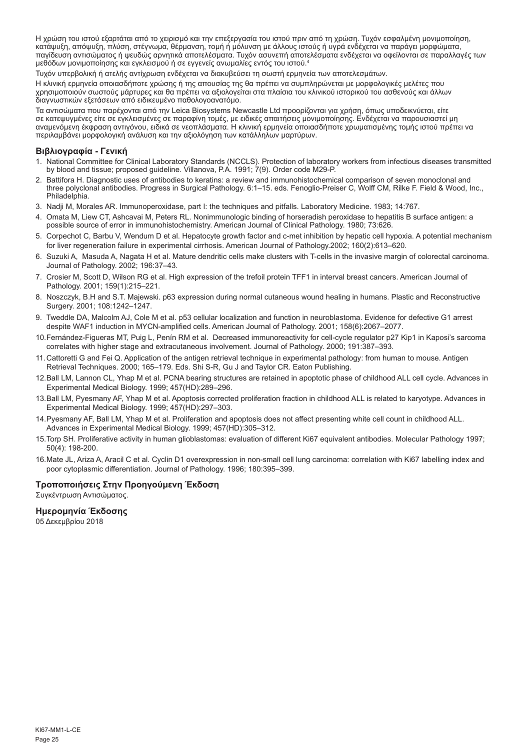Η χρώση του ιστού εξαρτάται από το χειρισμό και την επεξεργασία του ιστού πριν από τη χρώση. Τυχόν εσφαλμένη μονιμοποίηση, κατάψυξη, απόψυξη, πλύση, στέγνωμα, θέρμανση, τομή ή μόλυνση με άλλους ιστούς ή υγρά ενδέχεται να παράγει μορφώματα, παγίδευση αντισώματος ή ψευδώς αρνητικά αποτελέσματα. Τυχόν ασυνεπή αποτελέσματα ενδέχεται να οφείλονται σε παραλλαγές των μεθόδων μονιμοποίησης και εγκλεισμού ή σε εγγενείς ανωμαλίες εντός του ιστού.4

Τυχόν υπερβολική ή ατελής αντίχρωση ενδέχεται να διακυβεύσει τη σωστή ερμηνεία των αποτελεσμάτων.

Η κλινική ερμηνεία οποιασδήποτε χρώσης ή της απουσίας της θα πρέπει να συμπληρώνεται με μορφολογικές μελέτες που χρησιμοποιούν σωστούς μάρτυρες και θα πρέπει να αξιολογείται στα πλαίσια του κλινικού ιστορικού του ασθενούς και άλλων διαγνωστικών εξετάσεων από ειδικευμένο παθολογοανατόμο.

Τα αντισώματα που παρέχονται από την Leica Biosystems Newcastle Ltd προορίζονται για χρήση, όπως υποδεικνύεται, είτε<br>σε κατεψυγμένες είτε σε εγκλεισμένες σε παραφίνη τομές, με ειδικές απαιτήσεις μονιμοποίησης. Ενδέχεται ν αναμενόμενη έκφραση αντιγόνου, ειδικά σε νεοπλάσματα. Η κλινική ερμηνεία οποιασδήποτε χρωματισμένης τομής ιστού πρέπει να περιλαμβάνει μορφολογική ανάλυση και την αξιολόγηση των κατάλληλων μαρτύρων.

# **Βιβλιογραφία - Γενική**

- 1. National Committee for Clinical Laboratory Standards (NCCLS). Protection of laboratory workers from infectious diseases transmitted by blood and tissue; proposed guideline. Villanova, P.A. 1991; 7(9). Order code M29-P.
- 2. Battifora H. Diagnostic uses of antibodies to keratins: a review and immunohistochemical comparison of seven monoclonal and three polyclonal antibodies. Progress in Surgical Pathology. 6:1–15. eds. Fenoglio-Preiser C, Wolff CM, Rilke F. Field & Wood, Inc., Philadelphia.
- 3. Nadji M, Morales AR. Immunoperoxidase, part I: the techniques and pitfalls. Laboratory Medicine. 1983; 14:767.
- 4. Omata M, Liew CT, Ashcavai M, Peters RL. Nonimmunologic binding of horseradish peroxidase to hepatitis B surface antigen: a possible source of error in immunohistochemistry. American Journal of Clinical Pathology. 1980; 73:626.
- 5. Corpechot C, Barbu V, Wendum D et al. Hepatocyte growth factor and c-met inhibition by hepatic cell hypoxia. A potential mechanism for liver regeneration failure in experimental cirrhosis. American Journal of Pathology.2002; 160(2):613–620.
- 6. Suzuki A, Masuda A, Nagata H et al. Mature dendritic cells make clusters with T-cells in the invasive margin of colorectal carcinoma. Journal of Pathology. 2002; 196:37–43.
- 7. Crosier M, Scott D, Wilson RG et al. High expression of the trefoil protein TFF1 in interval breast cancers. American Journal of Pathology. 2001; 159(1):215–221.
- 8. Noszczyk, B.H and S.T. Majewski. p63 expression during normal cutaneous wound healing in humans. Plastic and Reconstructive Surgery. 2001; 108:1242–1247.
- 9. Tweddle DA, Malcolm AJ, Cole M et al. p53 cellular localization and function in neuroblastoma. Evidence for defective G1 arrest despite WAF1 induction in MYCN-amplified cells. American Journal of Pathology. 2001; 158(6):2067–2077.
- 10.Fernández-Figueras MT, Puig L, Penín RM et al. Decreased immunoreactivity for cell-cycle regulator p27 Kip1 in Kaposi's sarcoma correlates with higher stage and extracutaneous involvement. Journal of Pathology. 2000; 191:387–393.
- 11.Cattoretti G and Fei Q. Application of the antigen retrieval technique in experimental pathology: from human to mouse. Antigen Retrieval Techniques. 2000; 165–179. Eds. Shi S-R, Gu J and Taylor CR. Eaton Publishing.
- 12.Ball LM, Lannon CL, Yhap M et al. PCNA bearing structures are retained in apoptotic phase of childhood ALL cell cycle. Advances in Experimental Medical Biology. 1999; 457(HD):289–296.
- 13.Ball LM, Pyesmany AF, Yhap M et al. Apoptosis corrected proliferation fraction in childhood ALL is related to karyotype. Advances in Experimental Medical Biology. 1999; 457(HD):297–303.
- 14.Pyesmany AF, Ball LM, Yhap M et al. Proliferation and apoptosis does not affect presenting white cell count in childhood ALL. Advances in Experimental Medical Biology. 1999; 457(HD):305–312.
- 15.Torp SH. Proliferative activity in human glioblastomas: evaluation of different Ki67 equivalent antibodies. Molecular Pathology 1997; 50(4): 198-200.
- 16.Mate JL, Ariza A, Aracil C et al. Cyclin D1 overexpression in non-small cell lung carcinoma: correlation with Ki67 labelling index and poor cytoplasmic differentiation. Journal of Pathology. 1996; 180:395–399.

# **Τροποποιήσεις Στην Προηγούμενη Έκδοση**

Συγκέντρωση Αντισώματος.

# **Ημερομηνία Έκδοσης**

05 Δεκεμβρίου 2018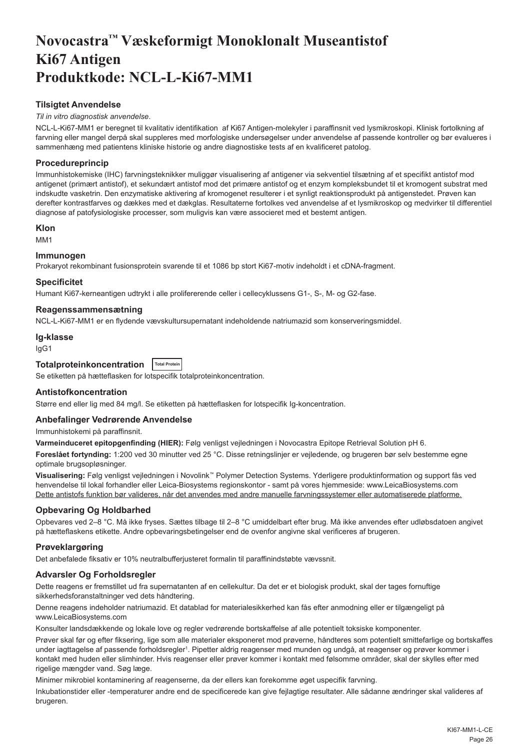# <span id="page-26-0"></span>**Novocastra™ Væskeformigt Monoklonalt Museantistof Ki67 Antigen Produktkode: NCL-L-Ki67-MM1**

# **Tilsigtet Anvendelse**

#### *Til in vitro diagnostisk anvendelse*.

NCL-L-Ki67-MM1 er beregnet til kvalitativ identifikation af Ki67 Antigen-molekyler i paraffinsnit ved lysmikroskopi. Klinisk fortolkning af farvning eller mangel derpå skal suppleres med morfologiske undersøgelser under anvendelse af passende kontroller og bør evalueres i sammenhæng med patientens kliniske historie og andre diagnostiske tests af en kvalificeret patolog.

# **Procedureprincip**

Immunhistokemiske (IHC) farvningsteknikker muliggør visualisering af antigener via sekventiel tilsætning af et specifikt antistof mod antigenet (primært antistof), et sekundært antistof mod det primære antistof og et enzym kompleksbundet til et kromogent substrat med indskudte vasketrin. Den enzymatiske aktivering af kromogenet resulterer i et synligt reaktionsprodukt på antigenstedet. Prøven kan derefter kontrastfarves og dækkes med et dækglas. Resultaterne fortolkes ved anvendelse af et lysmikroskop og medvirker til differentiel diagnose af patofysiologiske processer, som muligvis kan være associeret med et bestemt antigen.

# **Klon**

MM1

# **Immunogen**

Prokaryot rekombinant fusionsprotein svarende til et 1086 bp stort Ki67-motiv indeholdt i et cDNA-fragment.

#### **Specificitet**

Humant Ki67-kerneantigen udtrykt i alle prolifererende celler i cellecyklussens G1-, S-, M- og G2-fase.

#### **Reagenssammensætning**

NCL-L-Ki67-MM1 er en flydende vævskultursupernatant indeholdende natriumazid som konserveringsmiddel.

#### **Ig-klasse**

IgG1

# **Totalproteinkoncentration Total Protein**

Se etiketten på hætteflasken for lotspecifik totalproteinkoncentration.

#### **Antistofkoncentration**

Større end eller lig med 84 mg/l. Se etiketten på hætteflasken for lotspecifik Ig-koncentration.

# **Anbefalinger Vedrørende Anvendelse**

Immunhistokemi på paraffinsnit.

**Varmeinduceret epitopgenfinding (HIER):** Følg venligst vejledningen i Novocastra Epitope Retrieval Solution pH 6.

**Foreslået fortynding:** 1:200 ved 30 minutter ved 25 °C. Disse retningslinjer er vejledende, og brugeren bør selv bestemme egne optimale brugsopløsninger.

**Visualisering:** Følg venligst vejledningen i Novolink™ Polymer Detection Systems. Yderligere produktinformation og support fås ved henvendelse til lokal forhandler eller Leica-Biosystems regionskontor - samt på vores hjemmeside: www.LeicaBiosystems.com Dette antistofs funktion bør valideres, når det anvendes med andre manuelle farvningssystemer eller automatiserede platforme.

# **Opbevaring Og Holdbarhed**

Opbevares ved 2–8 °C. Må ikke fryses. Sættes tilbage til 2–8 °C umiddelbart efter brug. Må ikke anvendes efter udløbsdatoen angivet på hætteflaskens etikette. Andre opbevaringsbetingelser end de ovenfor angivne skal verificeres af brugeren.

# **Prøveklargøring**

Det anbefalede fiksativ er 10% neutralbufferjusteret formalin til paraffinindstøbte vævssnit.

# **Advarsler Og Forholdsregler**

Dette reagens er fremstillet ud fra supernatanten af en cellekultur. Da det er et biologisk produkt, skal der tages fornuftige sikkerhedsforanstaltninger ved dets håndtering.

Denne reagens indeholder natriumazid. Et datablad for materialesikkerhed kan fås efter anmodning eller er tilgængeligt på www.LeicaBiosystems.com

Konsulter landsdækkende og lokale love og regler vedrørende bortskaffelse af alle potentielt toksiske komponenter.

Prøver skal før og efter fiksering, lige som alle materialer eksponeret mod prøverne, håndteres som potentielt smittefarlige og bortskaffes under iagttagelse af passende forholdsregler<sup>ı</sup>. Pipetter aldrig reagenser med munden og undgå, at reagenser og prøver kommer i kontakt med huden eller slimhinder. Hvis reagenser eller prøver kommer i kontakt med følsomme områder, skal der skylles efter med rigelige mængder vand. Søg læge.

Minimer mikrobiel kontaminering af reagenserne, da der ellers kan forekomme øget uspecifik farvning.

Inkubationstider eller -temperaturer andre end de specificerede kan give fejlagtige resultater. Alle sådanne ændringer skal valideres af brugeren.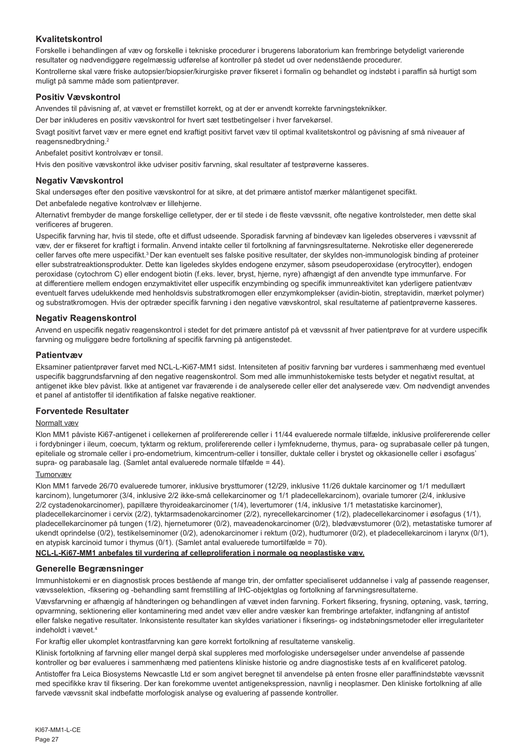# **Kvalitetskontrol**

Forskelle i behandlingen af væv og forskelle i tekniske procedurer i brugerens laboratorium kan frembringe betydeligt varierende resultater og nødvendiggøre regelmæssig udførelse af kontroller på stedet ud over nedenstående procedurer. Kontrollerne skal være friske autopsier/biopsier/kirurgiske prøver fikseret i formalin og behandlet og indstøbt i paraffin så hurtigt som muligt på samme måde som patientprøver.

# **Positiv Vævskontrol**

Anvendes til påvisning af, at vævet er fremstillet korrekt, og at der er anvendt korrekte farvningsteknikker.

Der bør inkluderes en positiv vævskontrol for hvert sæt testbetingelser i hver farvekørsel.

Svagt positivt farvet væv er mere egnet end kraftigt positivt farvet væv til optimal kvalitetskontrol og påvisning af små niveauer af reagensnedbrydning.<sup>2</sup>

Anbefalet positivt kontrolvæv er tonsil.

Hvis den positive vævskontrol ikke udviser positiv farvning, skal resultater af testprøverne kasseres.

# **Negativ Vævskontrol**

Skal undersøges efter den positive vævskontrol for at sikre, at det primære antistof mærker målantigenet specifikt.

Det anbefalede negative kontrolvæv er lillehjerne.

Alternativt frembyder de mange forskellige celletyper, der er til stede i de fleste vævssnit, ofte negative kontrolsteder, men dette skal verificeres af brugeren.

Uspecifik farvning har, hvis til stede, ofte et diffust udseende. Sporadisk farvning af bindevæv kan ligeledes observeres i vævssnit af væv, der er fikseret for kraftigt i formalin. Anvend intakte celler til fortolkning af farvningsresultaterne. Nekrotiske eller degenererede celler farves ofte mere uspecifikt.<sup>3</sup> Der kan eventuelt ses falske positive resultater, der skyldes non-immunologisk binding af proteiner eller substratreaktionsprodukter. Dette kan ligeledes skyldes endogene enzymer, såsom pseudoperoxidase (erytrocytter), endogen peroxidase (cytochrom C) eller endogent biotin (f.eks. lever, bryst, hjerne, nyre) afhængigt af den anvendte type immunfarve. For at differentiere mellem endogen enzymaktivitet eller uspecifik enzymbinding og specifik immunreaktivitet kan yderligere patientvæv eventuelt farves udelukkende med henholdsvis substratkromogen eller enzymkomplekser (avidin-biotin, streptavidin, mærket polymer) og substratkromogen. Hvis der optræder specifik farvning i den negative vævskontrol, skal resultaterne af patientprøverne kasseres.

# **Negativ Reagenskontrol**

Anvend en uspecifik negativ reagenskontrol i stedet for det primære antistof på et vævssnit af hver patientprøve for at vurdere uspecifik farvning og muliggøre bedre fortolkning af specifik farvning på antigenstedet.

# **Patientvæv**

Eksaminer patientprøver farvet med NCL-L-Ki67-MM1 sidst. Intensiteten af positiv farvning bør vurderes i sammenhæng med eventuel uspecifik baggrundsfarvning af den negative reagenskontrol. Som med alle immunhistokemiske tests betyder et negativt resultat, at antigenet ikke blev påvist. Ikke at antigenet var fraværende i de analyserede celler eller det analyserede væv. Om nødvendigt anvendes et panel af antistoffer til identifikation af falske negative reaktioner.

# **Forventede Resultater**

# Normalt væv

Klon MM1 påviste Ki67-antigenet i cellekernen af prolifererende celler i 11/44 evaluerede normale tilfælde, inklusive prolifererende celler i fordybninger i ileum, coecum, tyktarm og rektum, prolifererende celler i lymfeknuderne, thymus, para- og suprabasale celler på tungen, epiteliale og stromale celler i pro-endometrium, kimcentrum-celler i tonsiller, duktale celler i brystet og okkasionelle celler i øsofagus' supra- og parabasale lag. (Samlet antal evaluerede normale tilfælde = 44).

# Tumorvæv

Klon MM1 farvede 26/70 evaluerede tumorer, inklusive brysttumorer (12/29, inklusive 11/26 duktale karcinomer og 1/1 medullært karcinom), lungetumorer (3/4, inklusive 2/2 ikke-små cellekarcinomer og 1/1 pladecellekarcinom), ovariale tumorer (2/4, inklusive 2/2 cystadenokarcinomer), papillære thyroideakarcinomer (1/4), levertumorer (1/4, inklusive 1/1 metastatiske karcinomer), pladecellekarcinomer i cervix (2/2), tyktarmsadenokarcinomer (2/2), nyrecellekarcinomer (1/2), pladecellekarcinomer i øsofagus (1/1), pladecellekarcinomer på tungen (1/2), hjernetumorer (0/2), maveadenokarcinomer (0/2), blødvævstumorer (0/2), metastatiske tumorer af ukendt oprindelse (0/2), testikelseminomer (0/2), adenokarcinomer i rektum (0/2), hudtumorer (0/2), et pladecellekarcinom i larynx (0/1), en atypisk karcinoid tumor i thymus (0/1). (Samlet antal evaluerede tumortilfælde = 70).

# **NCL-L-Ki67-MM1 anbefales til vurdering af celleproliferation i normale og neoplastiske væv.**

# **Generelle Begrænsninger**

Immunhistokemi er en diagnostisk proces bestående af mange trin, der omfatter specialiseret uddannelse i valg af passende reagenser, vævsselektion, -fiksering og -behandling samt fremstilling af IHC-objektglas og fortolkning af farvningsresultaterne.

Vævsfarvning er afhængig af håndteringen og behandlingen af vævet inden farvning. Forkert fiksering, frysning, optøning, vask, tørring, opvarmning, sektionering eller kontaminering med andet væv eller andre væsker kan frembringe artefakter, indfangning af antistof eller falske negative resultater. Inkonsistente resultater kan skyldes variationer i fikserings- og indstøbningsmetoder eller irregulariteter indeholdt i vævet.

For kraftig eller ukomplet kontrastfarvning kan gøre korrekt fortolkning af resultaterne vanskelig.

Klinisk fortolkning af farvning eller mangel derpå skal suppleres med morfologiske undersøgelser under anvendelse af passende kontroller og bør evalueres i sammenhæng med patientens kliniske historie og andre diagnostiske tests af en kvalificeret patolog.

Antistoffer fra Leica Biosystems Newcastle Ltd er som angivet beregnet til anvendelse på enten frosne eller paraffinindstøbte vævssnit med specifikke krav til fiksering. Der kan forekomme uventet antigenekspression, navnlig i neoplasmer. Den kliniske fortolkning af alle farvede vævssnit skal indbefatte morfologisk analyse og evaluering af passende kontroller.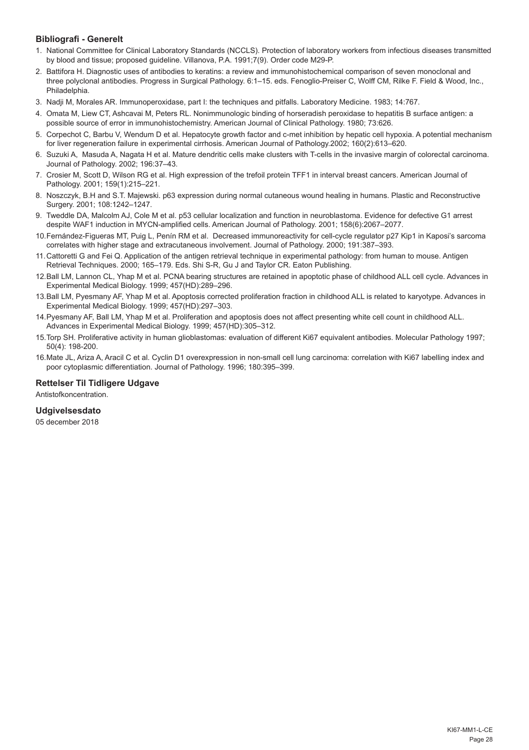# **Bibliografi - Generelt**

- 1. National Committee for Clinical Laboratory Standards (NCCLS). Protection of laboratory workers from infectious diseases transmitted by blood and tissue; proposed guideline. Villanova, P.A. 1991;7(9). Order code M29-P.
- 2. Battifora H. Diagnostic uses of antibodies to keratins: a review and immunohistochemical comparison of seven monoclonal and three polyclonal antibodies. Progress in Surgical Pathology. 6:1–15. eds. Fenoglio-Preiser C, Wolff CM, Rilke F. Field & Wood, Inc., Philadelphia.
- 3. Nadji M, Morales AR. Immunoperoxidase, part I: the techniques and pitfalls. Laboratory Medicine. 1983; 14:767.
- 4. Omata M, Liew CT, Ashcavai M, Peters RL. Nonimmunologic binding of horseradish peroxidase to hepatitis B surface antigen: a possible source of error in immunohistochemistry. American Journal of Clinical Pathology. 1980; 73:626.
- 5. Corpechot C, Barbu V, Wendum D et al. Hepatocyte growth factor and c-met inhibition by hepatic cell hypoxia. A potential mechanism for liver regeneration failure in experimental cirrhosis. American Journal of Pathology.2002; 160(2):613–620.
- 6. Suzuki A, Masuda A, Nagata H et al. Mature dendritic cells make clusters with T-cells in the invasive margin of colorectal carcinoma. Journal of Pathology. 2002; 196:37–43.
- 7. Crosier M, Scott D, Wilson RG et al. High expression of the trefoil protein TFF1 in interval breast cancers. American Journal of Pathology. 2001; 159(1):215–221.
- 8. Noszczyk, B.H and S.T. Majewski. p63 expression during normal cutaneous wound healing in humans. Plastic and Reconstructive Surgery. 2001; 108:1242–1247.
- 9. Tweddle DA, Malcolm AJ, Cole M et al. p53 cellular localization and function in neuroblastoma. Evidence for defective G1 arrest despite WAF1 induction in MYCN-amplified cells. American Journal of Pathology. 2001; 158(6):2067–2077.
- 10.Fernández-Figueras MT, Puig L, Penín RM et al. Decreased immunoreactivity for cell-cycle regulator p27 Kip1 in Kaposi's sarcoma correlates with higher stage and extracutaneous involvement. Journal of Pathology. 2000; 191:387–393.
- 11.Cattoretti G and Fei Q. Application of the antigen retrieval technique in experimental pathology: from human to mouse. Antigen Retrieval Techniques. 2000; 165–179. Eds. Shi S-R, Gu J and Taylor CR. Eaton Publishing.
- 12.Ball LM, Lannon CL, Yhap M et al. PCNA bearing structures are retained in apoptotic phase of childhood ALL cell cycle. Advances in Experimental Medical Biology. 1999; 457(HD):289–296.
- 13.Ball LM, Pyesmany AF, Yhap M et al. Apoptosis corrected proliferation fraction in childhood ALL is related to karyotype. Advances in Experimental Medical Biology. 1999; 457(HD):297–303.
- 14.Pyesmany AF, Ball LM, Yhap M et al. Proliferation and apoptosis does not affect presenting white cell count in childhood ALL. Advances in Experimental Medical Biology. 1999; 457(HD):305–312.
- 15.Torp SH. Proliferative activity in human glioblastomas: evaluation of different Ki67 equivalent antibodies. Molecular Pathology 1997; 50(4): 198-200.
- 16.Mate JL, Ariza A, Aracil C et al. Cyclin D1 overexpression in non-small cell lung carcinoma: correlation with Ki67 labelling index and poor cytoplasmic differentiation. Journal of Pathology. 1996; 180:395–399.

# **Rettelser Til Tidligere Udgave**

Antistofkoncentration.

# **Udgivelsesdato**

05 december 2018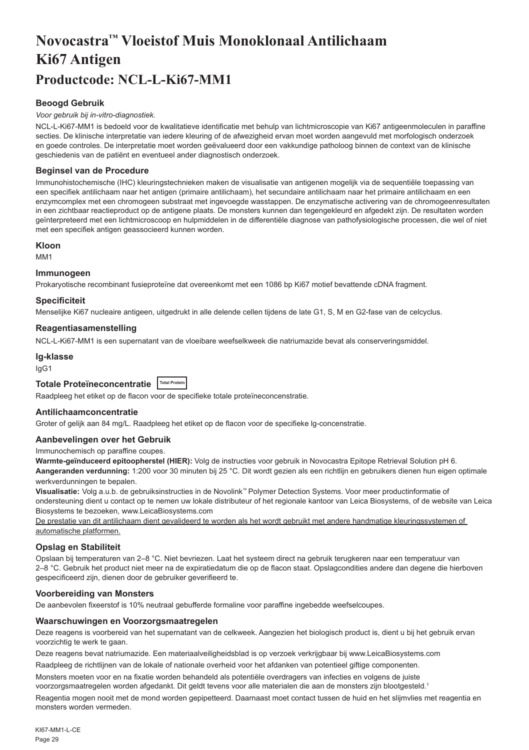# <span id="page-29-0"></span>**Novocastra™ Vloeistof Muis Monoklonaal Antilichaam Ki67 Antigen Productcode: NCL-L-Ki67-MM1**

# **Beoogd Gebruik**

#### *Voor gebruik bij in-vitro-diagnostiek.*

NCL-L-Ki67-MM1 is bedoeld voor de kwalitatieve identificatie met behulp van lichtmicroscopie van Ki67 antigeenmoleculen in paraffine secties. De klinische interpretatie van iedere kleuring of de afwezigheid ervan moet worden aangevuld met morfologisch onderzoek en goede controles. De interpretatie moet worden geëvalueerd door een vakkundige patholoog binnen de context van de klinische geschiedenis van de patiënt en eventueel ander diagnostisch onderzoek.

# **Beginsel van de Procedure**

Immunohistochemische (IHC) kleuringstechnieken maken de visualisatie van antigenen mogelijk via de sequentiële toepassing van een specifiek antilichaam naar het antigen (primaire antilichaam), het secundaire antilichaam naar het primaire antilichaam en een enzymcomplex met een chromogeen substraat met ingevoegde wasstappen. De enzymatische activering van de chromogeenresultaten in een zichtbaar reactieproduct op de antigene plaats. De monsters kunnen dan tegengekleurd en afgedekt zijn. De resultaten worden geïnterpreteerd met een lichtmicroscoop en hulpmiddelen in de differentiële diagnose van pathofysiologische processen, die wel of niet met een specifiek antigen geassocieerd kunnen worden.

#### **Kloon**

M<sub>M1</sub>

#### **Immunogeen**

Prokaryotische recombinant fusieproteïne dat overeenkomt met een 1086 bp Ki67 motief bevattende cDNA fragment.

# **Specificiteit**

Menselijke Ki67 nucleaire antigeen, uitgedrukt in alle delende cellen tijdens de late G1, S, M en G2-fase van de celcyclus.

#### **Reagentiasamenstelling**

NCL-L-Ki67-MM1 is een supernatant van de vloeibare weefselkweek die natriumazide bevat als conserveringsmiddel.

# **Ig-klasse**

IgG1

# **Totale Proteïneconcentratie Total Protein**

Raadpleeg het etiket op de flacon voor de specifieke totale proteïneconcenstratie.

# **Antilichaamconcentratie**

Groter of gelijk aan 84 mg/L. Raadpleeg het etiket op de flacon voor de specifieke lg-concenstratie.

#### **Aanbevelingen over het Gebruik**

Immunochemisch op paraffine coupes.

**Warmte-geïnduceerd epitoopherstel (HIER):** Volg de instructies voor gebruik in Novocastra Epitope Retrieval Solution pH 6. **Aangeranden verdunning:** 1:200 voor 30 minuten bij 25 °C. Dit wordt gezien als een richtlijn en gebruikers dienen hun eigen optimale werkverdunningen te bepalen.

**Visualisatie:** Volg a.u.b. de gebruiksinstructies in de Novolink™ Polymer Detection Systems. Voor meer productinformatie of ondersteuning dient u contact op te nemen uw lokale distributeur of het regionale kantoor van Leica Biosystems, of de website van Leica Biosystems te bezoeken, www.LeicaBiosystems.com

De prestatie van dit antilichaam dient gevalideerd te worden als het wordt gebruikt met andere handmatige kleuringssystemen of automatische platformen.

# **Opslag en Stabiliteit**

Opslaan bij temperaturen van 2–8 °C. Niet bevriezen. Laat het systeem direct na gebruik terugkeren naar een temperatuur van 2–8 °C. Gebruik het product niet meer na de expiratiedatum die op de flacon staat. Opslagcondities andere dan degene die hierboven gespecificeerd zijn, dienen door de gebruiker geverifieerd te.

#### **Voorbereiding van Monsters**

De aanbevolen fixeerstof is 10% neutraal gebufferde formaline voor paraffine ingebedde weefselcoupes.

# **Waarschuwingen en Voorzorgsmaatregelen**

Deze reagens is voorbereid van het supernatant van de celkweek. Aangezien het biologisch product is, dient u bij het gebruik ervan voorzichtig te werk te gaan.

Deze reagens bevat natriumazide. Een materiaalveiligheidsblad is op verzoek verkrijgbaar bij www.LeicaBiosystems.com

Raadpleeg de richtlijnen van de lokale of nationale overheid voor het afdanken van potentieel giftige componenten.

Monsters moeten voor en na fixatie worden behandeld als potentiële overdragers van infecties en volgens de juiste voorzorgsmaatregelen worden afgedankt. Dit geldt tevens voor alle materialen die aan de monsters zijn blootgesteld.<sup>1</sup>

Reagentia mogen nooit met de mond worden gepipetteerd. Daarnaast moet contact tussen de huid en het slijmvlies met reagentia en monsters worden vermeden.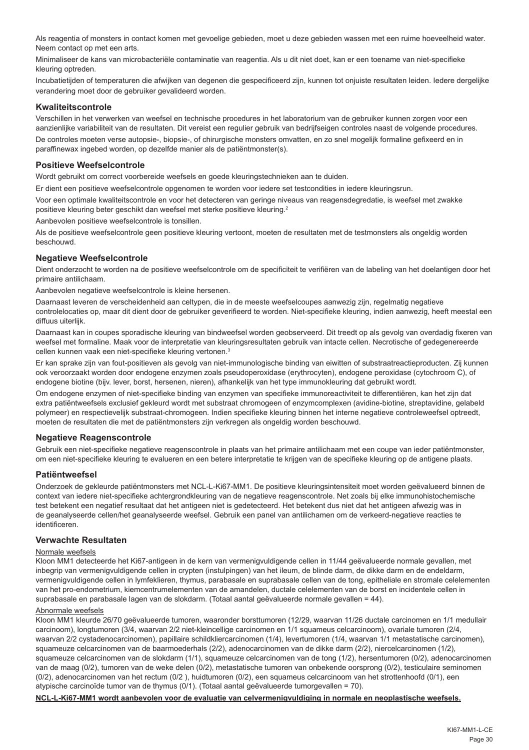Als reagentia of monsters in contact komen met gevoelige gebieden, moet u deze gebieden wassen met een ruime hoeveelheid water. Neem contact op met een arts.

Minimaliseer de kans van microbacteriële contaminatie van reagentia. Als u dit niet doet, kan er een toename van niet-specifieke kleuring optreden.

Incubatietijden of temperaturen die afwijken van degenen die gespecificeerd zijn, kunnen tot onjuiste resultaten leiden. Iedere dergelijke verandering moet door de gebruiker gevalideerd worden.

#### **Kwaliteitscontrole**

Verschillen in het verwerken van weefsel en technische procedures in het laboratorium van de gebruiker kunnen zorgen voor een aanzienlijke variabiliteit van de resultaten. Dit vereist een regulier gebruik van bedrijfseigen controles naast de volgende procedures. De controles moeten verse autopsie-, biopsie-, of chirurgische monsters omvatten, en zo snel mogelijk formaline gefixeerd en in paraffinewax ingebed worden, op dezelfde manier als de patiëntmonster(s).

# **Positieve Weefselcontrole**

Wordt gebruikt om correct voorbereide weefsels en goede kleuringstechnieken aan te duiden.

Er dient een positieve weefselcontrole opgenomen te worden voor iedere set testcondities in iedere kleuringsrun.

Voor een optimale kwaliteitscontrole en voor het detecteren van geringe niveaus van reagensdegredatie, is weefsel met zwakke positieve kleuring beter geschikt dan weefsel met sterke positieve kleuring.<sup>2</sup>

Aanbevolen positieve weefselcontrole is tonsillen.

Als de positieve weefselcontrole geen positieve kleuring vertoont, moeten de resultaten met de testmonsters als ongeldig worden beschouwd.

# **Negatieve Weefselcontrole**

Dient onderzocht te worden na de positieve weefselcontrole om de specificiteit te verifiëren van de labeling van het doelantigen door het primaire antilichaam.

Aanbevolen negatieve weefselcontrole is kleine hersenen.

Daarnaast leveren de verscheidenheid aan celtypen, die in de meeste weefselcoupes aanwezig zijn, regelmatig negatieve controlelocaties op, maar dit dient door de gebruiker geverifieerd te worden. Niet-specifieke kleuring, indien aanwezig, heeft meestal een diffuus uiterlijk.

Daarnaast kan in coupes sporadische kleuring van bindweefsel worden geobserveerd. Dit treedt op als gevolg van overdadig fixeren van weefsel met formaline. Maak voor de interpretatie van kleuringsresultaten gebruik van intacte cellen. Necrotische of gedegenereerde cellen kunnen vaak een niet-specifieke kleuring vertonen.3

Er kan sprake zijn van fout-positieven als gevolg van niet-immunologische binding van eiwitten of substraatreactieproducten. Zij kunnen ook veroorzaakt worden door endogene enzymen zoals pseudoperoxidase (erythrocyten), endogene peroxidase (cytochroom C), of endogene biotine (bijv. lever, borst, hersenen, nieren), afhankelijk van het type immunokleuring dat gebruikt wordt.

Om endogene enzymen of niet-specifieke binding van enzymen van specifieke immunoreactiviteit te differentiëren, kan het zijn dat extra patiëntweefsels exclusief gekleurd wordt met substraat chromogeen of enzymcomplexen (avidine-biotine, streptavidine, gelabeld polymeer) en respectievelijk substraat-chromogeen. Indien specifieke kleuring binnen het interne negatieve controleweefsel optreedt, moeten de resultaten die met de patiëntmonsters zijn verkregen als ongeldig worden beschouwd.

#### **Negatieve Reagenscontrole**

Gebruik een niet-specifieke negatieve reagenscontrole in plaats van het primaire antilichaam met een coupe van ieder patiëntmonster, om een niet-specifieke kleuring te evalueren en een betere interpretatie te krijgen van de specifieke kleuring op de antigene plaats.

# **Patiëntweefsel**

Onderzoek de gekleurde patiëntmonsters met NCL-L-Ki67-MM1. De positieve kleuringsintensiteit moet worden geëvalueerd binnen de context van iedere niet-specifieke achtergrondkleuring van de negatieve reagenscontrole. Net zoals bij elke immunohistochemische test betekent een negatief resultaat dat het antigeen niet is gedetecteerd. Het betekent dus niet dat het antigeen afwezig was in de geanalyseerde cellen/het geanalyseerde weefsel. Gebruik een panel van antilichamen om de verkeerd-negatieve reacties te identificeren.

#### **Verwachte Resultaten**

#### Normale weefsels

Kloon MM1 detecteerde het Ki67-antigeen in de kern van vermenigvuldigende cellen in 11/44 geëvalueerde normale gevallen, met inbegrip van vermenigvuldigende cellen in crypten (instulpingen) van het ileum, de blinde darm, de dikke darm en de endeldarm, vermenigvuldigende cellen in lymfeklieren, thymus, parabasale en suprabasale cellen van de tong, epitheliale en stromale celelementen van het pro-endometrium, kiemcentrumelementen van de amandelen, ductale celelementen van de borst en incidentele cellen in suprabasale en parabasale lagen van de slokdarm. (Totaal aantal geëvalueerde normale gevallen = 44).

#### Abnormale weefsels

Kloon MM1 kleurde 26/70 geëvalueerde tumoren, waaronder borsttumoren (12/29, waarvan 11/26 ductale carcinomen en 1/1 medullair carcinoom), longtumoren (3/4, waarvan 2/2 niet-kleincellige carcinomen en 1/1 squameus celcarcinoom), ovariale tumoren (2/4, waarvan 2/2 cystadenocarcinomen), papillaire schildkliercarcinomen (1/4), levertumoren (1/4, waarvan 1/1 metastatische carcinomen), squameuze celcarcinomen van de baarmoederhals (2/2), adenocarcinomen van de dikke darm (2/2), niercelcarcinomen (1/2), squameuze celcarcinomen van de slokdarm (1/1), squameuze celcarcinomen van de tong (1/2), hersentumoren (0/2), adenocarcinomen van de maag (0/2), tumoren van de weke delen (0/2), metastatische tumoren van onbekende oorsprong (0/2), testiculaire seminomen (0/2), adenocarcinomen van het rectum (0/2 ), huidtumoren (0/2), een squameus celcarcinoom van het strottenhoofd (0/1), een atypische carcinoïde tumor van de thymus (0/1). (Totaal aantal geëvalueerde tumorgevallen = 70).

**NCL-L-Ki67-MM1 wordt aanbevolen voor de evaluatie van celvermenigvuldiging in normale en neoplastische weefsels.**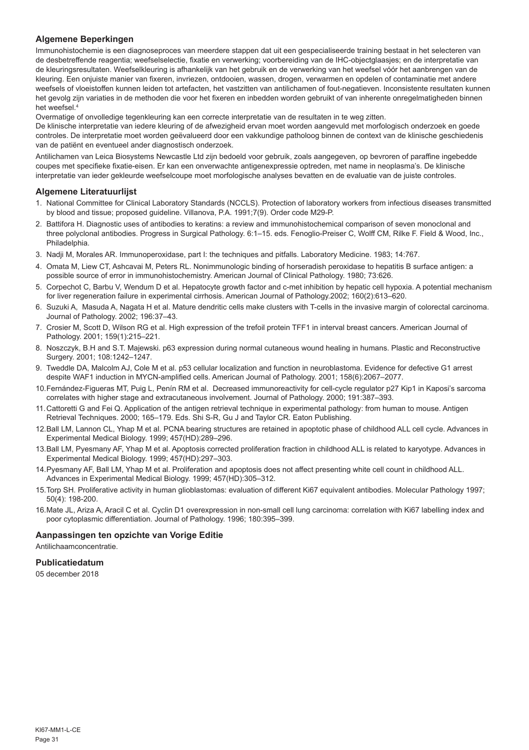# **Algemene Beperkingen**

Immunohistochemie is een diagnoseproces van meerdere stappen dat uit een gespecialiseerde training bestaat in het selecteren van de desbetreffende reagentia; weefselselectie, fixatie en verwerking; voorbereiding van de IHC-objectglaasjes; en de interpretatie van de kleuringsresultaten. Weefselkleuring is afhankelijk van het gebruik en de verwerking van het weefsel vóór het aanbrengen van de kleuring. Een onjuiste manier van fixeren, invriezen, ontdooien, wassen, drogen, verwarmen en opdelen of contaminatie met andere weefsels of vloeistoffen kunnen leiden tot artefacten, het vastzitten van antilichamen of fout-negatieven. Inconsistente resultaten kunnen het gevolg zijn variaties in de methoden die voor het fixeren en inbedden worden gebruikt of van inherente onregelmatigheden binnen het weefsel.4

Overmatige of onvolledige tegenkleuring kan een correcte interpretatie van de resultaten in te weg zitten.

De klinische interpretatie van iedere kleuring of de afwezigheid ervan moet worden aangevuld met morfologisch onderzoek en goede controles. De interpretatie moet worden geëvalueerd door een vakkundige patholoog binnen de context van de klinische geschiedenis van de patiënt en eventueel ander diagnostisch onderzoek.

Antilichamen van Leica Biosystems Newcastle Ltd zijn bedoeld voor gebruik, zoals aangegeven, op bevroren of paraffine ingebedde coupes met specifieke fixatie-eisen. Er kan een onverwachte antigenexpressie optreden, met name in neoplasma's. De klinische interpretatie van ieder gekleurde weefselcoupe moet morfologische analyses bevatten en de evaluatie van de juiste controles.

# **Algemene Literatuurlijst**

- 1. National Committee for Clinical Laboratory Standards (NCCLS). Protection of laboratory workers from infectious diseases transmitted by blood and tissue; proposed guideline. Villanova, P.A. 1991;7(9). Order code M29-P.
- 2. Battifora H. Diagnostic uses of antibodies to keratins: a review and immunohistochemical comparison of seven monoclonal and three polyclonal antibodies. Progress in Surgical Pathology. 6:1–15. eds. Fenoglio-Preiser C, Wolff CM, Rilke F. Field & Wood, Inc., **Philadelphia**
- 3. Nadji M, Morales AR. Immunoperoxidase, part I: the techniques and pitfalls. Laboratory Medicine. 1983; 14:767.
- 4. Omata M, Liew CT, Ashcavai M, Peters RL. Nonimmunologic binding of horseradish peroxidase to hepatitis B surface antigen: a possible source of error in immunohistochemistry. American Journal of Clinical Pathology. 1980; 73:626.
- 5. Corpechot C, Barbu V, Wendum D et al. Hepatocyte growth factor and c-met inhibition by hepatic cell hypoxia. A potential mechanism for liver regeneration failure in experimental cirrhosis. American Journal of Pathology.2002; 160(2):613–620.
- 6. Suzuki A, Masuda A, Nagata H et al. Mature dendritic cells make clusters with T-cells in the invasive margin of colorectal carcinoma. Journal of Pathology. 2002; 196:37–43.
- 7. Crosier M, Scott D, Wilson RG et al. High expression of the trefoil protein TFF1 in interval breast cancers. American Journal of Pathology. 2001; 159(1):215–221.
- 8. Noszczyk, B.H and S.T. Majewski. p63 expression during normal cutaneous wound healing in humans. Plastic and Reconstructive Surgery. 2001; 108:1242–1247.
- 9. Tweddle DA, Malcolm AJ, Cole M et al. p53 cellular localization and function in neuroblastoma. Evidence for defective G1 arrest despite WAF1 induction in MYCN-amplified cells. American Journal of Pathology. 2001; 158(6):2067–2077.
- 10.Fernández-Figueras MT, Puig L, Penín RM et al. Decreased immunoreactivity for cell-cycle regulator p27 Kip1 in Kaposi's sarcoma correlates with higher stage and extracutaneous involvement. Journal of Pathology. 2000; 191:387–393.
- 11.Cattoretti G and Fei Q. Application of the antigen retrieval technique in experimental pathology: from human to mouse. Antigen Retrieval Techniques. 2000; 165–179. Eds. Shi S-R, Gu J and Taylor CR. Eaton Publishing.
- 12.Ball LM, Lannon CL, Yhap M et al. PCNA bearing structures are retained in apoptotic phase of childhood ALL cell cycle. Advances in Experimental Medical Biology. 1999; 457(HD):289–296.
- 13.Ball LM, Pyesmany AF, Yhap M et al. Apoptosis corrected proliferation fraction in childhood ALL is related to karyotype. Advances in Experimental Medical Biology. 1999; 457(HD):297–303.
- 14.Pyesmany AF, Ball LM, Yhap M et al. Proliferation and apoptosis does not affect presenting white cell count in childhood ALL. Advances in Experimental Medical Biology. 1999; 457(HD):305–312.
- 15.Torp SH. Proliferative activity in human glioblastomas: evaluation of different Ki67 equivalent antibodies. Molecular Pathology 1997; 50(4): 198-200.
- 16.Mate JL, Ariza A, Aracil C et al. Cyclin D1 overexpression in non-small cell lung carcinoma: correlation with Ki67 labelling index and poor cytoplasmic differentiation. Journal of Pathology. 1996; 180:395–399.

#### **Aanpassingen ten opzichte van Vorige Editie**

Antilichaamconcentratie.

# **Publicatiedatum**

05 december 2018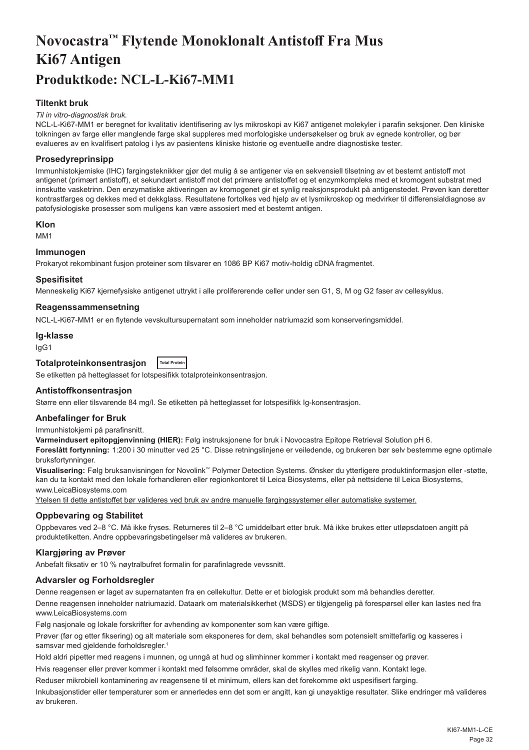# <span id="page-32-0"></span>**Novocastra™ Flytende Monoklonalt Antistoff Fra Mus Ki67 Antigen Produktkode: NCL-L-Ki67-MM1**

# **Tiltenkt bruk**

#### *Til in vitro-diagnostisk bruk.*

NCL-L-Ki67-MM1 er beregnet for kvalitativ identifisering av lys mikroskopi av Ki67 antigenet molekyler i parafin seksjoner. Den kliniske tolkningen av farge eller manglende farge skal suppleres med morfologiske undersøkelser og bruk av egnede kontroller, og bør evalueres av en kvalifisert patolog i lys av pasientens kliniske historie og eventuelle andre diagnostiske tester.

# **Prosedyreprinsipp**

Immunhistokjemiske (IHC) fargingsteknikker gjør det mulig å se antigener via en sekvensiell tilsetning av et bestemt antistoff mot antigenet (primært antistoff), et sekundært antistoff mot det primære antistoffet og et enzymkompleks med et kromogent substrat med innskutte vasketrinn. Den enzymatiske aktiveringen av kromogenet gir et synlig reaksjonsprodukt på antigenstedet. Prøven kan deretter kontrastfarges og dekkes med et dekkglass. Resultatene fortolkes ved hjelp av et lysmikroskop og medvirker til differensialdiagnose av patofysiologiske prosesser som muligens kan være assosiert med et bestemt antigen.

#### **Klon**

M<sub>M1</sub>

#### **Immunogen**

Prokaryot rekombinant fusjon proteiner som tilsvarer en 1086 BP Ki67 motiv-holdig cDNA fragmentet.

#### **Spesifisitet**

Menneskelig Ki67 kjernefysiske antigenet uttrykt i alle prolifererende celler under sen G1, S, M og G2 faser av cellesyklus.

# **Reagenssammensetning**

NCL-L-Ki67-MM1 er en flytende vevskultursupernatant som inneholder natriumazid som konserveringsmiddel.

#### **Ig-klasse**

IgG1

#### **Totalproteinkonsentrasjon Total Protein**

Se etiketten på hetteglasset for lotspesifikk totalproteinkonsentrasjon.

#### **Antistoffkonsentrasjon**

Større enn eller tilsvarende 84 mg/l. Se etiketten på hetteglasset for lotspesifikk Ig-konsentrasjon.

#### **Anbefalinger for Bruk**

Immunhistokjemi på parafinsnitt.

**Varmeindusert epitopgjenvinning (HIER):** Følg instruksjonene for bruk i Novocastra Epitope Retrieval Solution pH 6.

**Foreslått fortynning:** 1:200 i 30 minutter ved 25 °C. Disse retningslinjene er veiledende, og brukeren bør selv bestemme egne optimale bruksfortynninger.

**Visualisering:** Følg bruksanvisningen for Novolink™ Polymer Detection Systems. Ønsker du ytterligere produktinformasjon eller -støtte, kan du ta kontakt med den lokale forhandleren eller regionkontoret til Leica Biosystems, eller på nettsidene til Leica Biosystems, www.LeicaBiosystems.com

Ytelsen til dette antistoffet bør valideres ved bruk av andre manuelle fargingssystemer eller automatiske systemer.

# **Oppbevaring og Stabilitet**

Oppbevares ved 2–8 °C. Må ikke fryses. Returneres til 2–8 °C umiddelbart etter bruk. Må ikke brukes etter utløpsdatoen angitt på produktetiketten. Andre oppbevaringsbetingelser må valideres av brukeren.

#### **Klargjøring av Prøver**

Anbefalt fiksativ er 10 % nøytralbufret formalin for parafinlagrede vevssnitt.

# **Advarsler og Forholdsregler**

Denne reagensen er laget av supernatanten fra en cellekultur. Dette er et biologisk produkt som må behandles deretter. Denne reagensen inneholder natriumazid. Dataark om materialsikkerhet (MSDS) er tilgjengelig på forespørsel eller kan lastes ned fra www.LeicaBiosystems.com

Følg nasjonale og lokale forskrifter for avhending av komponenter som kan være giftige.

Prøver (før og etter fiksering) og alt materiale som eksponeres for dem, skal behandles som potensielt smittefarlig og kasseres i samsvar med gjeldende forholdsregler.<sup>1</sup>

Hold aldri pipetter med reagens i munnen, og unngå at hud og slimhinner kommer i kontakt med reagenser og prøver.

Hvis reagenser eller prøver kommer i kontakt med følsomme områder, skal de skylles med rikelig vann. Kontakt lege.

Reduser mikrobiell kontaminering av reagensene til et minimum, ellers kan det forekomme økt uspesifisert farging.

Inkubasjonstider eller temperaturer som er annerledes enn det som er angitt, kan gi unøyaktige resultater. Slike endringer må valideres av brukeren.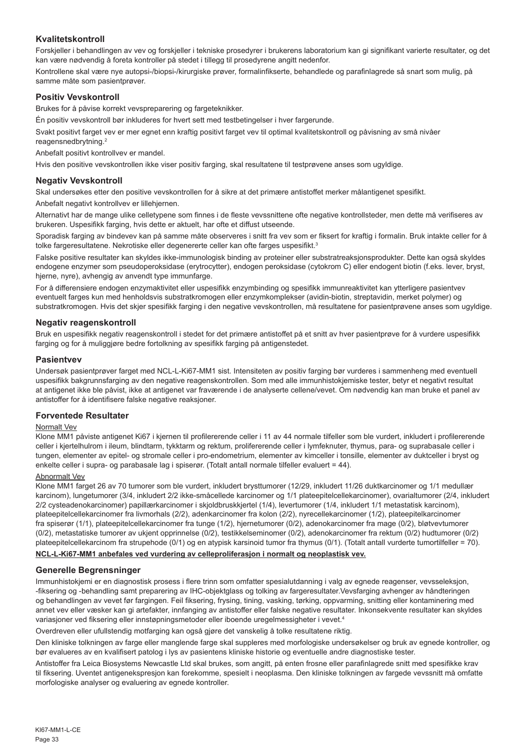# **Kvalitetskontroll**

Forskjeller i behandlingen av vev og forskjeller i tekniske prosedyrer i brukerens laboratorium kan gi signifikant varierte resultater, og det kan være nødvendig å foreta kontroller på stedet i tillegg til prosedyrene angitt nedenfor.

Kontrollene skal være nye autopsi-/biopsi-/kirurgiske prøver, formalinfikserte, behandlede og parafinlagrede så snart som mulig, på samme måte som pasientprøver.

#### **Positiv Vevskontroll**

Brukes for å påvise korrekt vevspreparering og fargeteknikker.

Én positiv vevskontroll bør inkluderes for hvert sett med testbetingelser i hver fargerunde.

Svakt positivt farget vev er mer egnet enn kraftig positivt farget vev til optimal kvalitetskontroll og påvisning av små nivåer reagensnedbrytning.<sup>2</sup>

Anbefalt positivt kontrollvev er mandel.

Hvis den positive vevskontrollen ikke viser positiv farging, skal resultatene til testprøvene anses som ugyldige.

#### **Negativ Vevskontroll**

Skal undersøkes etter den positive vevskontrollen for å sikre at det primære antistoffet merker målantigenet spesifikt.

Anbefalt negativt kontrollvev er lillehjernen.

Alternativt har de mange ulike celletypene som finnes i de fleste vevssnittene ofte negative kontrollsteder, men dette må verifiseres av brukeren. Uspesifikk farging, hvis dette er aktuelt, har ofte et diffust utseende.

Sporadisk farging av bindevev kan på samme måte observeres i snitt fra vev som er fiksert for kraftig i formalin. Bruk intakte celler for å tolke fargeresultatene. Nekrotiske eller degenererte celler kan ofte farges uspesifikt.<sup>3</sup>

Falske positive resultater kan skyldes ikke-immunologisk binding av proteiner eller substratreaksjonsprodukter. Dette kan også skyldes endogene enzymer som pseudoperoksidase (erytrocytter), endogen peroksidase (cytokrom C) eller endogent biotin (f.eks. lever, bryst, hjerne, nyre), avhengig av anvendt type immunfarge.

For å differensiere endogen enzymaktivitet eller uspesifikk enzymbinding og spesifikk immunreaktivitet kan ytterligere pasientvev eventuelt farges kun med henholdsvis substratkromogen eller enzymkomplekser (avidin-biotin, streptavidin, merket polymer) og substratkromogen. Hvis det skjer spesifikk farging i den negative vevskontrollen, må resultatene for pasientprøvene anses som ugyldige.

#### **Negativ reagenskontroll**

Bruk en uspesifikk negativ reagenskontroll i stedet for det primære antistoffet på et snitt av hver pasientprøve for å vurdere uspesifikk farging og for å muliggjøre bedre fortolkning av spesifikk farging på antigenstedet.

#### **Pasientvev**

Undersøk pasientprøver farget med NCL-L-Ki67-MM1 sist. Intensiteten av positiv farging bør vurderes i sammenheng med eventuell uspesifikk bakgrunnsfarging av den negative reagenskontrollen. Som med alle immunhistokjemiske tester, betyr et negativt resultat at antigenet ikke ble påvist, ikke at antigenet var fraværende i de analyserte cellene/vevet. Om nødvendig kan man bruke et panel av antistoffer for å identifisere falske negative reaksjoner.

#### **Forventede Resultater**

#### Normalt Vev

Klone MM1 påviste antigenet Ki67 i kjernen til profilererende celler i 11 av 44 normale tilfeller som ble vurdert, inkludert i profilererende celler i kjertelhulrom i ileum, blindtarm, tykktarm og rektum, prolifererende celler i lymfeknuter, thymus, para- og suprabasale celler i tungen, elementer av epitel- og stromale celler i pro-endometrium, elementer av kimceller i tonsille, elementer av duktceller i bryst og enkelte celler i supra- og parabasale lag i spiserør. (Totalt antall normale tilfeller evaluert = 44).

#### Abnormalt Vev

Klone MM1 farget 26 av 70 tumorer som ble vurdert, inkludert brysttumorer (12/29, inkludert 11/26 duktkarcinomer og 1/1 medullær karcinom), lungetumorer (3/4, inkludert 2/2 ikke-småcellede karcinomer og 1/1 plateepitelcellekarcinomer), ovarialtumorer (2/4, inkludert 2/2 cysteadenokarcinomer) papillærkarcinomer i skjoldbruskkjertel (1/4), levertumorer (1/4, inkludert 1/1 metastatisk karcinom), plateepitelcellekarcinomer fra livmorhals (2/2), adenkarcinomer fra kolon (2/2), nyrecellekarcinomer (1/2), plateepitelkarcinomer fra spiserør (1/1), plateepitelcellekarcinomer fra tunge (1/2), hjernetumorer (0/2), adenokarcinomer fra mage (0/2), bløtvevtumorer (0/2), metastatiske tumorer av ukjent opprinnelse (0/2), testikkelseminomer (0/2), adenokarcinomer fra rektum (0/2) hudtumorer (0/2) plateepitelcellekarcinom fra strupehode (0/1) og en atypisk karsinoid tumor fra thymus (0/1). (Totalt antall vurderte tumortilfeller = 70).

# **NCL-L-Ki67-MM1 anbefales ved vurdering av celleproliferasjon i normalt og neoplastisk vev.**

# **Generelle Begrensninger**

Immunhistokjemi er en diagnostisk prosess i flere trinn som omfatter spesialutdanning i valg av egnede reagenser, vevsseleksjon, -fiksering og -behandling samt preparering av IHC-objektglass og tolking av fargeresultater.Vevsfarging avhenger av håndteringen og behandlingen av vevet før fargingen. Feil fiksering, frysing, tining, vasking, tørking, oppvarming, snitting eller kontaminering med annet vev eller væsker kan gi artefakter, innfanging av antistoffer eller falske negative resultater. Inkonsekvente resultater kan skyldes variasjoner ved fiksering eller innstøpningsmetoder eller iboende uregelmessigheter i vevet.4

Overdreven eller ufullstendig motfarging kan også gjøre det vanskelig å tolke resultatene riktig.

Den kliniske tolkningen av farge eller manglende farge skal suppleres med morfologiske undersøkelser og bruk av egnede kontroller, og bør evalueres av en kvalifisert patolog i lys av pasientens kliniske historie og eventuelle andre diagnostiske tester.

Antistoffer fra Leica Biosystems Newcastle Ltd skal brukes, som angitt, på enten frosne eller parafinlagrede snitt med spesifikke krav til fiksering. Uventet antigenekspresjon kan forekomme, spesielt i neoplasma. Den kliniske tolkningen av fargede vevssnitt må omfatte morfologiske analyser og evaluering av egnede kontroller.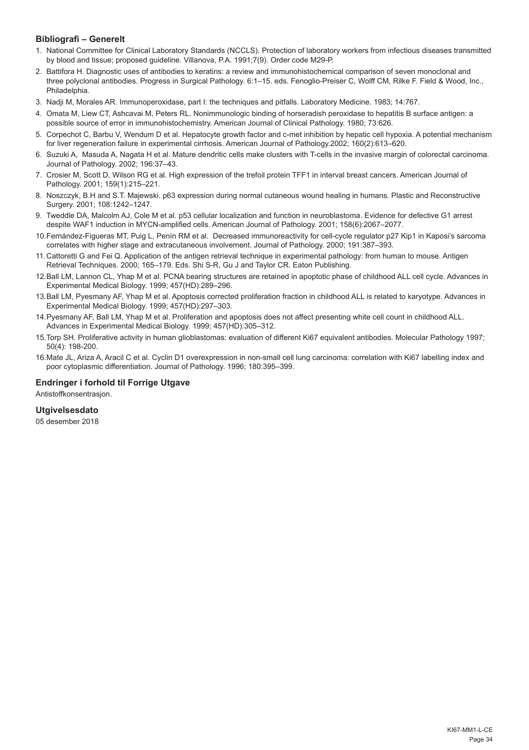# **Bibliografi – Generelt**

- 1. National Committee for Clinical Laboratory Standards (NCCLS). Protection of laboratory workers from infectious diseases transmitted by blood and tissue; proposed guideline. Villanova, P.A. 1991;7(9). Order code M29-P.
- 2. Battifora H. Diagnostic uses of antibodies to keratins: a review and immunohistochemical comparison of seven monoclonal and three polyclonal antibodies. Progress in Surgical Pathology. 6:1–15. eds. Fenoglio-Preiser C, Wolff CM, Rilke F. Field & Wood, Inc., Philadelphia.
- 3. Nadji M, Morales AR. Immunoperoxidase, part I: the techniques and pitfalls. Laboratory Medicine. 1983; 14:767.
- 4. Omata M, Liew CT, Ashcavai M, Peters RL. Nonimmunologic binding of horseradish peroxidase to hepatitis B surface antigen: a possible source of error in immunohistochemistry. American Journal of Clinical Pathology. 1980; 73:626.
- 5. Corpechot C, Barbu V, Wendum D et al. Hepatocyte growth factor and c-met inhibition by hepatic cell hypoxia. A potential mechanism for liver regeneration failure in experimental cirrhosis. American Journal of Pathology.2002; 160(2):613–620.
- 6. Suzuki A, Masuda A, Nagata H et al. Mature dendritic cells make clusters with T-cells in the invasive margin of colorectal carcinoma. Journal of Pathology. 2002; 196:37–43.
- 7. Crosier M, Scott D, Wilson RG et al. High expression of the trefoil protein TFF1 in interval breast cancers. American Journal of Pathology. 2001; 159(1):215–221.
- 8. Noszczyk, B.H and S.T. Majewski. p63 expression during normal cutaneous wound healing in humans. Plastic and Reconstructive Surgery. 2001; 108:1242–1247.
- 9. Tweddle DA, Malcolm AJ, Cole M et al. p53 cellular localization and function in neuroblastoma. Evidence for defective G1 arrest despite WAF1 induction in MYCN-amplified cells. American Journal of Pathology. 2001; 158(6):2067–2077.
- 10.Fernández-Figueras MT, Puig L, Penín RM et al. Decreased immunoreactivity for cell-cycle regulator p27 Kip1 in Kaposi's sarcoma correlates with higher stage and extracutaneous involvement. Journal of Pathology. 2000; 191:387–393.
- 11.Cattoretti G and Fei Q. Application of the antigen retrieval technique in experimental pathology: from human to mouse. Antigen Retrieval Techniques. 2000; 165–179. Eds. Shi S-R, Gu J and Taylor CR. Eaton Publishing.
- 12.Ball LM, Lannon CL, Yhap M et al. PCNA bearing structures are retained in apoptotic phase of childhood ALL cell cycle. Advances in Experimental Medical Biology. 1999; 457(HD):289–296.
- 13.Ball LM, Pyesmany AF, Yhap M et al. Apoptosis corrected proliferation fraction in childhood ALL is related to karyotype. Advances in Experimental Medical Biology. 1999; 457(HD):297–303.
- 14.Pyesmany AF, Ball LM, Yhap M et al. Proliferation and apoptosis does not affect presenting white cell count in childhood ALL. Advances in Experimental Medical Biology. 1999; 457(HD):305–312.
- 15.Torp SH. Proliferative activity in human glioblastomas: evaluation of different Ki67 equivalent antibodies. Molecular Pathology 1997; 50(4): 198-200.
- 16.Mate JL, Ariza A, Aracil C et al. Cyclin D1 overexpression in non-small cell lung carcinoma: correlation with Ki67 labelling index and poor cytoplasmic differentiation. Journal of Pathology. 1996; 180:395–399.

# **Endringer i forhold til Forrige Utgave**

Antistoffkonsentrasjon.

# **Utgivelsesdato**

05 desember 2018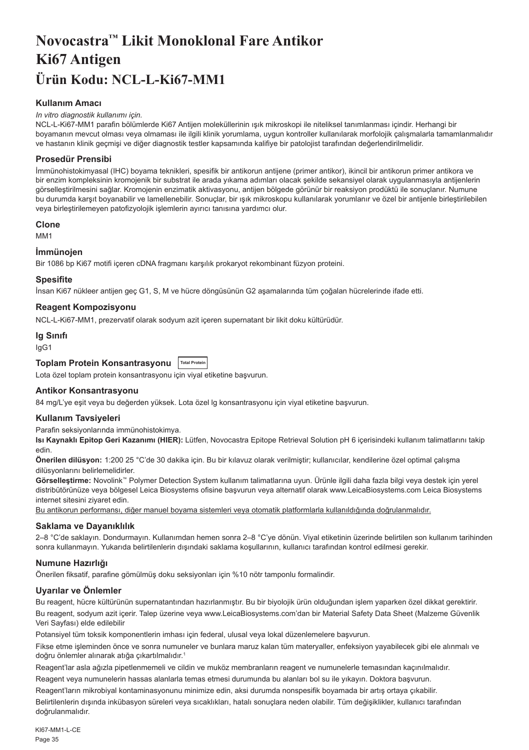# <span id="page-35-0"></span>**Novocastra™ Likit Monoklonal Fare Antikor Ki67 Antigen Ürün Kodu: NCL-L-Ki67-MM1**

# **Kullanım Amacı**

#### *In vitro diagnostik kullanımı için.*

NCL-L-Ki67-MM1 parafin bölümlerde Ki67 Antijen moleküllerinin ışık mikroskopi ile niteliksel tanımlanması içindir. Herhangi bir boyamanın mevcut olması veya olmaması ile ilgili klinik yorumlama, uygun kontroller kullanılarak morfolojik çalışmalarla tamamlanmalıdır ve hastanın klinik geçmişi ve diğer diagnostik testler kapsamında kalifiye bir patolojist tarafından değerlendirilmelidir.

#### **Prosedür Prensibi**

İmmünohistokimyasal (IHC) boyama teknikleri, spesifik bir antikorun antijene (primer antikor), ikincil bir antikorun primer antikora ve bir enzim kompleksinin kromojenik bir substrat ile arada yıkama adımları olacak şekilde sekansiyel olarak uygulanmasıyla antijenlerin görselleştirilmesini sağlar. Kromojenin enzimatik aktivasyonu, antijen bölgede görünür bir reaksiyon prodüktü ile sonuçlanır. Numune bu durumda karşıt boyanabilir ve lamellenebilir. Sonuçlar, bir ışık mikroskopu kullanılarak yorumlanır ve özel bir antijenle birleştirilebilen veya birleştirilemeyen patofizyolojik işlemlerin ayırıcı tanısına yardımcı olur.

#### **Clone**

M<sub>M1</sub>

#### **İmmünojen**

Bir 1086 bp Ki67 motifi içeren cDNA fragmanı karşılık prokaryot rekombinant füzyon proteini.

#### **Spesifite**

İnsan Ki67 nükleer antijen geç G1, S, M ve hücre döngüsünün G2 aşamalarında tüm çoğalan hücrelerinde ifade etti.

# **Reagent Kompozisyonu**

NCL-L-Ki67-MM1, prezervatif olarak sodyum azit içeren supernatant bir likit doku kültürüdür.

#### **Ig Sınıfı**

IgG1

# **Toplam Protein Konsantrasyonu Total Protein**

Lota özel toplam protein konsantrasyonu için viyal etiketine başvurun.

#### **Antikor Konsantrasyonu**

84 mg/L'ye eşit veya bu değerden yüksek. Lota özel lg konsantrasyonu için viyal etiketine başvurun.

#### **Kullanım Tavsiyeleri**

Parafin seksiyonlarında immünohistokimya.

**Isı Kaynaklı Epitop Geri Kazanımı (HIER):** Lütfen, Novocastra Epitope Retrieval Solution pH 6 içerisindeki kullanım talimatlarını takip edin.

**Önerilen dilüsyon:** 1:200 25 °C'de 30 dakika için. Bu bir kılavuz olarak verilmiştir; kullanıcılar, kendilerine özel optimal çalışma dilüsyonlarını belirlemelidirler.

**Görselleştirme:** Novolink™ Polymer Detection System kullanım talimatlarına uyun. Ürünle ilgili daha fazla bilgi veya destek için yerel distribütörünüze veya bölgesel Leica Biosystems ofisine başvurun veya alternatif olarak www.LeicaBiosystems.com Leica Biosystems internet sitesini ziyaret edin.

Bu antikorun performansı, diğer manuel boyama sistemleri veya otomatik platformlarla kullanıldığında doğrulanmalıdır.

#### **Saklama ve Dayanıklılık**

2–8 °C'de saklayın. Dondurmayın. Kullanımdan hemen sonra 2–8 °C'ye dönün. Viyal etiketinin üzerinde belirtilen son kullanım tarihinden sonra kullanmayın. Yukarıda belirtilenlerin dışındaki saklama koşullarının, kullanıcı tarafından kontrol edilmesi gerekir.

#### **Numune Hazırlığı**

Önerilen fiksatif, parafine gömülmüş doku seksiyonları için %10 nötr tamponlu formalindir.

# **Uyarılar ve Önlemler**

Bu reagent, hücre kültürünün supernatantından hazırlanmıştır. Bu bir biyolojik ürün olduğundan işlem yaparken özel dikkat gerektirir.

Bu reagent, sodyum azit içerir. Talep üzerine veya www.LeicaBiosystems.com'dan bir Material Safety Data Sheet (Malzeme Güvenlik Veri Sayfası) elde edilebilir

Potansiyel tüm toksik komponentlerin imhası için federal, ulusal veya lokal düzenlemelere başvurun.

Fikse etme işleminden önce ve sonra numuneler ve bunlara maruz kalan tüm materyaller, enfeksiyon yayabilecek gibi ele alınmalı ve doğru önlemler alınarak atığa çıkartılmalıdır.<sup>1</sup>

Reagent'lar asla ağızla pipetlenmemeli ve cildin ve muköz membranların reagent ve numunelerle temasından kaçınılmalıdır.

Reagent veya numunelerin hassas alanlarla temas etmesi durumunda bu alanları bol su ile yıkayın. Doktora başvurun.

Reagent'ların mikrobiyal kontaminasyonunu minimize edin, aksi durumda nonspesifik boyamada bir artış ortaya çıkabilir.

Belirtilenlerin dışında inkübasyon süreleri veya sıcaklıkları, hatalı sonuçlara neden olabilir. Tüm değişiklikler, kullanıcı tarafından doğrulanmalıdır.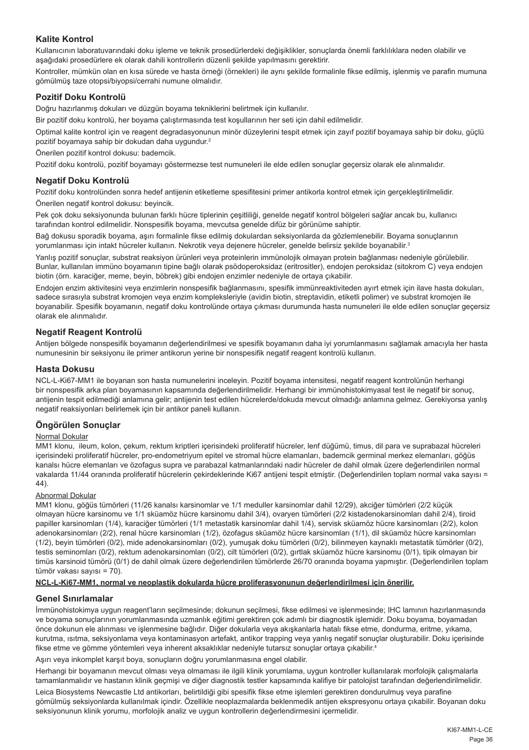# **Kalite Kontrol**

Kullanıcının laboratuvarındaki doku işleme ve teknik prosedürlerdeki değişiklikler, sonuçlarda önemli farklılıklara neden olabilir ve aşağıdaki prosedürlere ek olarak dahili kontrollerin düzenli şekilde yapılmasını gerektirir.

Kontroller, mümkün olan en kısa sürede ve hasta örneği (örnekleri) ile aynı şekilde formalinle fikse edilmiş, işlenmiş ve parafin mumuna gömülmüş taze otopsi/biyopsi/cerrahi numune olmalıdır.

#### **Pozitif Doku Kontrolü**

Doğru hazırlanmış dokuları ve düzgün boyama tekniklerini belirtmek için kullanılır.

Bir pozitif doku kontrolü, her boyama çalıştırmasında test koşullarının her seti için dahil edilmelidir.

Optimal kalite kontrol için ve reagent degradasyonunun minör düzeylerini tespit etmek için zayıf pozitif boyamaya sahip bir doku, güçlü pozitif boyamaya sahip bir dokudan daha uygundur.<sup>2</sup>

Önerilen pozitif kontrol dokusu: bademcik.

Pozitif doku kontrolü, pozitif boyamayı göstermezse test numuneleri ile elde edilen sonuçlar geçersiz olarak ele alınmalıdır.

#### **Negatif Doku Kontrolü**

Pozitif doku kontrolünden sonra hedef antijenin etiketleme spesifitesini primer antikorla kontrol etmek için gerçekleştirilmelidir. Önerilen negatif kontrol dokusu: beyincik.

Pek çok doku seksiyonunda bulunan farklı hücre tiplerinin çeşitliliği, genelde negatif kontrol bölgeleri sağlar ancak bu, kullanıcı tarafından kontrol edilmelidir. Nonspesifik boyama, mevcutsa genelde difüz bir görünüme sahiptir.

Bağ dokusu sporadik boyama, aşırı formalinle fikse edilmiş dokulardan seksiyonlarda da gözlemlenebilir. Boyama sonuçlarının yorumlanması için intakt hücreler kullanın. Nekrotik veya dejenere hücreler, genelde belirsiz şekilde boyanabilir.3

Yanlış pozitif sonuçlar, substrat reaksiyon ürünleri veya proteinlerin immünolojik olmayan protein bağlanması nedeniyle görülebilir. Bunlar, kullanılan immüno boyamanın tipine bağlı olarak psödoperoksidaz (eritrositler), endojen peroksidaz (sitokrom C) veya endojen biotin (örn. karaciğer, meme, beyin, böbrek) gibi endojen enzimler nedeniyle de ortaya çıkabilir.

Endojen enzim aktivitesini veya enzimlerin nonspesifik bağlanmasını, spesifik immünreaktiviteden ayırt etmek için ilave hasta dokuları, sadece sırasıyla substrat kromojen veya enzim kompleksleriyle (avidin biotin, streptavidin, etiketli polimer) ve substrat kromojen ile boyanabilir. Spesifik boyamanın, negatif doku kontrolünde ortaya çıkması durumunda hasta numuneleri ile elde edilen sonuçlar geçersiz olarak ele alınmalıdır.

# **Negatif Reagent Kontrolü**

Antijen bölgede nonspesifik boyamanın değerlendirilmesi ve spesifik boyamanın daha iyi yorumlanmasını sağlamak amacıyla her hasta numunesinin bir seksiyonu ile primer antikorun yerine bir nonspesifik negatif reagent kontrolü kullanın.

#### **Hasta Dokusu**

NCL-L-Ki67-MM1 ile boyanan son hasta numunelerini inceleyin. Pozitif boyama intensitesi, negatif reagent kontrolünün herhangi bir nonspesifik arka plan boyamasının kapsamında değerlendirilmelidir. Herhangi bir immünohistokimyasal test ile negatif bir sonuç, antijenin tespit edilmediği anlamına gelir; antijenin test edilen hücrelerde/dokuda mevcut olmadığı anlamına gelmez. Gerekiyorsa yanlış negatif reaksiyonları belirlemek için bir antikor paneli kullanın.

# **Öngörülen Sonuçlar**

#### Normal Dokular

MM1 klonu, ileum, kolon, çekum, rektum kriptleri içerisindeki proliferatif hücreler, lenf düğümü, timus, dil para ve suprabazal hücreleri içerisindeki proliferatif hücreler, pro-endometriyum epitel ve stromal hücre elamanları, bademcik germinal merkez elemanları, göğüs kanalsı hücre elemanları ve özofagus supra ve parabazal katmanlarındaki nadir hücreler de dahil olmak üzere değerlendirilen normal vakalarda 11/44 oranında proliferatif hücrelerin çekirdeklerinde Ki67 antijeni tespit etmiştir. (Değerlendirilen toplam normal vaka sayısı = 44).

#### Abnormal Dokular

MM1 klonu, göğüs tümörleri (11/26 kanalsı karsinomlar ve 1/1 meduller karsinomlar dahil 12/29), akciğer tümörleri (2/2 küçük olmayan hücre karsinomu ve 1/1 sküamöz hücre karsinomu dahil 3/4), ovaryen tümörleri (2/2 kistadenokarsinomları dahil 2/4), tiroid papiller karsinomları (1/4), karaciğer tümörleri (1/1 metastatik karsinomlar dahil 1/4), servisk sküamöz hücre karsinomları (2/2), kolon adenokarsinomları (2/2), renal hücre karsinomları (1/2), özofagus sküamöz hücre karsinomları (1/1), dil sküamöz hücre karsinomları (1/2), beyin tümörleri (0/2), mide adenokarsinomları (0/2), yumuşak doku tümörleri (0/2), bilinmeyen kaynaklı metastatik tümörler (0/2), testis seminomları (0/2), rektum adenokarsinomları (0/2), cilt tümörleri (0/2), gırtlak sküamöz hücre karsinomu (0/1), tipik olmayan bir timüs karsinoid tümörü (0/1) de dahil olmak üzere değerlendirilen tümörlerde 26/70 oranında boyama yapmıştır. (Değerlendirilen toplam tümör vakası sayısı = 70).

#### **NCL-L-Ki67-MM1, normal ve neoplastik dokularda hücre proliferasyonunun değerlendirilmesi için önerilir.**

#### **Genel Sınırlamalar**

İmmünohistokimya uygun reagent'ların seçilmesinde; dokunun seçilmesi, fikse edilmesi ve işlenmesinde; IHC lamının hazırlanmasında ve boyama sonuçlarının yorumlanmasında uzmanlık eğitimi gerektiren çok adımlı bir diagnostik işlemidir. Doku boyama, boyamadan önce dokunun ele alınması ve işlenmesine bağlıdır. Diğer dokularla veya akışkanlarla hatalı fikse etme, dondurma, eritme, yıkama, kurutma, ısıtma, seksiyonlama veya kontaminasyon artefakt, antikor trapping veya yanlış negatif sonuçlar oluşturabilir. Doku içerisinde fikse etme ve gömme yöntemleri veya inherent aksaklıklar nedeniyle tutarsız sonuçlar ortaya çıkabilir. 4

Aşırı veya inkomplet karşıt boya, sonuçların doğru yorumlanmasına engel olabilir.

Herhangi bir boyamanın mevcut olması veya olmaması ile ilgili klinik yorumlama, uygun kontroller kullanılarak morfolojik çalışmalarla tamamlanmalıdır ve hastanın klinik geçmişi ve diğer diagnostik testler kapsamında kalifiye bir patolojist tarafından değerlendirilmelidir.

Leica Biosystems Newcastle Ltd antikorları, belirtildiği gibi spesifik fikse etme işlemleri gerektiren dondurulmuş veya parafine gömülmüş seksiyonlarda kullanılmak içindir. Özellikle neoplazmalarda beklenmedik antijen ekspresyonu ortaya çıkabilir. Boyanan doku seksiyonunun klinik yorumu, morfolojik analiz ve uygun kontrollerin değerlendirmesini içermelidir.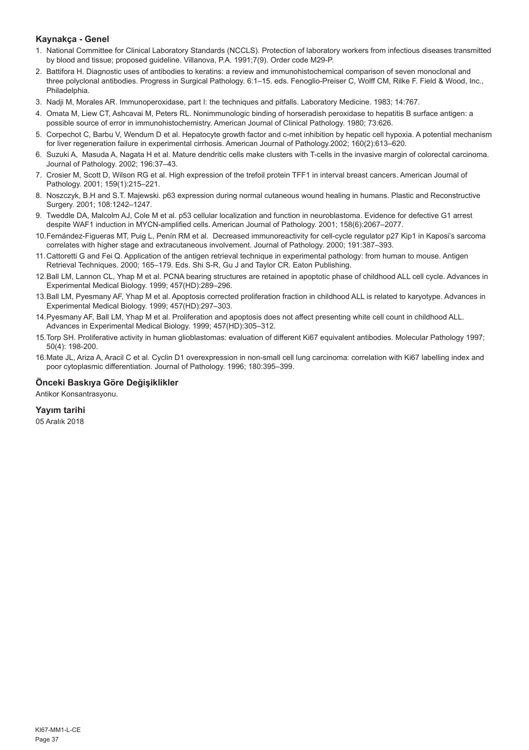# **Kaynakça - Genel**

- 1. National Committee for Clinical Laboratory Standards (NCCLS). Protection of laboratory workers from infectious diseases transmitted by blood and tissue; proposed guideline. Villanova, P.A. 1991;7(9). Order code M29-P.
- 2. Battifora H. Diagnostic uses of antibodies to keratins: a review and immunohistochemical comparison of seven monoclonal and three polyclonal antibodies. Progress in Surgical Pathology. 6:1–15. eds. Fenoglio-Preiser C, Wolff CM, Rilke F. Field & Wood, Inc., Philadelphia.
- 3. Nadji M, Morales AR. Immunoperoxidase, part I: the techniques and pitfalls. Laboratory Medicine. 1983; 14:767.
- 4. Omata M, Liew CT, Ashcavai M, Peters RL. Nonimmunologic binding of horseradish peroxidase to hepatitis B surface antigen: a possible source of error in immunohistochemistry. American Journal of Clinical Pathology. 1980; 73:626.
- 5. Corpechot C, Barbu V, Wendum D et al. Hepatocyte growth factor and c-met inhibition by hepatic cell hypoxia. A potential mechanism for liver regeneration failure in experimental cirrhosis. American Journal of Pathology.2002; 160(2):613–620.
- 6. Suzuki A, Masuda A, Nagata H et al. Mature dendritic cells make clusters with T-cells in the invasive margin of colorectal carcinoma. Journal of Pathology. 2002; 196:37–43.
- 7. Crosier M, Scott D, Wilson RG et al. High expression of the trefoil protein TFF1 in interval breast cancers. American Journal of Pathology. 2001; 159(1):215–221.
- 8. Noszczyk, B.H and S.T. Majewski. p63 expression during normal cutaneous wound healing in humans. Plastic and Reconstructive Surgery. 2001; 108:1242–1247.
- 9. Tweddle DA, Malcolm AJ, Cole M et al. p53 cellular localization and function in neuroblastoma. Evidence for defective G1 arrest despite WAF1 induction in MYCN-amplified cells. American Journal of Pathology. 2001; 158(6):2067–2077.
- 10.Fernández-Figueras MT, Puig L, Penín RM et al. Decreased immunoreactivity for cell-cycle regulator p27 Kip1 in Kaposi's sarcoma correlates with higher stage and extracutaneous involvement. Journal of Pathology. 2000; 191:387–393.
- 11.Cattoretti G and Fei Q. Application of the antigen retrieval technique in experimental pathology: from human to mouse. Antigen Retrieval Techniques. 2000; 165–179. Eds. Shi S-R, Gu J and Taylor CR. Eaton Publishing.
- 12.Ball LM, Lannon CL, Yhap M et al. PCNA bearing structures are retained in apoptotic phase of childhood ALL cell cycle. Advances in Experimental Medical Biology. 1999; 457(HD):289–296.
- 13.Ball LM, Pyesmany AF, Yhap M et al. Apoptosis corrected proliferation fraction in childhood ALL is related to karyotype. Advances in Experimental Medical Biology. 1999; 457(HD):297–303.
- 14.Pyesmany AF, Ball LM, Yhap M et al. Proliferation and apoptosis does not affect presenting white cell count in childhood ALL. Advances in Experimental Medical Biology. 1999; 457(HD):305–312.
- 15.Torp SH. Proliferative activity in human glioblastomas: evaluation of different Ki67 equivalent antibodies. Molecular Pathology 1997; 50(4): 198-200.
- 16.Mate JL, Ariza A, Aracil C et al. Cyclin D1 overexpression in non-small cell lung carcinoma: correlation with Ki67 labelling index and poor cytoplasmic differentiation. Journal of Pathology. 1996; 180:395–399.

# **Önceki Baskıya Göre Değişiklikler**

Antikor Konsantrasyonu.

# **Yayım tarihi**

05 Aralık 2018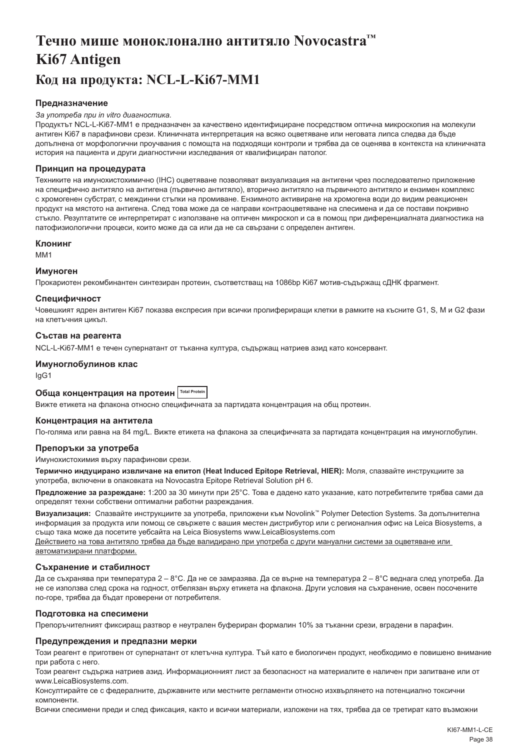# <span id="page-38-0"></span>**Течно мише моноклонално антитяло Novocastra™ Ki67 Antigen Код на продукта: NCL-L-Ki67-MM1**

# **Предназначение**

#### *За употреба при in vitro диагностика.*

Продуктът NCL-L-Ki67-MM1 е предназначен за качествено идентифициране посредством оптична микроскопия на молекули антиген Ki67 в парафинови срези. Клиничната интерпретация на всяко оцветяване или неговата липса следва да бъде допълнена от морфологични проучвания с помощта на подходящи контроли и трябва да се оценява в контекста на клиничната история на пациента и други диагностични изследвания от квалифициран патолог.

#### **Принцип на процедурата**

Техниките на имунохистохимично (IHC) оцветяване позволяват визуализация на антигени чрез последователно приложение на специфично антитяло на антигена (първично антитяло), вторично антитяло на първичното антитяло и ензимен комплекс с хромогенен субстрат, с междинни стъпки на промиване. Ензимното активиране на хромогена води до видим реакционен продукт на мястото на антигена. След това може да се направи контраоцветяване на спесимена и да се постави покривно стъкло. Резултатите се интерпретират с използване на оптичен микроскоп и са в помощ при диференциалната диагностика на патофизиологични процеси, които може да са или да не са свързани с определен антиген.

#### **Клонинг**

MM1

#### **Имуноген**

Прокариотен рекомбинантен синтезиран протеин, съответстващ на 1086bp Ki67 мотив-съдържащ cДНК фрагмент.

#### **Специфичност**

Човешкият ядрен антиген Ki67 показва експресия при всички пролифериращи клетки в рамките на късните G1, S, M и G2 фази на клетъчния цикъл.

#### **Състав на реагента**

NCL-L-Ki67-MM1 е течен супернатант от тъканна култура, съдържащ натриев азид като консервант.

# **Имуноглобулинов клас**

IgG1

# **Обща концентрация на протеин Total Protein**

Вижте етикета на флакона относно специфичната за партидата концентрация на общ протеин.

#### **Концентрация на антитела**

По-голяма или равна на 84 mg/L. Вижте етикета на флакона за специфичната за партидата концентрация на имуноглобулин.

# **Препоръки за употреба**

Имунохистохимия върху парафинови срези.

**Термично индуцирано извличане на епитоп (Heat Induced Epitope Retrieval, HIER):** Моля, спазвайте инструкциите за употреба, включени в опаковката на Novocastra Epitope Retrieval Solution pH 6.

**Предложение за разреждане:** 1:200 за 30 минути при 25°C. Това е дадено като указание, като потребителите трябва сами да определят техни собствени оптимални работни разреждания.

**Визуализация:** Спазвайте инструкциите за употреба, приложени към Novolink™ Polymer Detection Systems. За допълнителна информация за продукта или помощ се свържете с вашия местен дистрибутор или с регионалния офис на Leica Biosystems, а също така може да посетите уебсайта на Leica Biosystems www.LeicaBiosystems.com

Действието на това антитяло трябва да бъде валидирано при употреба с други мануални системи за оцветяване или автоматизирани платформи.

# **Съхранение и стабилност**

Да се съхранява при температура 2 – 8°C. Да не се замразява. Да се върне на температура 2 – 8°C веднага след употреба. Да не се използва след срока на годност, отбелязан върху етикета на флакона. Други условия на съхранение, освен посочените по-горе, трябва да бъдат проверени от потребителя.

# **Подготовка на спесимени**

Препоръчителният фиксиращ разтвор е неутрален буфериран формалин 10% за тъканни срези, вградени в парафин.

#### **Предупреждения и предпазни мерки**

Този реагент е приготвен от супернатант от клетъчна култура. Тъй като е биологичен продукт, необходимо е повишено внимание при работа с него.

Този реагент съдържа натриев азид. Информационният лист за безопасност на материалите е наличен при запитване или от www.LeicaBiosystems.com.

Консултирайте се с федералните, държавните или местните регламенти относно изхвърлянето на потенциално токсични компоненти.

Всички спесимени преди и след фиксация, както и всички материали, изложени на тях, трябва да се третират като възможни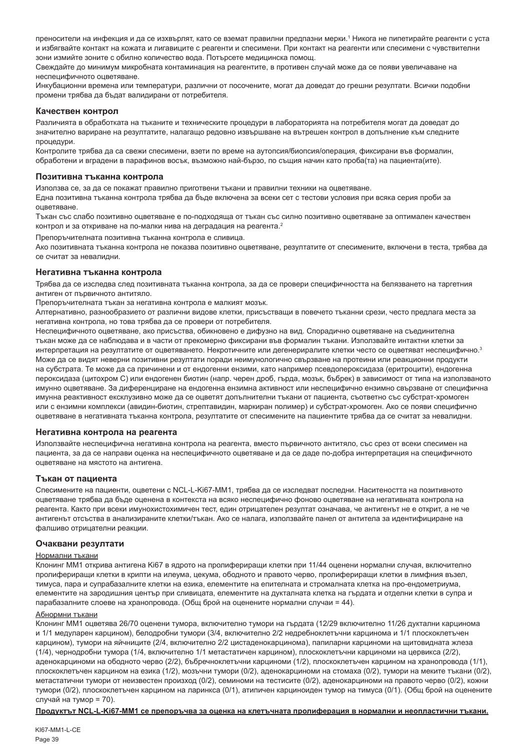преносители на инфекция и да се изхвърлят, като се вземат правилни предпазни мерки.' Никога не пипетирайте реагенти с уста и избягвайте контакт на кожата и лигавиците с реагенти и спесимени. При контакт на реагенти или спесимени с чувствителни зони измийте зоните с обилно количество вода. Потърсете медицинска помощ.

Свеждайте до минимум микробната контаминация на реагентите, в противен случай може да се появи увеличаване на неспецифичното оцветяване.

Инкубационни времена или температури, различни от посочените, могат да доведат до грешни резултати. Всички подобни промени трябва да бъдат валидирани от потребителя.

#### **Качествен контрол**

Различията в обработката на тъканите и техническите процедури в лабораторията на потребителя могат да доведат до значително вариране на резултатите, налагащо редовно извършване на вътрешен контрол в допълнение към следните процедури.

Контролите трябва да са свежи спесимени, взети по време на аутопсия/биопсия/операция, фиксирани във формалин, обработени и вградени в парафинов восък, възможно най-бързо, по същия начин като проба(та) на пациента(ите).

#### **Позитивна тъканна контрола**

Използва се, за да се покажат правилно приготвени тъкани и правилни техники на оцветяване.

Една позитивна тъканна контрола трябва да бъде включена за всеки сет с тестови условия при всяка серия проби за оцветяване.

Тъкан със слабо позитивно оцветяване е по-подходяща от тъкан със силно позитивно оцветяване за оптимален качествен контрол и за откриване на по-малки нива на деградация на реагента.<sup>2</sup>

Препоръчителната позитивна тъканна контрола е сливица.

Ако позитивната тъканна контрола не показва позитивно оцветяване, резултатите от спесимените, включени в теста, трябва да се считат за невалидни.

#### **Негативна тъканна контрола**

Трябва да се изследва след позитивната тъканна контрола, за да се провери специфичността на белязването на таргетния антиген от първичното антитяло.

Препоръчителната тъкан за негативна контрола е малкият мозък.

Алтернативно, разнообразието от различни видове клетки, присъстващи в повечето тъканни срези, често предлага места за негативна контрола, но това трябва да се провери от потребителя.

Неспецифичното оцветяване, ако присъства, обикновено е дифузно на вид. Спорадично оцветяване на съединителна тъкан може да се наблюдава и в части от прекомерно фиксирани във формалин тъкани. Използвайте интактни клетки за интерпретация на резултатите от оцветяването. Некротичните или дегенериралите клетки често се оцветяват неспецифично.3 Може да се видят неверни позитивни резултати поради неимунологично свързване на протеини или реакционни продукти на субстрата. Те може да са причинени и от ендогенни ензими, като например псевдопероксидаза (еритроцити), ендогенна пероксидаза (цитохром C) или ендогенен биотин (напр. черен дроб, гърда, мозък, бъбрек) в зависимост от типа на използваното имунно оцветяване. За диференциране на ендогенна ензимна активност или неспецифично ензимно свързване от специфична имунна реактивност ексклузивно може да се оцветят допълнителни тъкани от пациента, съответно със субстрат-хромоген или с ензимни комплекси (авидин-биотин, стрептавидин, маркиран полимер) и субстрат-хромоген. Ако се появи специфично оцветяване в негативната тъканна контрола, резултатите от спесимените на пациентите трябва да се считат за невалидни.

#### **Негативна контрола на реагента**

Използвайте неспецифична негативна контрола на реагента, вместо първичното антитяло, със срез от всеки спесимен на пациента, за да се направи оценка на неспецифичното оцветяване и да се даде по-добра интерпретация на специфичното оцветяване на мястото на антигена.

#### **Тъкан от пациента**

Спесимените на пациенти, оцветени с NCL-L-Ki67-MM1, трябва да се изследват последни. Наситеността на позитивното оцветяване трябва да бъде оценена в контекста на всяко неспецифично фоново оцветяване на негативната контрола на реагента. Както при всеки имунохистохимичен тест, един отрицателен резултат означава, че антигенът не е открит, а не че антигенът отсъства в анализираните клетки/тъкан. Ако се налага, използвайте панел от антитела за идентифициране на фалшиво отрицателни реакции.

#### **Очаквани резултати**

#### Нормални тъкани

Клонинг MM1 открива антигена Ki67 в ядрото на пролифериращи клетки при 11/44 оценени нормални случая, включително пролифериращи клетки в крипти на илеума, цекума, ободното и правото черво, пролифериращи клетки в лимфния възел, тимуса, пара и супрабазалните клетки на езика, елементите на епителната и стромалната клетка на про-ендометриума, елементите на зародишния център при сливицата, елементите на дукталната клетка на гърдата и отделни клетки в супра и парабазалните слоеве на хранопровода. (Общ брой на оценените нормални случаи = 44).

#### Абнормни тъкани

Клонинг MM1 оцветява 26/70 оценени тумора, включително тумори на гърдата (12/29 включително 11/26 дуктални карцинома и 1/1 медуларен карцином), белодробни тумори (3/4, включително 2/2 недребноклетъчни карцинома и 1/1 плоскоклетъчен карцином), тумори на яйчниците (2/4, включително 2/2 цистаденокарцинома), папиларни карциноми на щитовидната жлеза (1/4), чернодробни тумора (1/4, включително 1/1 метастатичен карцином), плоскоклетъчни карциноми на цервикса (2/2), аденокарциноми на ободното черво (2/2), бъбречноклетъчни карциноми (1/2), плоскоклетъчен карцином на хранопровода (1/1), плоскоклетъчен карцином на езика (1/2), мозъчни тумори (0/2), аденокарциноми на стомаха (0/2), тумори на меките тъкани (0/2), метастатични тумори от неизвестен произход (0/2), семиноми на тестисите (0/2), аденокарциноми на правото черво (0/2), кожни тумори (0/2), плоскоклетъчен карцином на ларинкса (0/1), атипичен карциноиден тумор на тимуса (0/1). (Общ брой на оценените случай на тумор = 70).

**Продуктът NCL-L-Ki67-MM1 се препоръчва за оценка на клетъчната пролиферация в нормални и неопластични тъкани.**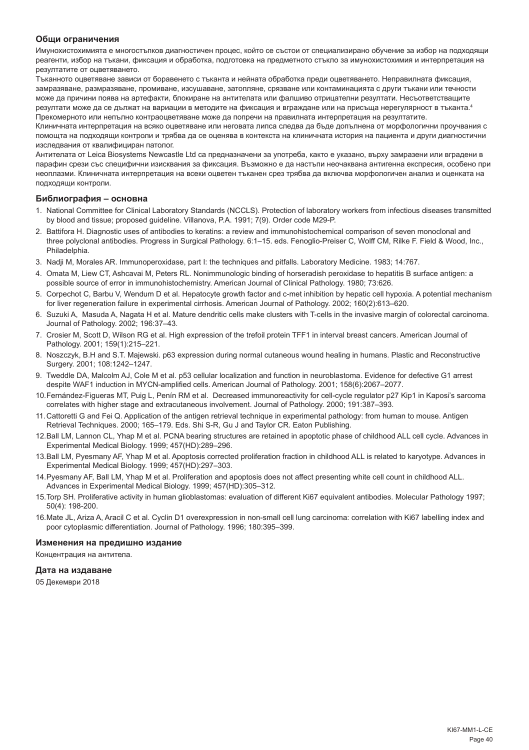# **Общи ограничения**

Имунохистохимията е многостъпков диагностичен процес, който се състои от специализирано обучение за избор на подходящи реагенти, избор на тъкани, фиксация и обработка, подготовка на предметното стъкло за имунохистохимия и интерпретация на резултатите от оцветяването.

Тъканното оцветяване зависи от боравенето с тъканта и нейната обработка преди оцветяването. Неправилната фиксация, замразяване, размразяване, промиване, изсушаване, затопляне, срязване или контаминацията с други тъкани или течности може да причини поява на артефакти, блокиране на антителата или фалшиво отрицателни резултати. Несъответстващите резултати може да се дължат на вариации в методите на фиксация и вграждане или на присъща нерегулярност в тъканта.4 Прекомерното или непълно контраоцветяване може да попречи на правилната интерпретация на резултатите.

Клиничната интерпретация на всяко оцветяване или неговата липса следва да бъде допълнена от морфологични проучвания с помощта на подходящи контроли и трябва да се оценява в контекста на клиничната история на пациента и други диагностични изследвания от квалифициран патолог.

Антителата от Leica Biosystems Newcastle Ltd са предназначени за употреба, както е указано, върху замразени или вградени в парафин срези със специфични изисквания за фиксация. Възможно е да настъпи неочаквана антигенна експресия, особено при неоплазми. Клиничната интерпретация на всеки оцветен тъканен срез трябва да включва морфологичен анализ и оценката на подходящи контроли.

#### **Библиография – основна**

- 1. National Committee for Clinical Laboratory Standards (NCCLS). Protection of laboratory workers from infectious diseases transmitted by blood and tissue; proposed guideline. Villanova, P.A. 1991; 7(9). Order code M29-P.
- 2. Battifora H. Diagnostic uses of antibodies to keratins: a review and immunohistochemical comparison of seven monoclonal and three polyclonal antibodies. Progress in Surgical Pathology. 6:1–15. eds. Fenoglio-Preiser C, Wolff CM, Rilke F. Field & Wood, Inc., Philadelphia.
- 3. Nadji M, Morales AR. Immunoperoxidase, part I: the techniques and pitfalls. Laboratory Medicine. 1983; 14:767.
- 4. Omata M, Liew CT, Ashcavai M, Peters RL. Nonimmunologic binding of horseradish peroxidase to hepatitis B surface antigen: a possible source of error in immunohistochemistry. American Journal of Clinical Pathology. 1980; 73:626.
- 5. Corpechot C, Barbu V, Wendum D et al. Hepatocyte growth factor and c-met inhibition by hepatic cell hypoxia. A potential mechanism for liver regeneration failure in experimental cirrhosis. American Journal of Pathology. 2002; 160(2):613–620.
- 6. Suzuki A, Masuda A, Nagata H et al. Mature dendritic cells make clusters with T-cells in the invasive margin of colorectal carcinoma. Journal of Pathology. 2002; 196:37–43.
- 7. Crosier M, Scott D, Wilson RG et al. High expression of the trefoil protein TFF1 in interval breast cancers. American Journal of Pathology. 2001; 159(1):215–221.
- 8. Noszczyk, B.H and S.T. Majewski. p63 expression during normal cutaneous wound healing in humans. Plastic and Reconstructive Surgery. 2001; 108:1242–1247.
- 9. Tweddle DA, Malcolm AJ, Cole M et al. p53 cellular localization and function in neuroblastoma. Evidence for defective G1 arrest despite WAF1 induction in MYCN-amplified cells. American Journal of Pathology. 2001; 158(6):2067–2077.
- 10.Fernández-Figueras MT, Puig L, Penín RM et al. Decreased immunoreactivity for cell-cycle regulator p27 Kip1 in Kaposi's sarcoma correlates with higher stage and extracutaneous involvement. Journal of Pathology. 2000; 191:387–393.
- 11.Cattoretti G and Fei Q. Application of the antigen retrieval technique in experimental pathology: from human to mouse. Antigen Retrieval Techniques. 2000; 165–179. Eds. Shi S-R, Gu J and Taylor CR. Eaton Publishing.
- 12.Ball LM, Lannon CL, Yhap M et al. PCNA bearing structures are retained in apoptotic phase of childhood ALL cell cycle. Advances in Experimental Medical Biology. 1999; 457(HD):289–296.
- 13.Ball LM, Pyesmany AF, Yhap M et al. Apoptosis corrected proliferation fraction in childhood ALL is related to karyotype. Advances in Experimental Medical Biology. 1999; 457(HD):297–303.
- 14.Pyesmany AF, Ball LM, Yhap M et al. Proliferation and apoptosis does not affect presenting white cell count in childhood ALL. Advances in Experimental Medical Biology. 1999; 457(HD):305–312.
- 15.Torp SH. Proliferative activity in human glioblastomas: evaluation of different Ki67 equivalent antibodies. Molecular Pathology 1997; 50(4): 198-200.
- 16.Mate JL, Ariza A, Aracil C et al. Cyclin D1 overexpression in non-small cell lung carcinoma: correlation with Ki67 labelling index and poor cytoplasmic differentiation. Journal of Pathology. 1996; 180:395–399.

#### **Изменения на предишно издание**

Концентрация на антитела.

#### **Дата на издаване**

05 Декември 2018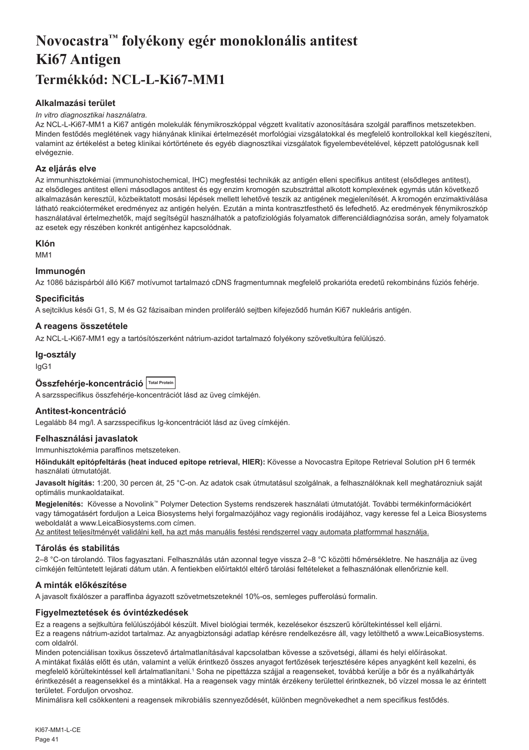# <span id="page-41-0"></span>**Novocastra™ folyékony egér monoklonális antitest Ki67 Antigen Termékkód: NCL-L-Ki67-MM1**

# **Alkalmazási terület**

#### *In vitro diagnosztikai használatra.*

Az NCL-L-Ki67-MM1 a Ki67 antigén molekulák fénymikroszkóppal végzett kvalitatív azonosítására szolgál paraffinos metszetekben. Minden festődés meglétének vagy hiányának klinikai értelmezését morfológiai vizsgálatokkal és megfelelő kontrollokkal kell kiegészíteni, valamint az értékelést a beteg klinikai kórtörténete és egyéb diagnosztikai vizsgálatok figyelembevételével, képzett patológusnak kell elvégeznie.

# **Az eljárás elve**

Az immunhisztokémiai (immunohistochemical, IHC) megfestési technikák az antigén elleni specifikus antitest (elsődleges antitest), az elsődleges antitest elleni másodlagos antitest és egy enzim kromogén szubsztráttal alkotott komplexének egymás után következő alkalmazásán keresztül, közbeiktatott mosási lépések mellett lehetővé teszik az antigének megjelenítését. A kromogén enzimaktiválása látható reakcióterméket eredményez az antigén helyén. Ezután a minta kontrasztfesthető és lefedhető. Az eredmények fénymikroszkóp használatával értelmezhetők, majd segítségül használhatók a patofiziológiás folyamatok differenciáldiagnózisa során, amely folyamatok az esetek egy részében konkrét antigénhez kapcsolódnak.

# **Klón**

M<sub>M</sub>1

#### **Immunogén**

Az 1086 bázispárból álló Ki67 motívumot tartalmazó cDNS fragmentumnak megfelelő prokarióta eredetű rekombináns fúziós fehérje.

#### **Specificitás**

A sejtciklus késői G1, S, M és G2 fázisaiban minden proliferáló sejtben kifejeződő humán Ki67 nukleáris antigén.

# **A reagens összetétele**

Az NCL-L-Ki67-MM1 egy a tartósítószerként nátrium-azidot tartalmazó folyékony szövetkultúra felülúszó.

#### **Ig-osztály**

IgG1

| Összfehérje-koncentráció Total Protein |  |  |
|----------------------------------------|--|--|
|----------------------------------------|--|--|

A sarzsspecifikus összfehérje-koncentrációt lásd az üveg címkéjén.

# **Antitest-koncentráció**

Legalább 84 mg/l. A sarzsspecifikus Ig-koncentrációt lásd az üveg címkéjén.

# **Felhasználási javaslatok**

#### Immunhisztokémia paraffinos metszeteken.

**Hőindukált epitópfeltárás (heat induced epitope retrieval, HIER):** Kövesse a Novocastra Epitope Retrieval Solution pH 6 termék használati útmutatóját.

**Javasolt hígítás:** 1:200, 30 percen át, 25 °C-on. Az adatok csak útmutatásul szolgálnak, a felhasználóknak kell meghatározniuk saját optimális munkaoldataikat.

**Megjelenítés:** Kövesse a Novolink™ Polymer Detection Systems rendszerek használati útmutatóját. További termékinformációkért vagy támogatásért forduljon a Leica Biosystems helyi forgalmazójához vagy regionális irodájához, vagy keresse fel a Leica Biosystems weboldalát a www.LeicaBiosystems.com címen.

Az antitest teljesítményét validálni kell, ha azt más manuális festési rendszerrel vagy automata platformmal használja.

# **Tárolás és stabilitás**

2–8 °C-on tárolandó. Tilos fagyasztani. Felhasználás után azonnal tegye vissza 2–8 °C közötti hőmérsékletre. Ne használja az üveg címkéjén feltüntetett lejárati dátum után. A fentiekben előírtaktól eltérő tárolási feltételeket a felhasználónak ellenőriznie kell.

# **A minták előkészítése**

A javasolt fixálószer a paraffinba ágyazott szövetmetszeteknél 10%-os, semleges pufferolású formalin.

# **Figyelmeztetések és óvintézkedések**

Ez a reagens a sejtkultúra felülúszójából készült. Mivel biológiai termék, kezelésekor észszerű körültekintéssel kell eljárni. Ez a reagens nátrium-azidot tartalmaz. Az anyagbiztonsági adatlap kérésre rendelkezésre áll, vagy letölthető a www.LeicaBiosystems. com oldalról.

Minden potenciálisan toxikus összetevő ártalmatlanításával kapcsolatban kövesse a szövetségi, állami és helyi előírásokat. A mintákat fixálás előtt és után, valamint a velük érintkező összes anyagot fertőzések terjesztésére képes anyagként kell kezelni, és megfelelő körültekintéssel kell ártalmatlanítani.<sup>1</sup> Soha ne pipettázza szájjal a reagenseket, továbbá kerülje a bőr és a nyálkahártyák érintkezését a reagensekkel és a mintákkal. Ha a reagensek vagy minták érzékeny területtel érintkeznek, bő vízzel mossa le az érintett területet. Forduljon orvoshoz.

Minimálisra kell csökkenteni a reagensek mikrobiális szennyeződését, különben megnövekedhet a nem specifikus festődés.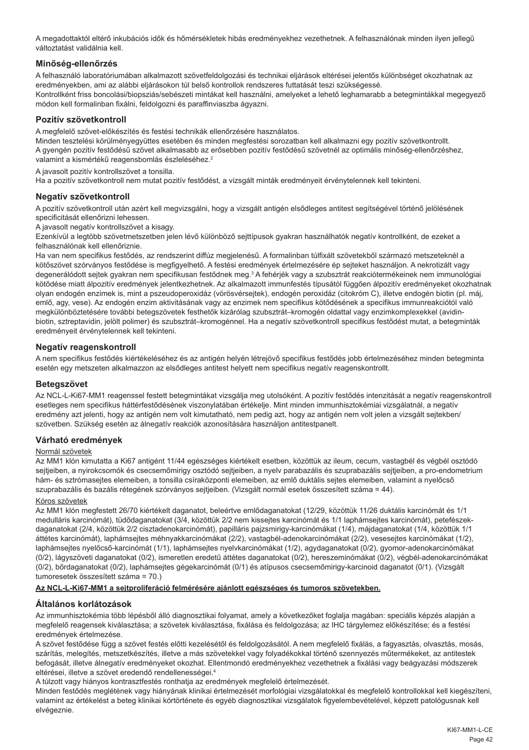A megadottaktól eltérő inkubációs idők és hőmérsékletek hibás eredményekhez vezethetnek. A felhasználónak minden ilyen jellegű változtatást validálnia kell.

# **Minőség-ellenőrzés**

A felhasználó laboratóriumában alkalmazott szövetfeldolgozási és technikai eljárások eltérései jelentős különbséget okozhatnak az eredményekben, ami az alábbi eljárásokon túl belső kontrollok rendszeres futtatását teszi szükségessé. Kontrollként friss boncolási/biopsziás/sebészeti mintákat kell használni, amelyeket a lehető leghamarabb a betegmintákkal megegyező módon kell formalinban fixálni, feldolgozni és paraffinviaszba ágyazni.

# **Pozitív szövetkontroll**

A megfelelő szövet-előkészítés és festési technikák ellenőrzésére használatos.

Minden tesztelési körülményegyüttes esetében és minden megfestési sorozatban kell alkalmazni egy pozitív szövetkontrollt. A gyengén pozitív festődésű szövet alkalmasabb az erősebben pozitív festődésű szövetnél az optimális minőség-ellenőrzéshez, valamint a kismértékű reagensbomlás észleléséhez.<sup>2</sup>

A javasolt pozitív kontrollszövet a tonsilla.

Ha a pozitív szövetkontroll nem mutat pozitív festődést, a vizsgált minták eredményeit érvénytelennek kell tekinteni.

# **Negatív szövetkontroll**

A pozitív szövetkontroll után azért kell megvizsgálni, hogy a vizsgált antigén elsődleges antitest segítségével történő jelölésének specificitását ellenőrizni lehessen.

A javasolt negatív kontrollszövet a kisagy.

Ezenkívül a legtöbb szövetmetszetben jelen lévő különböző sejttípusok gyakran használhatók negatív kontrollként, de ezeket a felhasználónak kell ellenőriznie.

Ha van nem specifikus festődés, az rendszerint diffúz megjelenésű. A formalinban túlfixált szövetekből származó metszeteknél a kötőszövet szórványos festődése is megfigyelhető. A festési eredmények értelmezésére ép sejteket használjon. A nekrotizált vagy degenerálódott sejtek gyakran nem specifikusan festődnek meg.<sup>3</sup> A fehérjék vagy a szubsztrát reakciótermékeinek nem immunológiai kötődése miatt álpozitív eredmények jelentkezhetnek. Az alkalmazott immunfestés típusától függően álpozitív eredményeket okozhatnak olyan endogén enzimek is, mint a pszeudoperoxidáz (vörösvérsejtek), endogén peroxidáz (citokróm C), illetve endogén biotin (pl. máj, emlő, agy, vese). Az endogén enzim aktivitásának vagy az enzimek nem specifikus kötődésének a specifikus immunreakciótól való megkülönböztetésére további betegszövetek festhetők kizárólag szubsztrát–kromogén oldattal vagy enzimkomplexekkel (avidinbiotin, sztreptavidin, jelölt polimer) és szubsztrát–kromogénnel. Ha a negatív szövetkontroll specifikus festődést mutat, a betegminták eredményeit érvénytelennek kell tekinteni.

# **Negatív reagenskontroll**

A nem specifikus festődés kiértékeléséhez és az antigén helyén létrejövő specifikus festődés jobb értelmezéséhez minden betegminta esetén egy metszeten alkalmazzon az elsődleges antitest helyett nem specifikus negatív reagenskontrollt.

#### **Betegszövet**

Az NCL-L-Ki67-MM1 reagenssel festett betegmintákat vizsgálja meg utolsóként. A pozitív festődés intenzitását a negatív reagenskontroll esetleges nem specifikus háttérfestődésének viszonylatában értékelje. Mint minden immunhisztokémiai vizsgálatnál, a negatív eredmény azt jelenti, hogy az antigén nem volt kimutatható, nem pedig azt, hogy az antigén nem volt jelen a vizsgált sejtekben/ szövetben. Szükség esetén az álnegatív reakciók azonosítására használjon antitestpanelt.

# **Várható eredmények**

#### Normál szövetek

Az MM1 klón kimutatta a Ki67 antigént 11/44 egészséges kiértékelt esetben, közöttük az ileum, cecum, vastagbél és végbél osztódó sejtjeiben, a nyirokcsomók és csecsemőmirigy osztódó sejtjeiben, a nyelv parabazális és szuprabazális sejtjeiben, a pro-endometrium hám- és sztrómasejtes elemeiben, a tonsilla csíraközponti elemeiben, az emlő duktális sejtes elemeiben, valamint a nyelőcső szuprabazális és bazális rétegének szórványos sejtjeiben. (Vizsgált normál esetek összesített száma = 44).

#### Kóros szövetek

Az MM1 klón megfestett 26/70 kiértékelt daganatot, beleértve emlődaganatokat (12/29, közöttük 11/26 duktális karcinómát és 1/1 medulláris karcinómát), tüdődaganatokat (3/4, közöttük 2/2 nem kissejtes karcinómát és 1/1 laphámsejtes karcinómát), petefészekdaganatokat (2/4, közöttük 2/2 cisztadenokarcinómát), papilláris pajzsmirigy-karcinómákat (1/4), májdaganatokat (1/4, közöttük 1/1 áttétes karcinómát), laphámsejtes méhnyakkarcinómákat (2/2), vastagbél-adenokarcinómákat (2/2), vesesejtes karcinómákat (1/2), laphámsejtes nyelőcső-karcinómát (1/1), laphámsejtes nyelvkarcinómákat (1/2), agydaganatokat (0/2), gyomor-adenokarcinómákat (0/2), lágyszöveti daganatokat (0/2), ismeretlen eredetű áttétes daganatokat (0/2), hereszeminómákat (0/2), végbél-adenokarcinómákat (0/2), bőrdaganatokat (0/2), laphámsejtes gégekarcinómát (0/1) és atípusos csecsemőmirigy-karcinoid daganatot (0/1). (Vizsgált tumoresetek összesített száma = 70.)

#### **Az NCL-L-Ki67-MM1 a sejtproliferáció felmérésére ajánlott egészséges és tumoros szövetekben.**

# **Általános korlátozások**

Az immunhisztokémia több lépésből álló diagnosztikai folyamat, amely a következőket foglalja magában: speciális képzés alapján a megfelelő reagensek kiválasztása; a szövetek kiválasztása, fixálása és feldolgozása; az IHC tárgylemez előkészítése; és a festési eredmények értelmezése.

A szövet festődése függ a szövet festés előtti kezelésétől és feldolgozásától. A nem megfelelő fixálás, a fagyasztás, olvasztás, mosás, szárítás, melegítés, metszetkészítés, illetve a más szövetekkel vagy folyadékokkal történő szennyezés műtermékeket, az antitestek befogását, illetve álnegatív eredményeket okozhat. Ellentmondó eredményekhez vezethetnek a fixálási vagy beágyazási módszerek eltérései, illetve a szövet eredendő rendellenességei.4

A túlzott vagy hiányos kontrasztfestés ronthatja az eredmények megfelelő értelmezését.

Minden festődés meglétének vagy hiányának klinikai értelmezését morfológiai vizsgálatokkal és megfelelő kontrollokkal kell kiegészíteni, valamint az értékelést a beteg klinikai kórtörténete és egyéb diagnosztikai vizsgálatok figyelembevételével, képzett patológusnak kell elvégeznie.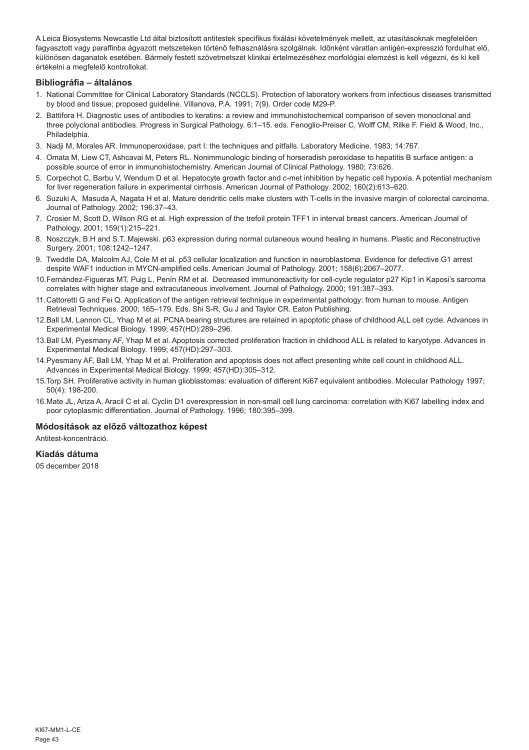A Leica Biosystems Newcastle Ltd által biztosított antitestek specifikus fixálási követelmények mellett, az utasításoknak megfelelően fagyasztott vagy paraffinba ágyazott metszeteken történő felhasználásra szolgálnak. Időnként váratlan antigén-expresszió fordulhat elő, különösen daganatok esetében. Bármely festett szövetmetszet klinikai értelmezéséhez morfológiai elemzést is kell végezni, és ki kell értékelni a megfelelő kontrollokat.

# **Bibliográfia – általános**

- 1. National Committee for Clinical Laboratory Standards (NCCLS). Protection of laboratory workers from infectious diseases transmitted by blood and tissue; proposed guideline. Villanova, P.A. 1991; 7(9). Order code M29-P.
- 2. Battifora H. Diagnostic uses of antibodies to keratins: a review and immunohistochemical comparison of seven monoclonal and three polyclonal antibodies. Progress in Surgical Pathology. 6:1–15. eds. Fenoglio-Preiser C, Wolff CM, Rilke F. Field & Wood, Inc., Philadelphia.
- 3. Nadji M, Morales AR. Immunoperoxidase, part I: the techniques and pitfalls. Laboratory Medicine. 1983; 14:767.
- 4. Omata M, Liew CT, Ashcavai M, Peters RL. Nonimmunologic binding of horseradish peroxidase to hepatitis B surface antigen: a possible source of error in immunohistochemistry. American Journal of Clinical Pathology. 1980; 73:626.
- 5. Corpechot C, Barbu V, Wendum D et al. Hepatocyte growth factor and c-met inhibition by hepatic cell hypoxia. A potential mechanism for liver regeneration failure in experimental cirrhosis. American Journal of Pathology. 2002; 160(2):613–620.
- 6. Suzuki A, Masuda A, Nagata H et al. Mature dendritic cells make clusters with T-cells in the invasive margin of colorectal carcinoma. Journal of Pathology. 2002; 196:37–43.
- 7. Crosier M, Scott D, Wilson RG et al. High expression of the trefoil protein TFF1 in interval breast cancers. American Journal of Pathology. 2001; 159(1):215–221.
- 8. Noszczyk, B.H and S.T. Majewski. p63 expression during normal cutaneous wound healing in humans. Plastic and Reconstructive Surgery. 2001; 108:1242–1247.
- 9. Tweddle DA, Malcolm AJ, Cole M et al. p53 cellular localization and function in neuroblastoma. Evidence for defective G1 arrest despite WAF1 induction in MYCN-amplified cells. American Journal of Pathology. 2001; 158(6):2067–2077.
- 10.Fernández-Figueras MT, Puig L, Penín RM et al. Decreased immunoreactivity for cell-cycle regulator p27 Kip1 in Kaposi's sarcoma correlates with higher stage and extracutaneous involvement. Journal of Pathology. 2000; 191:387–393.
- 11.Cattoretti G and Fei Q. Application of the antigen retrieval technique in experimental pathology: from human to mouse. Antigen Retrieval Techniques. 2000; 165–179. Eds. Shi S-R, Gu J and Taylor CR. Eaton Publishing.
- 12.Ball LM, Lannon CL, Yhap M et al. PCNA bearing structures are retained in apoptotic phase of childhood ALL cell cycle. Advances in Experimental Medical Biology. 1999; 457(HD):289–296.
- 13.Ball LM, Pyesmany AF, Yhap M et al. Apoptosis corrected proliferation fraction in childhood ALL is related to karyotype. Advances in Experimental Medical Biology. 1999; 457(HD):297–303.
- 14.Pyesmany AF, Ball LM, Yhap M et al. Proliferation and apoptosis does not affect presenting white cell count in childhood ALL. Advances in Experimental Medical Biology. 1999; 457(HD):305–312.
- 15.Torp SH. Proliferative activity in human glioblastomas: evaluation of different Ki67 equivalent antibodies. Molecular Pathology 1997; 50(4): 198-200.
- 16.Mate JL, Ariza A, Aracil C et al. Cyclin D1 overexpression in non-small cell lung carcinoma: correlation with Ki67 labelling index and poor cytoplasmic differentiation. Journal of Pathology. 1996; 180:395–399.

#### **Módosítások az előző változathoz képest**

Antitest-koncentráció.

#### **Kiadás dátuma**

05 december 2018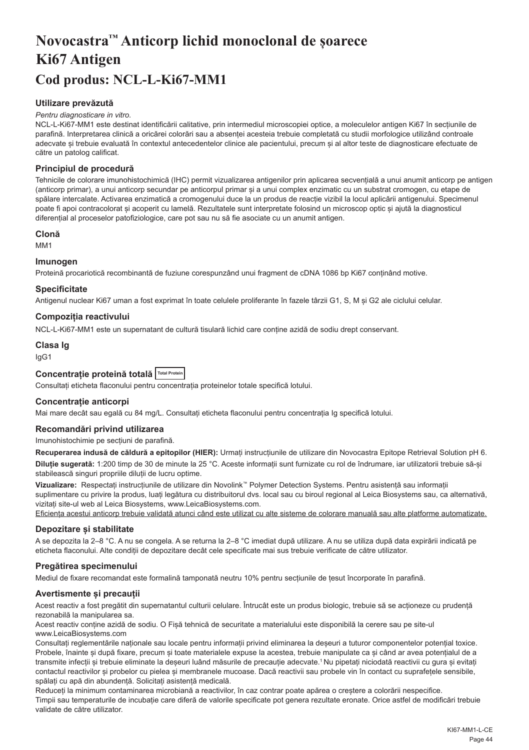# <span id="page-44-0"></span>**Novocastra™ Anticorp lichid monoclonal de șoarece Ki67 Antigen Cod produs: NCL-L-Ki67-MM1**

# **Utilizare prevăzută**

#### *Pentru diagnosticare in vitro.*

NCL-L-Ki67-MM1 este destinat identificării calitative, prin intermediul microscopiei optice, a moleculelor antigen Ki67 în secțiunile de parafină. Interpretarea clinică a oricărei colorări sau a absenței acesteia trebuie completată cu studii morfologice utilizând controale adecvate și trebuie evaluată în contextul antecedentelor clinice ale pacientului, precum și al altor teste de diagnosticare efectuate de către un patolog calificat.

#### **Principiul de procedură**

Tehnicile de colorare imunohistochimică (IHC) permit vizualizarea antigenilor prin aplicarea secvențială a unui anumit anticorp pe antigen (anticorp primar), a unui anticorp secundar pe anticorpul primar și a unui complex enzimatic cu un substrat cromogen, cu etape de spălare intercalate. Activarea enzimatică a cromogenului duce la un produs de reacție vizibil la locul aplicării antigenului. Specimenul poate fi apoi contracolorat și acoperit cu lamelă. Rezultatele sunt interpretate folosind un microscop optic și ajută la diagnosticul diferențial al proceselor patofiziologice, care pot sau nu să fie asociate cu un anumit antigen.

# **Clonă**

M<sub>M1</sub>

#### **Imunogen**

Proteină procariotică recombinantă de fuziune corespunzând unui fragment de cDNA 1086 bp Ki67 conținând motive.

#### **Specificitate**

Antigenul nuclear Ki67 uman a fost exprimat în toate celulele proliferante în fazele târzii G1, S, M și G2 ale ciclului celular.

#### **Compoziția reactivului**

NCL-L-Ki67-MM1 este un supernatant de cultură tisulară lichid care conține azidă de sodiu drept conservant.

# **Clasa Ig**

IgG1

#### **Concentrație proteină totală Total Protein**

Consultați eticheta flaconului pentru concentrația proteinelor totale specifică lotului.

# **Concentrație anticorpi**

Mai mare decât sau egală cu 84 mg/L. Consultați eticheta flaconului pentru concentrația Ig specifică lotului.

#### **Recomandări privind utilizarea**

Imunohistochimie pe secțiuni de parafină.

**Recuperarea indusă de căldură a epitopilor (HIER):** Urmați instrucțiunile de utilizare din Novocastra Epitope Retrieval Solution pH 6. **Diluție sugerată:** 1:200 timp de 30 de minute la 25 °C. Aceste informații sunt furnizate cu rol de îndrumare, iar utilizatorii trebuie să-și stabilească singuri propriile diluții de lucru optime.

**Vizualizare:** Respectați instrucțiunile de utilizare din Novolink™ Polymer Detection Systems. Pentru asistență sau informații suplimentare cu privire la produs, luați legătura cu distribuitorul dvs. local sau cu biroul regional al Leica Biosystems sau, ca alternativă, vizitați site-ul web al Leica Biosystems, www.LeicaBiosystems.com.

Eficiența acestui anticorp trebuie validată atunci când este utilizat cu alte sisteme de colorare manuală sau alte platforme automatizate.

#### **Depozitare și stabilitate**

A se depozita la 2–8 °C. A nu se congela. A se returna la 2–8 °C imediat după utilizare. A nu se utiliza după data expirării indicată pe eticheta flaconului. Alte condiții de depozitare decât cele specificate mai sus trebuie verificate de către utilizator.

#### **Pregătirea specimenului**

Mediul de fixare recomandat este formalină tamponată neutru 10% pentru secțiunile de țesut încorporate în parafină.

#### **Avertismente și precauții**

Acest reactiv a fost pregătit din supernatantul culturii celulare. Întrucât este un produs biologic, trebuie să se acționeze cu prudență rezonabilă la manipularea sa.

Acest reactiv conține azidă de sodiu. O Fișă tehnică de securitate a materialului este disponibilă la cerere sau pe site-ul www.LeicaBiosystems.com

Consultați reglementările naționale sau locale pentru informații privind eliminarea la deșeuri a tuturor componentelor potențial toxice. Probele, înainte și după fixare, precum și toate materialele expuse la acestea, trebuie manipulate ca și când ar avea potențialul de a transmite infecții și trebuie eliminate la deșeuri luând măsurile de precauție adecvate.<sup>1</sup> Nu pipetați niciodată reactivii cu gura și evitați contactul reactivilor și probelor cu pielea și membranele mucoase. Dacă reactivii sau probele vin în contact cu suprafețele sensibile, spălați cu apă din abundență. Solicitați asistență medicală.

Reduceți la minimum contaminarea microbiană a reactivilor, în caz contrar poate apărea o creștere a colorării nespecifice. Timpii sau temperaturile de incubație care diferă de valorile specificate pot genera rezultate eronate. Orice astfel de modificări trebuie validate de către utilizator.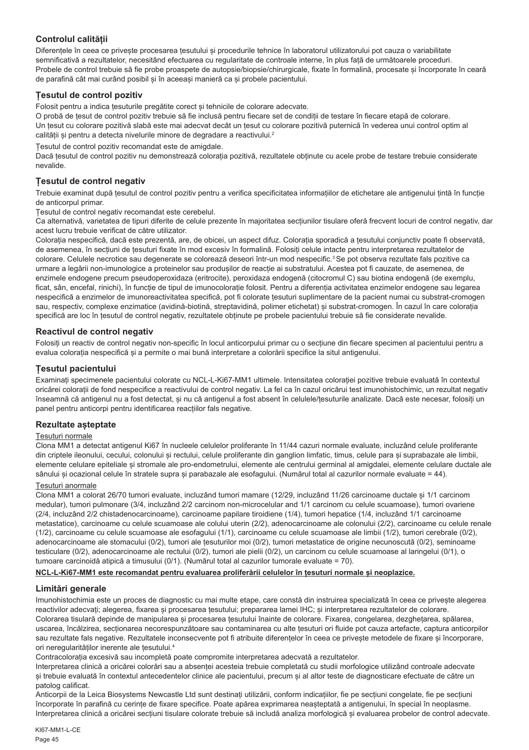# **Controlul calității**

Diferențele în ceea ce privește procesarea țesutului și procedurile tehnice în laboratorul utilizatorului pot cauza o variabilitate semnificativă a rezultatelor, necesitând efectuarea cu regularitate de controale interne, în plus față de următoarele proceduri. Probele de control trebuie să fie probe proaspete de autopsie/biopsie/chirurgicale, fixate în formalină, procesate și încorporate în ceară de parafină cât mai curând posibil și în aceeași manieră ca și probele pacientului.

# **Țesutul de control pozitiv**

Folosit pentru a indica țesuturile pregătite corect și tehnicile de colorare adecvate.

O probă de țesut de control pozitiv trebuie să fie inclusă pentru fiecare set de condiții de testare în fiecare etapă de colorare. Un țesut cu colorare pozitivă slabă este mai adecvat decât un țesut cu colorare pozitivă puternică în vederea unui control optim al calității și pentru a detecta nivelurile minore de degradare a reactivului.<sup>2</sup>

Țesutul de control pozitiv recomandat este de amigdale.

Dacă țesutul de control pozitiv nu demonstrează colorația pozitivă, rezultatele obținute cu acele probe de testare trebuie considerate nevalide.

# **Țesutul de control negativ**

Trebuie examinat după țesutul de control pozitiv pentru a verifica specificitatea informațiilor de etichetare ale antigenului țintă în funcție de anticorpul primar.

Țesutul de control negativ recomandat este cerebelul.

Ca alternativă, varietatea de tipuri diferite de celule prezente în majoritatea secțiunilor tisulare oferă frecvent locuri de control negativ, dar acest lucru trebuie verificat de către utilizator.

Colorația nespecifică, dacă este prezentă, are, de obicei, un aspect difuz. Colorația sporadică a țesutului conjunctiv poate fi observată, de asemenea, în secțiuni de țesuturi fixate în mod excesiv în formalină. Folosiți celule intacte pentru interpretarea rezultatelor de colorare. Celulele necrotice sau degenerate se colorează deseori într-un mod nespecific.<sup>3</sup> Se pot observa rezultate fals pozitive ca urmare a legării non-imunologice a proteinelor sau produșilor de reacție ai substratului. Acestea pot fi cauzate, de asemenea, de enzimele endogene precum pseudoperoxidaza (eritrocite), peroxidaza endogenă (citocromul C) sau biotina endogenă (de exemplu, ficat, sân, encefal, rinichi), în funcție de tipul de imunocolorație folosit. Pentru a diferenția activitatea enzimelor endogene sau legarea nespecifică a enzimelor de imunoreactivitatea specifică, pot fi colorate tesuturi suplimentare de la pacient numai cu substrat-cromogen sau, respectiv, complexe enzimatice (avidină-biotină, streptavidină, polimer etichetat) și substrat-cromogen. În cazul în care colorația specifică are loc în țesutul de control negativ, rezultatele obținute pe probele pacientului trebuie să fie considerate nevalide.

# **Reactivul de control negativ**

Folosiți un reactiv de control negativ non-specific în locul anticorpului primar cu o secțiune din fiecare specimen al pacientului pentru a evalua colorația nespecifică și a permite o mai bună interpretare a colorării specifice la situl antigenului.

# **Țesutul pacientului**

Examinați specimenele pacientului colorate cu NCL-L-Ki67-MM1 ultimele. Intensitatea colorației pozitive trebuie evaluată în contextul oricărei colorații de fond nespecifice a reactivului de control negativ. La fel ca în cazul oricărui test imunohistochimic, un rezultat negativ înseamnă că antigenul nu a fost detectat, și nu că antigenul a fost absent în celulele/țesuturile analizate. Dacă este necesar, folosiți un panel pentru anticorpi pentru identificarea reacțiilor fals negative.

# **Rezultate așteptate**

#### Țesuturi normale

Clona MM1 a detectat antigenul Ki67 în nucleele celulelor proliferante în 11/44 cazuri normale evaluate, incluzând celule proliferante din criptele ileonului, cecului, colonului și rectului, celule proliferante din ganglion limfatic, timus, celule para și suprabazale ale limbii, elemente celulare epiteliale și stromale ale pro-endometrului, elemente ale centrului germinal al amigdalei, elemente celulare ductale ale sânului și ocazional celule în stratele supra și parabazale ale esofagului. (Numărul total al cazurilor normale evaluate = 44).

#### Țesuturi anormale

Clona MM1 a colorat 26/70 tumori evaluate, incluzând tumori mamare (12/29, incluzând 11/26 carcinoame ductale și 1/1 carcinom medular), tumori pulmonare (3/4, incluzând 2/2 carcinom non-microcelular and 1/1 carcinom cu celule scuamoase), tumori ovariene (2/4, incluzând 2/2 chistadenocarcinoame), carcinoame papilare tiroidiene (1/4), tumori hepatice (1/4, incluzând 1/1 carcinoame metastatice), carcinoame cu celule scuamoase ale colului uterin (2/2), adenocarcinoame ale colonului (2/2), carcinoame cu celule renale (1/2), carcinoame cu celule scuamoase ale esofagului (1/1), carcinoame cu celule scuamoase ale limbii (1/2), tumori cerebrale (0/2), adenocarcinoame ale stomacului (0/2), tumori ale țesuturilor moi (0/2), tumori metastatice de origine necunoscută (0/2), seminoame testiculare (0/2), adenocarcinoame ale rectului (0/2), tumori ale pielii (0/2), un carcinom cu celule scuamoase al laringelui (0/1), o tumoare carcinoidă atipică a timusului (0/1). (Numărul total al cazurilor tumorale evaluate = 70).

#### **NCL-L-Ki67-MM1 este recomandat pentru evaluarea proliferării celulelor în țesuturi normale și neoplazice.**

# **Limitări generale**

Imunohistochimia este un proces de diagnostic cu mai multe etape, care constă din instruirea specializată în ceea ce privește alegerea reactivilor adecvati; alegerea, fixarea și procesarea tesutului; prepararea lamei IHC; și interpretarea rezultatelor de colorare. Colorarea tisulară depinde de manipularea și procesarea țesutului înainte de colorare. Fixarea, congelarea, dezghețarea, spălarea, uscarea, încălzirea, secționarea necorespunzătoare sau contaminarea cu alte țesuturi ori fluide pot cauza artefacte, captura anticorpilor sau rezultate fals negative. Rezultatele inconsecvente pot fi atribuite diferențelor în ceea ce privește metodele de fixare și încorporare. ori neregularităților inerente ale țesutului.4

Contracolorația excesivă sau incompletă poate compromite interpretarea adecvată a rezultatelor.

Interpretarea clinică a oricărei colorări sau a absenței acesteia trebuie completată cu studii morfologice utilizând controale adecvate și trebuie evaluată în contextul antecedentelor clinice ale pacientului, precum și al altor teste de diagnosticare efectuate de către un patolog calificat.

Anticorpii de la Leica Biosystems Newcastle Ltd sunt destinați utilizării, conform indicațiilor, fie pe secțiuni congelate, fie pe secțiuni încorporate în parafină cu cerințe de fixare specifice. Poate apărea exprimarea neașteptată a antigenului, în special în neoplasme. Interpretarea clinică a oricărei secțiuni tisulare colorate trebuie să includă analiza morfologică și evaluarea probelor de control adecvate.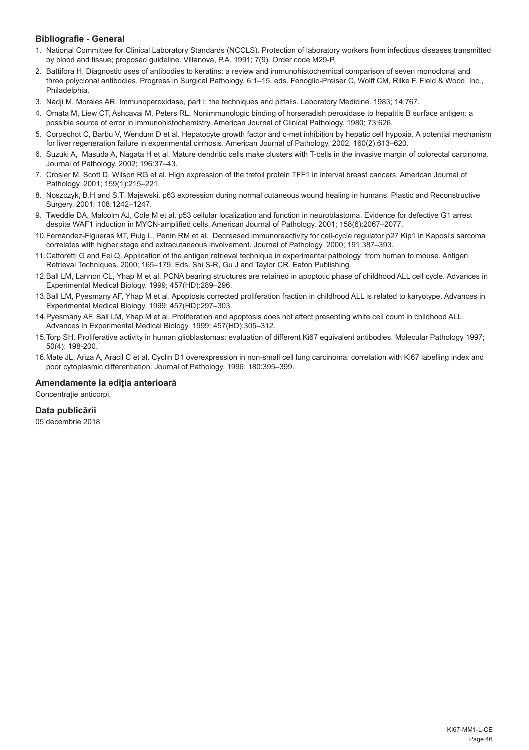# **Bibliografie - General**

- 1. National Committee for Clinical Laboratory Standards (NCCLS). Protection of laboratory workers from infectious diseases transmitted by blood and tissue; proposed guideline. Villanova, P.A. 1991; 7(9). Order code M29-P.
- 2. Battifora H. Diagnostic uses of antibodies to keratins: a review and immunohistochemical comparison of seven monoclonal and three polyclonal antibodies. Progress in Surgical Pathology. 6:1–15. eds. Fenoglio-Preiser C, Wolff CM, Rilke F. Field & Wood, Inc., Philadelphia.
- 3. Nadji M, Morales AR. Immunoperoxidase, part I: the techniques and pitfalls. Laboratory Medicine. 1983; 14:767.
- 4. Omata M, Liew CT, Ashcavai M, Peters RL. Nonimmunologic binding of horseradish peroxidase to hepatitis B surface antigen: a possible source of error in immunohistochemistry. American Journal of Clinical Pathology. 1980; 73:626.
- 5. Corpechot C, Barbu V, Wendum D et al. Hepatocyte growth factor and c-met inhibition by hepatic cell hypoxia. A potential mechanism for liver regeneration failure in experimental cirrhosis. American Journal of Pathology. 2002; 160(2):613–620.
- 6. Suzuki A, Masuda A, Nagata H et al. Mature dendritic cells make clusters with T-cells in the invasive margin of colorectal carcinoma. Journal of Pathology. 2002; 196:37–43.
- 7. Crosier M, Scott D, Wilson RG et al. High expression of the trefoil protein TFF1 in interval breast cancers. American Journal of Pathology. 2001; 159(1):215–221.
- 8. Noszczyk, B.H and S.T. Majewski. p63 expression during normal cutaneous wound healing in humans. Plastic and Reconstructive Surgery. 2001; 108:1242–1247.
- 9. Tweddle DA, Malcolm AJ, Cole M et al. p53 cellular localization and function in neuroblastoma. Evidence for defective G1 arrest despite WAF1 induction in MYCN-amplified cells. American Journal of Pathology. 2001; 158(6):2067–2077.
- 10.Fernández-Figueras MT, Puig L, Penín RM et al. Decreased immunoreactivity for cell-cycle regulator p27 Kip1 in Kaposi's sarcoma correlates with higher stage and extracutaneous involvement. Journal of Pathology. 2000; 191:387–393.
- 11.Cattoretti G and Fei Q. Application of the antigen retrieval technique in experimental pathology: from human to mouse. Antigen Retrieval Techniques. 2000; 165–179. Eds. Shi S-R, Gu J and Taylor CR. Eaton Publishing.
- 12.Ball LM, Lannon CL, Yhap M et al. PCNA bearing structures are retained in apoptotic phase of childhood ALL cell cycle. Advances in Experimental Medical Biology. 1999; 457(HD):289–296.
- 13.Ball LM, Pyesmany AF, Yhap M et al. Apoptosis corrected proliferation fraction in childhood ALL is related to karyotype. Advances in Experimental Medical Biology. 1999; 457(HD):297–303.
- 14.Pyesmany AF, Ball LM, Yhap M et al. Proliferation and apoptosis does not affect presenting white cell count in childhood ALL. Advances in Experimental Medical Biology. 1999; 457(HD):305–312.
- 15.Torp SH. Proliferative activity in human glioblastomas: evaluation of different Ki67 equivalent antibodies. Molecular Pathology 1997; 50(4): 198-200.
- 16.Mate JL, Ariza A, Aracil C et al. Cyclin D1 overexpression in non-small cell lung carcinoma: correlation with Ki67 labelling index and poor cytoplasmic differentiation. Journal of Pathology. 1996; 180:395–399.

# **Amendamente la ediția anterioară**

Concentrație anticorpi.

# **Data publicării**

05 decembrie 2018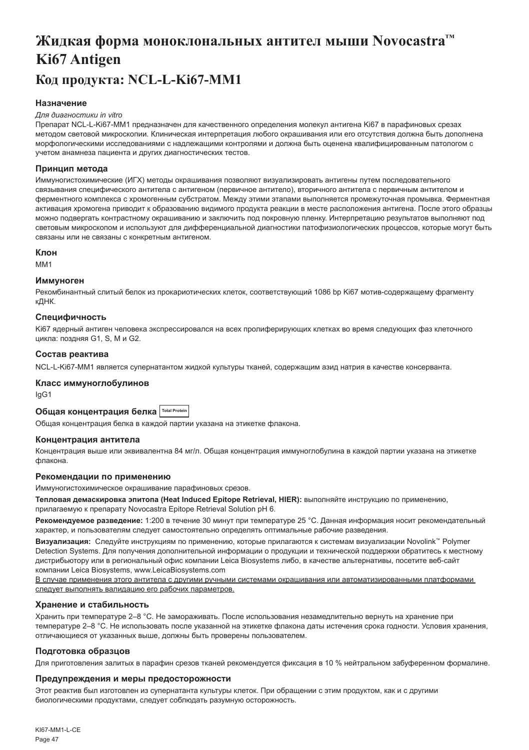# <span id="page-47-0"></span>**Жидкая форма моноклональных антител мыши Novocastra™ Ki67 Antigen Код продукта: NCL-L-Ki67-MM1**

# **Назначение**

#### *Для диагностики in vitro*

Препарат NCL-L-Ki67-MM1 предназначен для качественного определения молекул антигена Ki67 в парафиновых срезах методом световой микроскопии. Клиническая интерпретация любого окрашивания или его отсутствия должна быть дополнена морфологическими исследованиями с надлежащими контролями и должна быть оценена квалифицированным патологом с учетом анамнеза пациента и других диагностических тестов.

#### **Принцип метода**

Иммуногистохимические (ИГХ) методы окрашивания позволяют визуализировать антигены путем последовательного связывания специфического антитела с антигеном (первичное антитело), вторичного антитела с первичным антителом и ферментного комплекса с хромогенным субстратом. Между этими этапами выполняется промежуточная промывка. Ферментная активация хромогена приводит к образованию видимого продукта реакции в месте расположения антигена. После этого образцы можно подвергать контрастному окрашиванию и заключить под покровную пленку. Интерпретацию результатов выполняют под световым микроскопом и используют для дифференциальной диагностики патофизиологических процессов, которые могут быть связаны или не связаны с конкретным антигеном.

#### **Клон**

M<sub>M1</sub>

#### **Иммуноген**

Рекомбинантный слитый белок из прокариотических клеток, соответствующий 1086 bp Ki67 мотив-содержащему фрагменту кДНК.

#### **Специфичность**

Ki67 ядерный антиген человека экспрессировался на всех пролиферирующих клетках во время следующих фаз клеточного цикла: поздняя G1, S, M и G2.

#### **Состав реактива**

NCL-L-Ki67-MM1 является супернатантом жидкой культуры тканей, содержащим азид натрия в качестве консерванта.

# **Класс иммуноглобулинов**

IgG1

# **Общая концентрация белка Total Protein**

Общая концентрация белка в каждой партии указана на этикетке флакона.

#### **Концентрация антитела**

Концентрация выше или эквивалентна 84 мг/л. Общая концентрация иммуноглобулина в каждой партии указана на этикетке флакона.

#### **Рекомендации по применению**

Иммуногистохимическое окрашивание парафиновых срезов.

**Тепловая демаскировка эпитопа (Heat Induced Epitope Retrieval, HIER):** выполняйте инструкцию по применению, прилагаемую к препарату Novocastra Epitope Retrieval Solution pH 6.

**Рекомендуемое разведение:** 1:200 в течение 30 минут при температуре 25 °C. Данная информация носит рекомендательный характер, и пользователям следует самостоятельно определять оптимальные рабочие разведения.

**Визуализация:** Следуйте инструкциям по применению, которые прилагаются к системам визуализации Novolink™ Polymer Detection Systems. Для получения дополнительной информации о продукции и технической поддержки обратитесь к местному дистрибьютору или в региональный офис компании Leica Biosystems либо, в качестве альтернативы, посетите веб-сайт компании Leica Biosystems, www.LeicaBiosystems.com

В случае применения этого антитела с другими ручными системами окрашивания или автоматизированными платформами следует выполнять валидацию его рабочих параметров.

#### **Хранение и стабильность**

Хранить при температуре 2–8 °C. Не замораживать. После использования незамедлительно вернуть на хранение при температуре 2–8 °C. Не использовать после указанной на этикетке флакона даты истечения срока годности. Условия хранения, отличающиеся от указанных выше, должны быть проверены пользователем.

#### **Подготовка образцов**

Для приготовления залитых в парафин срезов тканей рекомендуется фиксация в 10 % нейтральном забуференном формалине.

#### **Предупреждения и меры предосторожности**

Этот реактив был изготовлен из супернатанта культуры клеток. При обращении с этим продуктом, как и с другими биологическими продуктами, следует соблюдать разумную осторожность.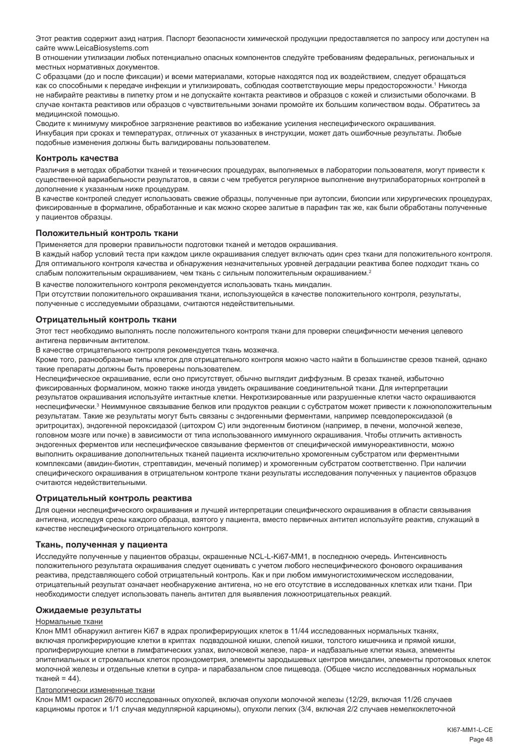Этот реактив содержит азид натрия. Паспорт безопасности химической продукции предоставляется по запросу или доступен на сайте www.LeicaBiosystems.com

В отношении утилизации любых потенциально опасных компонентов следуйте требованиям федеральных, региональных и местных нормативных документов.

С образцами (до и после фиксации) и всеми материалами, которые находятся под их воздействием, следует обращаться как со способными к передаче инфекции и утилизировать, соблюдая соответствующие меры предосторожности.1 Никогда не набирайте реактивы в пипетку ртом и не допускайте контакта реактивов и образцов с кожей и слизистыми оболочками. В случае контакта реактивов или образцов с чувствительными зонами промойте их большим количеством воды. Обратитесь за медицинской помощью.

Сводите к минимуму микробное загрязнение реактивов во избежание усиления неспецифического окрашивания. Инкубация при сроках и температурах, отличных от указанных в инструкции, может дать ошибочные результаты. Любые подобные изменения должны быть валидированы пользователем.

#### **Контроль качества**

Различия в методах обработки тканей и технических процедурах, выполняемых в лаборатории пользователя, могут привести к существенной вариабельности результатов, в связи с чем требуется регулярное выполнение внутрилабораторных контролей в дополнение к указанным ниже процедурам.

В качестве контролей следует использовать свежие образцы, полученные при аутопсии, биопсии или хирургических процедурах, фиксированные в формалине, обработанные и как можно скорее залитые в парафин так же, как были обработаны полученные у пациентов образцы.

#### **Положительный контроль ткани**

Применяется для проверки правильности подготовки тканей и методов окрашивания.

В каждый набор условий теста при каждом цикле окрашивания следует включать один срез ткани для положительного контроля. Для оптимального контроля качества и обнаружения незначительных уровней деградации реактива более подходит ткань со слабым положительным окрашиванием, чем ткань с сильным положительным окрашиванием.<sup>2</sup>

В качестве положительного контроля рекомендуется использовать ткань миндалин.

При отсутствии положительного окрашивания ткани, использующейся в качестве положительного контроля, результаты, полученные с исследуемыми образцами, считаются недействительными.

#### **Отрицательный контроль ткани**

Этот тест необходимо выполнять после положительного контроля ткани для проверки специфичности мечения целевого антигена первичным антителом.

В качестве отрицательного контроля рекомендуется ткань мозжечка.

Кроме того, разнообразные типы клеток для отрицательного контроля можно часто найти в большинстве срезов тканей, однако такие препараты должны быть проверены пользователем.

Неспецифическое окрашивание, если оно присутствует, обычно выглядит диффузным. В срезах тканей, избыточно фиксированных формалином, можно также иногда увидеть окрашивание соединительной ткани. Для интерпретации результатов окрашивания используйте интактные клетки. Некротизированные или разрушенные клетки часто окрашиваются неспецифически.<sup>з</sup> Неиммунное связывание белков или продуктов реакции с субстратом может привести к ложноположительным результатам. Такие же результаты могут быть связаны с эндогенными ферментами, например псевдопероксидазой (в эритроцитах), эндогенной пероксидазой (цитохром C) или эндогенным биотином (например, в печени, молочной железе, головном мозге или почке) в зависимости от типа использованного иммунного окрашивания. Чтобы отличить активность эндогенных ферментов или неспецифическое связывание ферментов от специфической иммунореактивности, можно выполнить окрашивание дополнительных тканей пациента исключительно хромогенным субстратом или ферментными комплексами (авидин-биотин, стрептавидин, меченый полимер) и хромогенным субстратом соответственно. При наличии специфического окрашивания в отрицательном контроле ткани результаты исследования полученных у пациентов образцов считаются недействительными.

#### **Отрицательный контроль реактива**

Для оценки неспецифического окрашивания и лучшей интерпретации специфического окрашивания в области связывания антигена, исследуя срезы каждого образца, взятого у пациента, вместо первичных антител используйте реактив, служащий в качестве неспецифического отрицательного контроля.

#### **Ткань, полученная у пациента**

Исследуйте полученные у пациентов образцы, окрашенные NCL-L-Ki67-MM1, в последнюю очередь. Интенсивность положительного результата окрашивания следует оценивать с учетом любого неспецифического фонового окрашивания реактива, представляющего собой отрицательный контроль. Как и при любом иммуногистохимическом исследовании, отрицательный результат означает необнаружение антигена, но не его отсутствие в исследованных клетках или ткани. При необходимости следует использовать панель антител для выявления ложноотрицательных реакций.

#### **Ожидаемые результаты**

#### Нормальные ткани

Клон MM1 обнаружил антиген Ki67 в ядрах пролиферирующих клеток в 11/44 исследованных нормальных тканях, включая пролиферирующие клетки в криптах подвздошной кишки, слепой кишки, толстого кишечника и прямой кишки, пролиферирующие клетки в лимфатических узлах, вилочковой железе, пара- и надбазальные клетки языка, элементы эпителиальных и стромальных клеток проэндометрия, элементы зародышевых центров миндалин, элементы протоковых клеток молочной железы и отдельные клетки в супра- и парабазальном слое пищевода. (Общее число исследованных нормальных тканей = 44).

#### Патологически измененные ткани

Клон MM1 окрасил 26/70 исследованных опухолей, включая опухоли молочной железы (12/29, включая 11/26 случаев карциномы проток и 1/1 случая медуллярной карциномы), опухоли легких (3/4, включая 2/2 случаев немелкоклеточной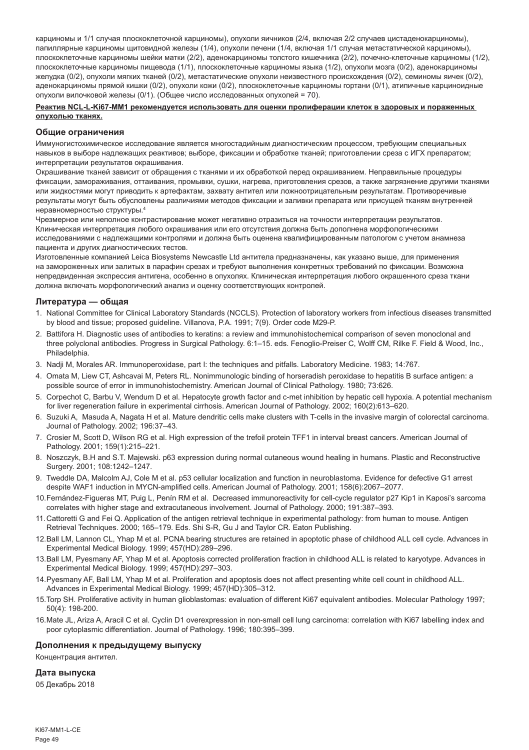карциномы и 1/1 случая плоскоклеточной карциномы), опухоли яичников (2/4, включая 2/2 случаев цистаденокарциномы), папиллярные карциномы щитовидной железы (1/4), опухоли печени (1/4, включая 1/1 случая метастатической карциномы), плоскоклеточные карциномы шейки матки (2/2), аденокарциномы толстого кишечника (2/2), почечно-клеточные карциномы (1/2), плоскоклеточные карциномы пищевода (1/1), плоскоклеточные карциномы языка (1/2), опухоли мозга (0/2), аденокарциномы желудка (0/2), опухоли мягких тканей (0/2), метастатические опухоли неизвестного происхождения (0/2), семиномы яичек (0/2), аденокарциномы прямой кишки (0/2), опухоли кожи (0/2), плоскоклеточные карциномы гортани (0/1), атипичные карциноидные опухоли вилочковой железы (0/1). (Общее число исследованных опухолей = 70).

#### **Реактив NCL-L-Ki67-MM1 рекомендуется использовать для оценки пролиферации клеток в здоровых и пораженных опухолью тканях.**

#### **Общие ограничения**

Иммуногистохимическое исследование является многостадийным диагностическим процессом, требующим специальных навыков в выборе надлежащих реактивов; выборе, фиксации и обработке тканей; приготовлении среза с ИГХ препаратом; интерпретации результатов окрашивания.

Окрашивание тканей зависит от обращения с тканями и их обработкой перед окрашиванием. Неправильные процедуры фиксации, замораживания, оттаивания, промывки, сушки, нагрева, приготовления срезов, а также загрязнение другими тканями или жидкостями могут приводить к артефактам, захвату антител или ложноотрицательным результатам. Противоречивые результаты могут быть обусловлены различиями методов фиксации и заливки препарата или присущей тканям внутренней неравномерностью структуры.4

Чрезмерное или неполное контрастирование может негативно отразиться на точности интерпретации результатов. Клиническая интерпретация любого окрашивания или его отсутствия должна быть дополнена морфологическими исследованиями с надлежащими контролями и должна быть оценена квалифицированным патологом с учетом анамнеза пациента и других диагностических тестов.

Изготовленные компанией Leica Biosystems Newcastle Ltd антитела предназначены, как указано выше, для применения на замороженных или залитых в парафин срезах и требуют выполнения конкретных требований по фиксации. Возможна непредвиденная экспрессия антигена, особенно в опухолях. Клиническая интерпретация любого окрашенного среза ткани должна включать морфологический анализ и оценку соответствующих контролей.

#### **Литература — общая**

- 1. National Committee for Clinical Laboratory Standards (NCCLS). Protection of laboratory workers from infectious diseases transmitted by blood and tissue; proposed guideline. Villanova, P.A. 1991; 7(9). Order code M29-P.
- 2. Battifora H. Diagnostic uses of antibodies to keratins: a review and immunohistochemical comparison of seven monoclonal and three polyclonal antibodies. Progress in Surgical Pathology. 6:1–15. eds. Fenoglio-Preiser C, Wolff CM, Rilke F. Field & Wood, Inc., Philadelphia.
- 3. Nadji M, Morales AR. Immunoperoxidase, part I: the techniques and pitfalls. Laboratory Medicine. 1983; 14:767.
- 4. Omata M, Liew CT, Ashcavai M, Peters RL. Nonimmunologic binding of horseradish peroxidase to hepatitis B surface antigen: a possible source of error in immunohistochemistry. American Journal of Clinical Pathology. 1980; 73:626.
- 5. Corpechot C, Barbu V, Wendum D et al. Hepatocyte growth factor and c-met inhibition by hepatic cell hypoxia. A potential mechanism for liver regeneration failure in experimental cirrhosis. American Journal of Pathology. 2002; 160(2):613–620.
- 6. Suzuki A, Masuda A, Nagata H et al. Mature dendritic cells make clusters with T-cells in the invasive margin of colorectal carcinoma. Journal of Pathology. 2002; 196:37–43.
- 7. Crosier M, Scott D, Wilson RG et al. High expression of the trefoil protein TFF1 in interval breast cancers. American Journal of Pathology. 2001; 159(1):215–221.
- 8. Noszczyk, B.H and S.T. Majewski. p63 expression during normal cutaneous wound healing in humans. Plastic and Reconstructive Surgery. 2001; 108:1242–1247.
- 9. Tweddle DA, Malcolm AJ, Cole M et al. p53 cellular localization and function in neuroblastoma. Evidence for defective G1 arrest despite WAF1 induction in MYCN-amplified cells. American Journal of Pathology. 2001; 158(6):2067–2077.
- 10.Fernández-Figueras MT, Puig L, Penín RM et al. Decreased immunoreactivity for cell-cycle regulator p27 Kip1 in Kaposi's sarcoma correlates with higher stage and extracutaneous involvement. Journal of Pathology. 2000; 191:387–393.
- 11.Cattoretti G and Fei Q. Application of the antigen retrieval technique in experimental pathology: from human to mouse. Antigen Retrieval Techniques. 2000; 165–179. Eds. Shi S-R, Gu J and Taylor CR. Eaton Publishing.
- 12.Ball LM, Lannon CL, Yhap M et al. PCNA bearing structures are retained in apoptotic phase of childhood ALL cell cycle. Advances in Experimental Medical Biology. 1999; 457(HD):289–296.
- 13.Ball LM, Pyesmany AF, Yhap M et al. Apoptosis corrected proliferation fraction in childhood ALL is related to karyotype. Advances in Experimental Medical Biology. 1999; 457(HD):297–303.
- 14.Pyesmany AF, Ball LM, Yhap M et al. Proliferation and apoptosis does not affect presenting white cell count in childhood ALL. Advances in Experimental Medical Biology. 1999; 457(HD):305–312.
- 15.Torp SH. Proliferative activity in human glioblastomas: evaluation of different Ki67 equivalent antibodies. Molecular Pathology 1997; 50(4): 198-200.
- 16.Mate JL, Ariza A, Aracil C et al. Cyclin D1 overexpression in non-small cell lung carcinoma: correlation with Ki67 labelling index and poor cytoplasmic differentiation. Journal of Pathology. 1996; 180:395–399.

#### **Дополнения к предыдущему выпуску**

Концентрация антител.

#### **Дата выпуска**

05 Декабрь 2018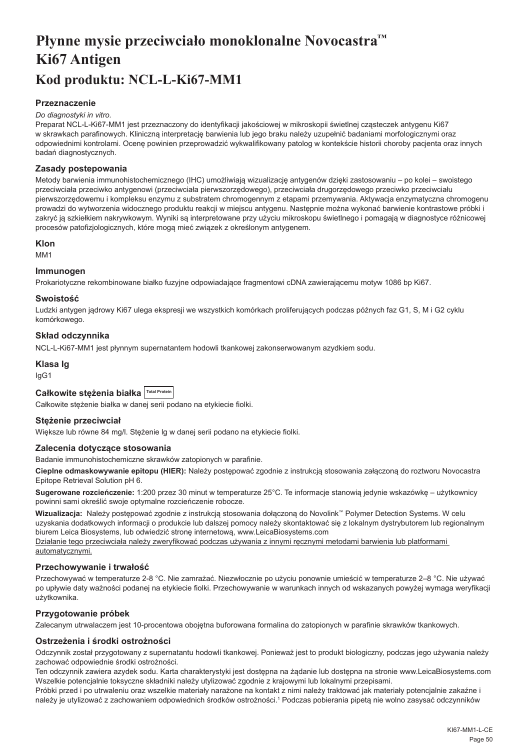# <span id="page-50-0"></span>**Płynne mysie przeciwciało monoklonalne Novocastra™ Ki67 Antigen Kod produktu: NCL-L-Ki67-MM1**

# **Przeznaczenie**

#### *Do diagnostyki in vitro.*

Preparat NCL-L-Ki67-MM1 jest przeznaczony do identyfikacji jakościowej w mikroskopii świetlnej cząsteczek antygenu Ki67 w skrawkach parafinowych. Kliniczną interpretację barwienia lub jego braku należy uzupełnić badaniami morfologicznymi oraz odpowiednimi kontrolami. Ocenę powinien przeprowadzić wykwalifikowany patolog w kontekście historii choroby pacjenta oraz innych badań diagnostycznych.

#### **Zasady postepowania**

Metody barwienia immunohistochemicznego (IHC) umożliwiają wizualizację antygenów dzięki zastosowaniu – po kolei – swoistego przeciwciała przeciwko antygenowi (przeciwciała pierwszorzędowego), przeciwciała drugorzędowego przeciwko przeciwciału pierwszorzędowemu i kompleksu enzymu z substratem chromogennym z etapami przemywania. Aktywacja enzymatyczna chromogenu prowadzi do wytworzenia widocznego produktu reakcji w miejscu antygenu. Następnie można wykonać barwienie kontrastowe próbki i zakryć ją szkiełkiem nakrywkowym. Wyniki są interpretowane przy użyciu mikroskopu świetlnego i pomagają w diagnostyce różnicowej procesów patofizjologicznych, które mogą mieć związek z określonym antygenem.

#### **Klon**

M<sub>M</sub>1

# **Immunogen**

Prokariotyczne rekombinowane białko fuzyjne odpowiadające fragmentowi cDNA zawierającemu motyw 1086 bp Ki67.

#### **Swoistość**

Ludzki antygen jądrowy Ki67 ulega ekspresji we wszystkich komórkach proliferujących podczas późnych faz G1, S, M i G2 cyklu komórkowego.

#### **Skład odczynnika**

NCL-L-Ki67-MM1 jest płynnym supernatantem hodowli tkankowej zakonserwowanym azydkiem sodu.

#### **Klasa Ig**

IgG1

| Całkowite stężenia białka   Total Protein |  |  |
|-------------------------------------------|--|--|
|-------------------------------------------|--|--|

Całkowite stężenie białka w danej serii podano na etykiecie fiolki.

#### **Stężenie przeciwciał**

Większe lub równe 84 mg/l. Stężenie lg w danej serii podano na etykiecie fiolki.

#### **Zalecenia dotyczące stosowania**

Badanie immunohistochemiczne skrawków zatopionych w parafinie.

**Cieplne odmaskowywanie epitopu (HIER):** Należy postępować zgodnie z instrukcją stosowania załączoną do roztworu Novocastra Epitope Retrieval Solution pH 6.

**Sugerowane rozcieńczenie:** 1:200 przez 30 minut w temperaturze 25°C. Te informacje stanowią jedynie wskazówkę – użytkownicy powinni sami określić swoje optymalne rozcieńczenie robocze.

**Wizualizacja:** Należy postępować zgodnie z instrukcją stosowania dołączoną do Novolink™ Polymer Detection Systems. W celu uzyskania dodatkowych informacji o produkcie lub dalszej pomocy należy skontaktować się z lokalnym dystrybutorem lub regionalnym biurem Leica Biosystems, lub odwiedzić stronę internetową, www.LeicaBiosystems.com

Działanie tego przeciwciała należy zweryfikować podczas używania z innymi ręcznymi metodami barwienia lub platformami automatycznymi.

#### **Przechowywanie i trwałość**

Przechowywać w temperaturze 2-8 °C. Nie zamrażać. Niezwłocznie po użyciu ponownie umieścić w temperaturze 2–8 °C. Nie używać po upływie daty ważności podanej na etykiecie fiolki. Przechowywanie w warunkach innych od wskazanych powyżej wymaga weryfikacji użytkownika.

# **Przygotowanie próbek**

Zalecanym utrwalaczem jest 10-procentowa obojętna buforowana formalina do zatopionych w parafinie skrawków tkankowych.

# **Ostrzeżenia i środki ostrożności**

Odczynnik został przygotowany z supernatantu hodowli tkankowej. Ponieważ jest to produkt biologiczny, podczas jego używania należy zachować odpowiednie środki ostrożności.

Ten odczynnik zawiera azydek sodu. Karta charakterystyki jest dostępna na żądanie lub dostępna na stronie www.LeicaBiosystems.com Wszelkie potencjalnie toksyczne składniki należy utylizować zgodnie z krajowymi lub lokalnymi przepisami.

Próbki przed i po utrwaleniu oraz wszelkie materiały narażone na kontakt z nimi należy traktować jak materiały potencjalnie zakaźne i należy je utylizować z zachowaniem odpowiednich środków ostrożności.<sup>1</sup> Podczas pobierania pipetą nie wolno zasysać odczynników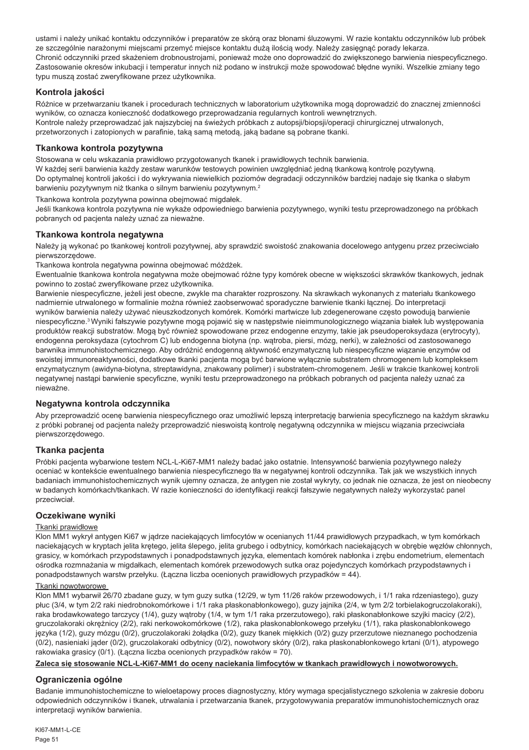ustami i należy unikać kontaktu odczynników i preparatów ze skórą oraz błonami śluzowymi. W razie kontaktu odczynników lub próbek ze szczególnie narażonymi miejscami przemyć miejsce kontaktu dużą ilością wody. Należy zasięgnąć porady lekarza. Chronić odczynniki przed skażeniem drobnoustrojami, ponieważ może ono doprowadzić do zwiększonego barwienia niespecyficznego. Zastosowanie okresów inkubacji i temperatur innych niż podano w instrukcji może spowodować błędne wyniki. Wszelkie zmiany tego typu muszą zostać zweryfikowane przez użytkownika.

# **Kontrola jakości**

Różnice w przetwarzaniu tkanek i procedurach technicznych w laboratorium użytkownika mogą doprowadzić do znacznej zmienności wyników, co oznacza konieczność dodatkowego przeprowadzania regularnych kontroli wewnętrznych. Kontrole należy przeprowadzać jak najszybciej na świeżych próbkach z autopsji/biopsji/operacji chirurgicznej utrwalonych, przetworzonych i zatopionych w parafinie, taką samą metodą, jaką badane są pobrane tkanki.

# **Tkankowa kontrola pozytywna**

Stosowana w celu wskazania prawidłowo przygotowanych tkanek i prawidłowych technik barwienia.

W każdej serii barwienia każdy zestaw warunków testowych powinien uwzględniać jedną tkankową kontrolę pozytywną. Do optymalnej kontroli jakości i do wykrywania niewielkich poziomów degradacji odczynników bardziej nadaje się tkanka o słabym barwieniu pozytywnym niż tkanka o silnym barwieniu pozytywnym.<sup>2</sup>

Tkankowa kontrola pozytywna powinna obejmować migdałek.

Jeśli tkankowa kontrola pozytywna nie wykaże odpowiedniego barwienia pozytywnego, wyniki testu przeprowadzonego na próbkach pobranych od pacjenta należy uznać za nieważne.

# **Tkankowa kontrola negatywna**

Należy ja wykonać po tkankowej kontroli pozytywnej, aby sprawdzić swoistość znakowania docelowego antygenu przez przeciwciało pierwszorzędowe.

Tkankowa kontrola negatywna powinna obejmować móżdżek.

Ewentualnie tkankowa kontrola negatywna może obejmować różne typy komórek obecne w większości skrawków tkankowych, jednak powinno to zostać zweryfikowane przez użytkownika.

Barwienie niespecyficzne, jeżeli jest obecne, zwykle ma charakter rozproszony. Na skrawkach wykonanych z materiału tkankowego nadmiernie utrwalonego w formalinie można również zaobserwować sporadyczne barwienie tkanki łącznej. Do interpretacji wyników barwienia należy używać nieuszkodzonych komórek. Komórki martwicze lub zdegenerowane często powodują barwienie niespecyficzne.<sup>3</sup> Wyniki fałszywie pozytywne mogą pojawić się w następstwie nieimmunologicznego wiązania białek lub występowania produktów reakcji substratów. Mogą być również spowodowane przez endogenne enzymy, takie jak pseudoperoksydaza (erytrocyty), endogenna peroksydaza (cytochrom C) lub endogenna biotyna (np. wątroba, piersi, mózg, nerki), w zależności od zastosowanego barwnika immunohistochemicznego. Aby odróżnić endogenną aktywność enzymatyczną lub niespecyficzne wiązanie enzymów od swoistej immunoreaktywności, dodatkowe tkanki pacjenta mogą być barwione wyłącznie substratem chromogenem lub kompleksem enzymatycznym (awidyna-biotyna, streptawidyna, znakowany polimer) i substratem-chromogenem. Jeśli w trakcie tkankowej kontroli negatywnej nastąpi barwienie specyficzne, wyniki testu przeprowadzonego na próbkach pobranych od pacjenta należy uznać za nieważne.

# **Negatywna kontrola odczynnika**

Aby przeprowadzić ocenę barwienia niespecyficznego oraz umożliwić lepszą interpretację barwienia specyficznego na każdym skrawku z próbki pobranej od pacjenta należy przeprowadzić nieswoistą kontrolę negatywną odczynnika w miejscu wiązania przeciwciała pierwszorzędowego.

# **Tkanka pacjenta**

Próbki pacjenta wybarwione testem NCL-L-Ki67-MM1 należy badać jako ostatnie. Intensywność barwienia pozytywnego należy oceniać w kontekście ewentualnego barwienia niespecyficznego tła w negatywnej kontroli odczynnika. Tak jak we wszystkich innych badaniach immunohistochemicznych wynik ujemny oznacza, że antygen nie został wykryty, co jednak nie oznacza, że jest on nieobecny w badanych komórkach/tkankach. W razie konieczności do identyfikacji reakcji fałszywie negatywnych należy wykorzystać panel przeciwciał.

# **Oczekiwane wyniki**

# Tkanki prawidłowe

Klon MM1 wykrył antygen Ki67 w jądrze naciekających limfocytów w ocenianych 11/44 prawidłowych przypadkach, w tym komórkach naciekających w kryptach jelita krętego, jelita ślepego, jelita grubego i odbytnicy, komórkach naciekających w obrębie węzłów chłonnych, grasicy, w komórkach przypodstawnych i ponadpodstawnych języka, elementach komórek nabłonka i zrębu endometrium, elementach ośrodka rozmnażania w migdałkach, elementach komórek przewodowych sutka oraz pojedynczych komórkach przypodstawnych i ponadpodstawnych warstw przełyku. (Łączna liczba ocenionych prawidłowych przypadków = 44).

# Tkanki nowotworowe

Klon MM1 wybarwił 26/70 zbadane guzy, w tym guzy sutka (12/29, w tym 11/26 raków przewodowych, i 1/1 raka rdzeniastego), guzy płuc (3/4, w tym 2/2 raki niedrobnokomórkowe i 1/1 raka płaskonabłonkowego), guzy jajnika (2/4, w tym 2/2 torbielakogruczolakoraki), raka brodawkowatego tarczycy (1/4), guzy wątroby (1/4, w tym 1/1 raka przerzutowego), raki płaskonabłonkowe szyjki macicy (2/2), gruczolakoraki okrężnicy (2/2), raki nerkowokomórkowe (1/2), raka płaskonabłonkowego przełyku (1/1), raka płaskonabłonkowego języka (1/2), guzy mózgu (0/2), gruczolakoraki żołądka (0/2), guzy tkanek miękkich (0/2) guzy przerzutowe nieznanego pochodzenia (0/2), nasieniaki jąder (0/2), gruczolakoraki odbytnicy (0/2), nowotwory skóry (0/2), raka płaskonabłonkowego krtani (0/1), atypowego rakowiaka grasicy (0/1). (Łączna liczba ocenionych przypadków raków = 70).

# **Zaleca się stosowanie NCL-L-Ki67-MM1 do oceny naciekania limfocytów w tkankach prawidłowych i nowotworowych.**

# **Ograniczenia ogólne**

Badanie immunohistochemiczne to wieloetapowy proces diagnostyczny, który wymaga specjalistycznego szkolenia w zakresie doboru odpowiednich odczynników i tkanek, utrwalania i przetwarzania tkanek, przygotowywania preparatów immunohistochemicznych oraz interpretacji wyników barwienia.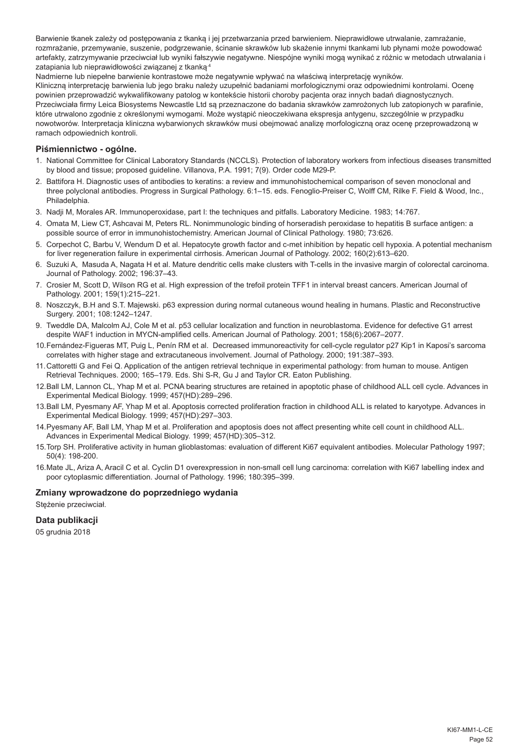Barwienie tkanek zależy od postępowania z tkanką i jej przetwarzania przed barwieniem. Nieprawidłowe utrwalanie, zamrażanie, rozmrażanie, przemywanie, suszenie, podgrzewanie, ścinanie skrawków lub skażenie innymi tkankami lub płynami może powodować artefakty, zatrzymywanie przeciwciał lub wyniki fałszywie negatywne. Niespójne wyniki mogą wynikać z różnic w metodach utrwalania i zatapiania lub nieprawidłowości związanej z tkanką.4

Nadmierne lub niepełne barwienie kontrastowe może negatywnie wpływać na właściwą interpretację wyników. Kliniczną interpretację barwienia lub jego braku należy uzupełnić badaniami morfologicznymi oraz odpowiednimi kontrolami. Ocenę powinien przeprowadzić wykwalifikowany patolog w kontekście historii choroby pacjenta oraz innych badań diagnostycznych. Przeciwciała firmy Leica Biosystems Newcastle Ltd są przeznaczone do badania skrawków zamrożonych lub zatopionych w parafinie, które utrwalono zgodnie z określonymi wymogami. Może wystąpić nieoczekiwana ekspresja antygenu, szczególnie w przypadku nowotworów. Interpretacja kliniczna wybarwionych skrawków musi obejmować analizę morfologiczną oraz ocenę przeprowadzoną w ramach odpowiednich kontroli.

# **Piśmiennictwo - ogólne.**

- 1. National Committee for Clinical Laboratory Standards (NCCLS). Protection of laboratory workers from infectious diseases transmitted by blood and tissue; proposed guideline. Villanova, P.A. 1991; 7(9). Order code M29-P.
- 2. Battifora H. Diagnostic uses of antibodies to keratins: a review and immunohistochemical comparison of seven monoclonal and three polyclonal antibodies. Progress in Surgical Pathology. 6:1–15. eds. Fenoglio-Preiser C, Wolff CM, Rilke F. Field & Wood, Inc., Philadelphia.
- 3. Nadji M, Morales AR. Immunoperoxidase, part I: the techniques and pitfalls. Laboratory Medicine. 1983; 14:767.
- 4. Omata M, Liew CT, Ashcavai M, Peters RL. Nonimmunologic binding of horseradish peroxidase to hepatitis B surface antigen: a possible source of error in immunohistochemistry. American Journal of Clinical Pathology. 1980; 73:626.
- 5. Corpechot C, Barbu V, Wendum D et al. Hepatocyte growth factor and c-met inhibition by hepatic cell hypoxia. A potential mechanism for liver regeneration failure in experimental cirrhosis. American Journal of Pathology. 2002; 160(2):613–620.
- 6. Suzuki A, Masuda A, Nagata H et al. Mature dendritic cells make clusters with T-cells in the invasive margin of colorectal carcinoma. Journal of Pathology. 2002; 196:37–43.
- 7. Crosier M, Scott D, Wilson RG et al. High expression of the trefoil protein TFF1 in interval breast cancers. American Journal of Pathology. 2001; 159(1):215–221.
- 8. Noszczyk, B.H and S.T. Majewski. p63 expression during normal cutaneous wound healing in humans. Plastic and Reconstructive Surgery. 2001; 108:1242–1247.
- 9. Tweddle DA, Malcolm AJ, Cole M et al. p53 cellular localization and function in neuroblastoma. Evidence for defective G1 arrest despite WAF1 induction in MYCN-amplified cells. American Journal of Pathology. 2001; 158(6):2067–2077.
- 10.Fernández-Figueras MT, Puig L, Penín RM et al. Decreased immunoreactivity for cell-cycle regulator p27 Kip1 in Kaposi's sarcoma correlates with higher stage and extracutaneous involvement. Journal of Pathology. 2000; 191:387–393.
- 11.Cattoretti G and Fei Q. Application of the antigen retrieval technique in experimental pathology: from human to mouse. Antigen Retrieval Techniques. 2000; 165–179. Eds. Shi S-R, Gu J and Taylor CR. Eaton Publishing.
- 12.Ball LM, Lannon CL, Yhap M et al. PCNA bearing structures are retained in apoptotic phase of childhood ALL cell cycle. Advances in Experimental Medical Biology. 1999; 457(HD):289–296.
- 13.Ball LM, Pyesmany AF, Yhap M et al. Apoptosis corrected proliferation fraction in childhood ALL is related to karyotype. Advances in Experimental Medical Biology. 1999; 457(HD):297–303.
- 14.Pyesmany AF, Ball LM, Yhap M et al. Proliferation and apoptosis does not affect presenting white cell count in childhood ALL. Advances in Experimental Medical Biology. 1999; 457(HD):305–312.
- 15.Torp SH. Proliferative activity in human glioblastomas: evaluation of different Ki67 equivalent antibodies. Molecular Pathology 1997; 50(4): 198-200.
- 16.Mate JL, Ariza A, Aracil C et al. Cyclin D1 overexpression in non-small cell lung carcinoma: correlation with Ki67 labelling index and poor cytoplasmic differentiation. Journal of Pathology. 1996; 180:395–399.

# **Zmiany wprowadzone do poprzedniego wydania**

Stężenie przeciwciał.

# **Data publikacji**

05 grudnia 2018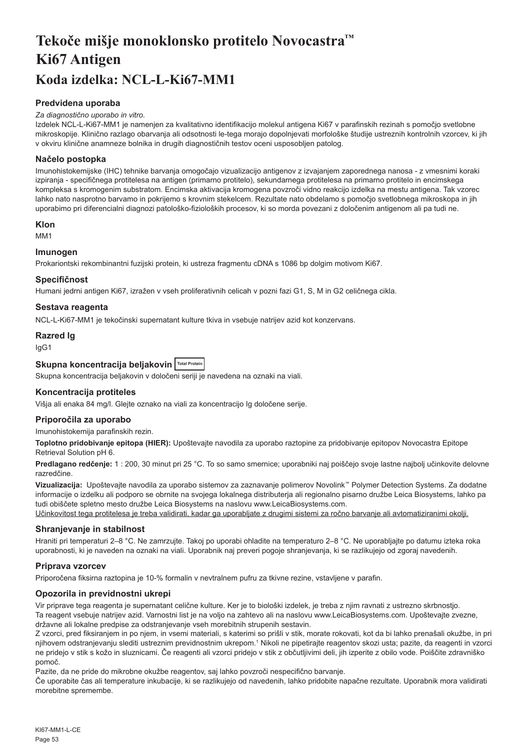# <span id="page-53-0"></span>**Tekoče mišje monoklonsko protitelo Novocastra™ Ki67 Antigen Koda izdelka: NCL-L-Ki67-MM1**

# **Predvidena uporaba**

#### *Za diagnostično uporabo in vitro.*

Izdelek NCL-L-Ki67-MM1 je namenjen za kvalitativno identifikacijo molekul antigena Ki67 v parafinskih rezinah s pomočjo svetlobne mikroskopije. Klinično razlago obarvanja ali odsotnosti le-tega morajo dopolnjevati morfološke študije ustreznih kontrolnih vzorcev, ki jih v okviru klinične anamneze bolnika in drugih diagnostičnih testov oceni usposobljen patolog.

# **Načelo postopka**

Imunohistokemijske (IHC) tehnike barvanja omogočajo vizualizacijo antigenov z izvajanjem zaporednega nanosa - z vmesnimi koraki izpiranja - specifičnega protitelesa na antigen (primarno protitelo), sekundarnega protitelesa na primarno protitelo in encimskega kompleksa s kromogenim substratom. Encimska aktivacija kromogena povzroči vidno reakcijo izdelka na mestu antigena. Tak vzorec lahko nato nasprotno barvamo in pokrijemo s krovnim stekelcem. Rezultate nato obdelamo s pomočjo svetlobnega mikroskopa in jih uporabimo pri diferencialni diagnozi patološko-fizioloških procesov, ki so morda povezani z določenim antigenom ali pa tudi ne.

#### **Klon**

M<sub>M1</sub>

# **Imunogen**

Prokariontski rekombinantni fuzijski protein, ki ustreza fragmentu cDNA s 1086 bp dolgim motivom Ki67.

#### **Specifičnost**

Humani jedrni antigen Ki67, izražen v vseh proliferativnih celicah v pozni fazi G1, S, M in G2 celičnega cikla.

# **Sestava reagenta**

NCL-L-Ki67-MM1 je tekočinski supernatant kulture tkiva in vsebuje natrijev azid kot konzervans.

# **Razred Ig**

IgG1

# **Skupna koncentracija beljakovin Total Protein**

Skupna koncentracija beljakovin v določeni seriji je navedena na oznaki na viali.

# **Koncentracija protiteles**

Višja ali enaka 84 mg/l. Glejte oznako na viali za koncentracijo Ig določene serije.

# **Priporočila za uporabo**

Imunohistokemija parafinskih rezin.

**Toplotno pridobivanje epitopa (HIER):** Upoštevajte navodila za uporabo raztopine za pridobivanje epitopov Novocastra Epitope Retrieval Solution pH 6.

**Predlagano redčenje:** 1 : 200, 30 minut pri 25 °C. To so samo smernice; uporabniki naj poiščejo svoje lastne najbolj učinkovite delovne razredčine.

**Vizualizacija:** Upoštevajte navodila za uporabo sistemov za zaznavanje polimerov Novolink™ Polymer Detection Systems. Za dodatne informacije o izdelku ali podporo se obrnite na svojega lokalnega distributerja ali regionalno pisarno družbe Leica Biosystems, lahko pa tudi obiščete spletno mesto družbe Leica Biosystems na naslovu www.LeicaBiosystems.com.

Učinkovitost tega protitelesa je treba validirati, kadar ga uporabljate z drugimi sistemi za ročno barvanje ali avtomatiziranimi okolji.

#### **Shranjevanje in stabilnost**

Hraniti pri temperaturi 2–8 °C. Ne zamrzujte. Takoj po uporabi ohladite na temperaturo 2–8 °C. Ne uporabljajte po datumu izteka roka uporabnosti, ki je naveden na oznaki na viali. Uporabnik naj preveri pogoje shranjevanja, ki se razlikujejo od zgoraj navedenih.

# **Priprava vzorcev**

Priporočena fiksirna raztopina je 10-% formalin v nevtralnem pufru za tkivne rezine, vstavljene v parafin.

# **Opozorila in previdnostni ukrepi**

Vir priprave tega reagenta je supernatant celične kulture. Ker je to biološki izdelek, je treba z njim ravnati z ustrezno skrbnostjo. Ta reagent vsebuje natrijev azid. Varnostni list je na voljo na zahtevo ali na naslovu www.LeicaBiosystems.com. Upoštevajte zvezne, državne ali lokalne predpise za odstranjevanje vseh morebitnih strupenih sestavin.

Z vzorci, pred fiksiranjem in po njem, in vsemi materiali, s katerimi so prišli v stik, morate rokovati, kot da bi lahko prenašali okužbe, in pri njihovem odstranjevanju slediti ustreznim previdnostnim ukrepom.<sup>1</sup> Nikoli ne pipetirajte reagentov skozi usta; pazite, da reagenti in vzorci ne pridejo v stik s kožo in sluznicami. Če reagenti ali vzorci pridejo v stik z občutljivimi deli, jih izperite z obilo vode. Poiščite zdravniško pomoč.

Pazite, da ne pride do mikrobne okužbe reagentov, saj lahko povzroči nespecifično barvanje.

Če uporabite čas ali temperature inkubacije, ki se razlikujejo od navedenih, lahko pridobite napačne rezultate. Uporabnik mora validirati morebitne spremembe.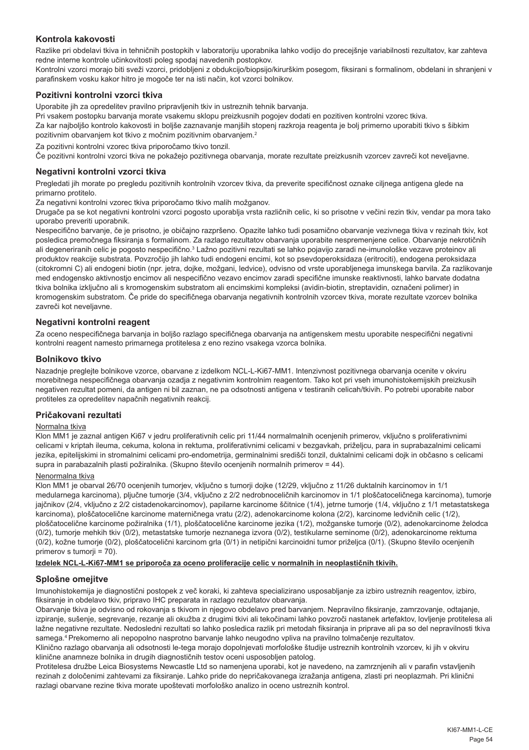# **Kontrola kakovosti**

Razlike pri obdelavi tkiva in tehničnih postopkih v laboratoriju uporabnika lahko vodijo do precejšnje variabilnosti rezultatov, kar zahteva redne interne kontrole učinkovitosti poleg spodaj navedenih postopkov.

Kontrolni vzorci morajo biti sveži vzorci, pridobljeni z obdukcijo/biopsijo/kirurškim posegom, fiksirani s formalinom, obdelani in shranjeni v parafinskem vosku kakor hitro je mogoče ter na isti način, kot vzorci bolnikov.

# **Pozitivni kontrolni vzorci tkiva**

Uporabite jih za opredelitev pravilno pripravljenih tkiv in ustreznih tehnik barvanja.

Pri vsakem postopku barvanja morate vsakemu sklopu preizkusnih pogojev dodati en pozitiven kontrolni vzorec tkiva. Za kar najboljšo kontrolo kakovosti in boljše zaznavanje manjših stopenj razkroja reagenta je bolj primerno uporabiti tkivo s šibkim pozitivnim obarvanjem kot tkivo z močnim pozitivnim obarvanjem.<sup>2</sup>

Za pozitivni kontrolni vzorec tkiva priporočamo tkivo tonzil.

Če pozitivni kontrolni vzorci tkiva ne pokažejo pozitivnega obarvanja, morate rezultate preizkusnih vzorcev zavreči kot neveljavne.

#### **Negativni kontrolni vzorci tkiva**

Pregledati jih morate po pregledu pozitivnih kontrolnih vzorcev tkiva, da preverite specifičnost oznake ciljnega antigena glede na primarno protitelo.

Za negativni kontrolni vzorec tkiva priporočamo tkivo malih možganov.

Drugače pa se kot negativni kontrolni vzorci pogosto uporablja vrsta različnih celic, ki so prisotne v večini rezin tkiv, vendar pa mora tako uporabo preveriti uporabnik.

Nespecifično barvanje, če je prisotno, je običajno razpršeno. Opazite lahko tudi posamično obarvanje vezivnega tkiva v rezinah tkiv, kot posledica premočnega fiksiranja s formalinom. Za razlago rezultatov obarvanja uporabite nespremenjene celice. Obarvanje nekrotičnih ali degeneriranih celic je pogosto nespecifično.<sup>3</sup> Lažno pozitivni rezultati se lahko pojavijo zaradi ne-imunološke vezave proteinov ali produktov reakcije substrata. Povzročijo jih lahko tudi endogeni encimi, kot so psevdoperoksidaza (eritrociti), endogena peroksidaza (citokromni C) ali endogeni biotin (npr. jetra, dojke, možgani, ledvice), odvisno od vrste uporabljenega imunskega barvila. Za razlikovanje med endogensko aktivnostjo encimov ali nespecifično vezavo encimov zaradi specifične imunske reaktivnosti, lahko barvate dodatna tkiva bolnika izključno ali s kromogenskim substratom ali encimskimi kompleksi (avidin-biotin, streptavidin, označeni polimer) in kromogenskim substratom. Če pride do specifičnega obarvanja negativnih kontrolnih vzorcev tkiva, morate rezultate vzorcev bolnika zavreči kot neveljavne.

#### **Negativni kontrolni reagent**

Za oceno nespecifičnega barvanja in boljšo razlago specifičnega obarvanja na antigenskem mestu uporabite nespecifični negativni kontrolni reagent namesto primarnega protitelesa z eno rezino vsakega vzorca bolnika.

#### **Bolnikovo tkivo**

Nazadnje preglejte bolnikove vzorce, obarvane z izdelkom NCL-L-Ki67-MM1. Intenzivnost pozitivnega obarvanja ocenite v okviru morebitnega nespecifičnega obarvanja ozadja z negativnim kontrolnim reagentom. Tako kot pri vseh imunohistokemijskih preizkusih negativen rezultat pomeni, da antigen ni bil zaznan, ne pa odsotnosti antigena v testiranih celicah/tkivih. Po potrebi uporabite nabor protiteles za opredelitev napačnih negativnih reakcij.

#### **Pričakovani rezultati**

#### Normalna tkiva

Klon MM1 je zaznal antigen Ki67 v jedru proliferativnih celic pri 11/44 normalmalnih ocenjenih primerov, vključno s proliferativnimi celicami v kriptah ileuma, cekuma, kolona in rektuma, proliferativnimi celicami v bezgavkah, priželjcu, para in suprabazalnimi celicami jezika, epitelijskimi in stromalnimi celicami pro-endometrija, germinalnimi središči tonzil, duktalnimi celicami dojk in občasno s celicami supra in parabazalnih plasti požiralnika. (Skupno število ocenjenih normalnih primerov = 44).

#### Nenormalna tkiva

Klon MM1 je obarval 26/70 ocenjenih tumorjev, vključno s tumorji dojke (12/29, vključno z 11/26 duktalnih karcinomov in 1/1 medularnega karcinoma), pljučne tumorje (3/4, vključno z 2/2 nedrobnoceličnih karcinomov in 1/1 ploščatoceličnega karcinoma), tumorje jajčnikov (2/4, vključno z 2/2 cistadenokarcinomov), papilarne karcinome ščitnice (1/4), jetrne tumorje (1/4, vključno z 1/1 metastatskega karcinoma), ploščatocelične karcinome materničnega vratu (2/2), adenokarcinome kolona (2/2), karcinome ledvičnih celic (1/2), ploščatocelične karcinome požiralnika (1/1), ploščatocelične karcinome jezika (1/2), možganske tumorje (0/2), adenokarcinome želodca (0/2), tumorje mehkih tkiv (0/2), metastatske tumorje neznanega izvora (0/2), testikularne seminome (0/2), adenokarcinome rektuma (0/2), kožne tumorje (0/2), ploščatocelični karcinom grla (0/1) in netipični karcinoidni tumor priželjca (0/1). (Skupno število ocenjenih primerov s tumorji = 70).

#### **Izdelek NCL-L-Ki67-MM1 se priporoča za oceno proliferacije celic v normalnih in neoplastičnih tkivih.**

#### **Splošne omejitve**

Imunohistokemija je diagnostični postopek z več koraki, ki zahteva specializirano usposabljanje za izbiro ustreznih reagentov, izbiro, fiksiranje in obdelavo tkiv, pripravo IHC preparata in razlago rezultatov obarvanja.

Obarvanje tkiva je odvisno od rokovanja s tkivom in njegovo obdelavo pred barvanjem. Nepravilno fiksiranje, zamrzovanje, odtajanje, izpiranje, sušenje, segrevanje, rezanje ali okužba z drugimi tkivi ali tekočinami lahko povzroči nastanek artefaktov, lovljenje protitelesa ali lažne negativne rezultate. Nedosledni rezultati so lahko posledica razlik pri metodah fiksiranja in priprave ali pa so del nepravilnosti tkiva samega.4 Prekomerno ali nepopolno nasprotno barvanje lahko neugodno vpliva na pravilno tolmačenje rezultatov.

Klinično razlago obarvanja ali odsotnosti le-tega morajo dopolnjevati morfološke študije ustreznih kontrolnih vzorcev, ki jih v okviru klinične anamneze bolnika in drugih diagnostičnih testov oceni usposobljen patolog.

Protitelesa družbe Leica Biosystems Newcastle Ltd so namenjena uporabi, kot je navedeno, na zamrznjenih ali v parafin vstavljenih rezinah z določenimi zahtevami za fiksiranje. Lahko pride do nepričakovanega izražanja antigena, zlasti pri neoplazmah. Pri klinični razlagi obarvane rezine tkiva morate upoštevati morfološko analizo in oceno ustreznih kontrol.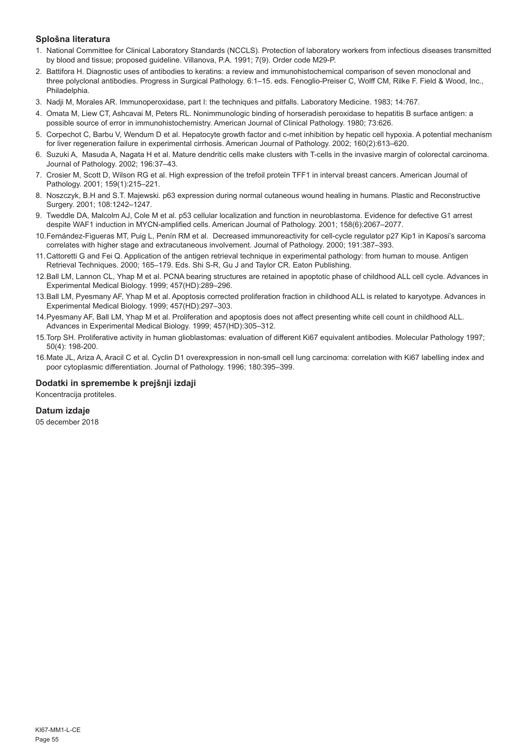# **Splošna literatura**

- 1. National Committee for Clinical Laboratory Standards (NCCLS). Protection of laboratory workers from infectious diseases transmitted by blood and tissue; proposed guideline. Villanova, P.A. 1991; 7(9). Order code M29-P.
- 2. Battifora H. Diagnostic uses of antibodies to keratins: a review and immunohistochemical comparison of seven monoclonal and three polyclonal antibodies. Progress in Surgical Pathology. 6:1–15. eds. Fenoglio-Preiser C, Wolff CM, Rilke F. Field & Wood, Inc., Philadelphia.
- 3. Nadji M, Morales AR. Immunoperoxidase, part I: the techniques and pitfalls. Laboratory Medicine. 1983; 14:767.
- 4. Omata M, Liew CT, Ashcavai M, Peters RL. Nonimmunologic binding of horseradish peroxidase to hepatitis B surface antigen: a possible source of error in immunohistochemistry. American Journal of Clinical Pathology. 1980; 73:626.
- 5. Corpechot C, Barbu V, Wendum D et al. Hepatocyte growth factor and c-met inhibition by hepatic cell hypoxia. A potential mechanism for liver regeneration failure in experimental cirrhosis. American Journal of Pathology. 2002; 160(2):613–620.
- 6. Suzuki A, Masuda A, Nagata H et al. Mature dendritic cells make clusters with T-cells in the invasive margin of colorectal carcinoma. Journal of Pathology. 2002; 196:37–43.
- 7. Crosier M, Scott D, Wilson RG et al. High expression of the trefoil protein TFF1 in interval breast cancers. American Journal of Pathology. 2001; 159(1):215–221.
- 8. Noszczyk, B.H and S.T. Majewski. p63 expression during normal cutaneous wound healing in humans. Plastic and Reconstructive Surgery. 2001; 108:1242–1247.
- 9. Tweddle DA, Malcolm AJ, Cole M et al. p53 cellular localization and function in neuroblastoma. Evidence for defective G1 arrest despite WAF1 induction in MYCN-amplified cells. American Journal of Pathology. 2001; 158(6):2067–2077.
- 10.Fernández-Figueras MT, Puig L, Penín RM et al. Decreased immunoreactivity for cell-cycle regulator p27 Kip1 in Kaposi's sarcoma correlates with higher stage and extracutaneous involvement. Journal of Pathology. 2000; 191:387–393.
- 11.Cattoretti G and Fei Q. Application of the antigen retrieval technique in experimental pathology: from human to mouse. Antigen Retrieval Techniques. 2000; 165–179. Eds. Shi S-R, Gu J and Taylor CR. Eaton Publishing.
- 12.Ball LM, Lannon CL, Yhap M et al. PCNA bearing structures are retained in apoptotic phase of childhood ALL cell cycle. Advances in Experimental Medical Biology. 1999; 457(HD):289–296.
- 13.Ball LM, Pyesmany AF, Yhap M et al. Apoptosis corrected proliferation fraction in childhood ALL is related to karyotype. Advances in Experimental Medical Biology. 1999; 457(HD):297–303.
- 14.Pyesmany AF, Ball LM, Yhap M et al. Proliferation and apoptosis does not affect presenting white cell count in childhood ALL. Advances in Experimental Medical Biology. 1999; 457(HD):305–312.
- 15.Torp SH. Proliferative activity in human glioblastomas: evaluation of different Ki67 equivalent antibodies. Molecular Pathology 1997; 50(4): 198-200.
- 16.Mate JL, Ariza A, Aracil C et al. Cyclin D1 overexpression in non-small cell lung carcinoma: correlation with Ki67 labelling index and poor cytoplasmic differentiation. Journal of Pathology. 1996; 180:395–399.

# **Dodatki in spremembe k prejšnji izdaji**

Koncentracija protiteles.

# **Datum izdaje**

05 december 2018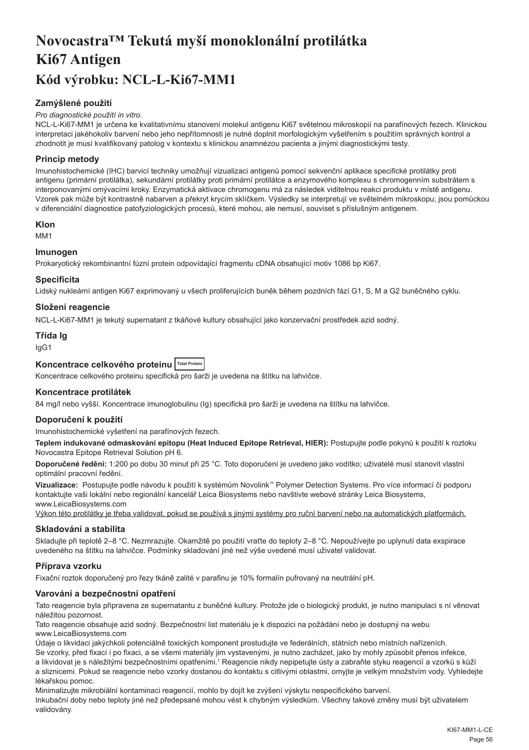# <span id="page-56-0"></span>**Novocastra™ Tekutá myší monoklonální protilátka Ki67 Antigen Kód výrobku: NCL-L-Ki67-MM1**

# **Zamýšlené použití**

#### *Pro diagnostické použití in vitro.*

NCL-L-Ki67-MM1 je určena ke kvalitativnímu stanovení molekul antigenu Ki67 světelnou mikroskopií na parafínových řezech. Klinickou interpretaci jakéhokoliv barvení nebo jeho nepřítomnosti je nutné doplnit morfologickým vyšetřením s použitím správných kontrol a zhodnotit je musí kvalifikovaný patolog v kontextu s klinickou anamnézou pacienta a jinými diagnostickými testy.

# **Princip metody**

Imunohistochemické (IHC) barvicí techniky umožňují vizualizaci antigenů pomocí sekvenční aplikace specifické protilátky proti antigenu (primární protilátka), sekundární protilátky proti primární protilátce a enzymového komplexu s chromogenním substrátem s interponovanými omývacími kroky. Enzymatická aktivace chromogenu má za následek viditelnou reakci produktu v místě antigenu. Vzorek pak může být kontrastně nabarven a překryt krycím sklíčkem. Výsledky se interpretují ve světelném mikroskopu; jsou pomůckou v diferenciální diagnostice patofyziologických procesů, které mohou, ale nemusí, souviset s příslušným antigenem.

#### **Klon**

M<sub>M1</sub>

# **Imunogen**

Prokaryotický rekombinantní fúzní protein odpovídající fragmentu cDNA obsahující motiv 1086 bp Ki67.

#### **Specificita**

Lidský nukleární antigen Ki67 exprimovaný u všech proliferujících buněk během pozdních fází G1, S, M a G2 buněčného cyklu.

# **Složení reagencie**

NCL-L-Ki67-MM1 je tekutý supernatant z tkáňové kultury obsahující jako konzervační prostředek azid sodný.

#### **Třída Ig**

IgG1

# **Koncentrace celkového proteinu Total Protein**

Koncentrace celkového proteinu specifická pro šarži je uvedena na štítku na lahvičce.

#### **Koncentrace protilátek**

84 mg/l nebo vyšší. Koncentrace imunoglobulinu (Ig) specifická pro šarži je uvedena na štítku na lahvičce.

#### **Doporučení k použití**

Imunohistochemické vyšetření na parafínových řezech.

**Teplem indukované odmaskování epitopu (Heat Induced Epitope Retrieval, HIER):** Postupujte podle pokynů k použití k roztoku Novocastra Epitope Retrieval Solution pH 6.

**Doporučené ředění:** 1:200 po dobu 30 minut při 25 °C. Toto doporučení je uvedeno jako vodítko; uživatelé musí stanovit vlastní optimální pracovní ředění.

**Vizualizace:** Postupujte podle návodu k použití k systémům Novolink™ Polymer Detection Systems. Pro více informací či podporu kontaktujte vaši lokální nebo regionální kancelář Leica Biosystems nebo navštivte webové stránky Leica Biosystems, www.LeicaBiosystems.com

Výkon této protilátky je třeba validovat, pokud se používá s jinými systémy pro ruční barvení nebo na automatických platformách.

#### **Skladování a stabilita**

Skladujte při teplotě 2–8 °C. Nezmrazujte. Okamžitě po použití vraťte do teploty 2–8 °C. Nepoužívejte po uplynutí data exspirace uvedeného na štítku na lahvičce. Podmínky skladování jiné než výše uvedené musí uživatel validovat.

# **Příprava vzorku**

Fixační roztok doporučený pro řezy tkáně zalité v parafinu je 10% formalín pufrovaný na neutrální pH.

# **Varování a bezpečnostní opatření**

Tato reagencie byla připravena ze supernatantu z buněčné kultury. Protože jde o biologický produkt, je nutno manipulaci s ní věnovat náležitou pozornost.

Tato reagencie obsahuje azid sodný. Bezpečnostní list materiálu je k dispozici na požádání nebo je dostupný na webu www.LeicaBiosystems.com

Údaje o likvidaci jakýchkoli potenciálně toxických komponent prostudujte ve federálních, státních nebo místních nařízeních. Se vzorky, před fixací i po fixaci, a se všemi materiály jim vystavenými, je nutno zacházet, jako by mohly způsobit přenos infekce,

a likvidovat je s náležitými bezpečnostními opatřeními.<sup>1</sup> Reagencie nikdy nepipetujte ústy a zabraňte styku reagencií a vzorků s kůží a sliznicemi. Pokud se reagencie nebo vzorky dostanou do kontaktu s citlivými oblastmi, omyjte je velkým množstvím vody. Vyhledejte lékařskou pomoc.

Minimalizujte mikrobiální kontaminaci reagencií, mohlo by dojít ke zvýšení výskytu nespecifického barvení.

Inkubační doby nebo teploty jiné než předepsané mohou vést k chybným výsledkům. Všechny takové změny musí být uživatelem validovány.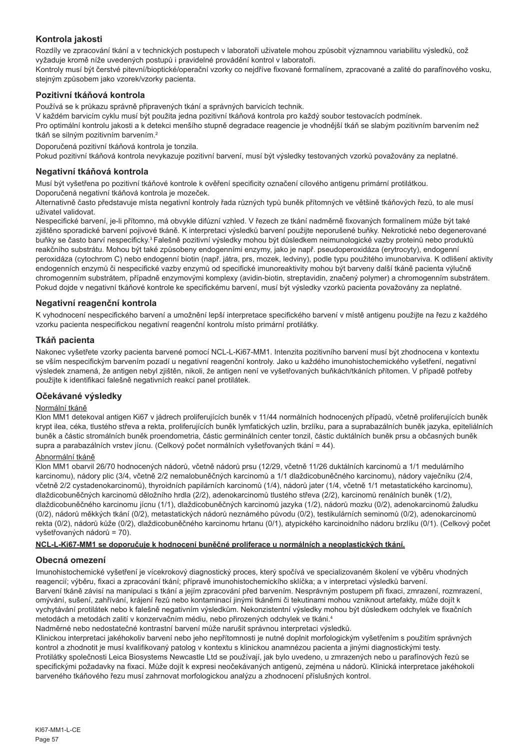# **Kontrola jakosti**

Rozdíly ve zpracování tkání a v technických postupech v laboratoři uživatele mohou způsobit významnou variabilitu výsledků, což vyžaduje kromě níže uvedených postupů i pravidelné provádění kontrol v laboratoři.

Kontroly musí být čerstvé pitevní/bioptické/operační vzorky co nejdříve fixované formalínem, zpracované a zalité do parafínového vosku, stejným způsobem jako vzorek/vzorky pacienta.

# **Pozitivní tkáňová kontrola**

Používá se k průkazu správně připravených tkání a správných barvicích technik.

V každém barvicím cyklu musí být použita jedna pozitivní tkáňová kontrola pro každý soubor testovacích podmínek.

Pro optimální kontrolu jakosti a k detekci menšího stupně degradace reagencie je vhodnější tkáň se slabým pozitivním barvením než tkáň se silným pozitivním barvením.<sup>2</sup>

Doporučená pozitivní tkáňová kontrola je tonzila.

Pokud pozitivní tkáňová kontrola nevykazuje pozitivní barvení, musí být výsledky testovaných vzorků považovány za neplatné.

#### **Negativní tkáňová kontrola**

Musí být vyšetřena po pozitivní tkáňové kontrole k ověření specificity označení cílového antigenu primární protilátkou. Doporučená negativní tkáňová kontrola je mozeček.

Alternativně často představuje místa negativní kontroly řada různých typů buněk přítomných ve většině tkáňových řezů, to ale musí uživatel validovat.

Nespecifické barvení, je-li přítomno, má obvykle difúzní vzhled. V řezech ze tkání nadměrně fixovaných formalínem může být také zjištěno sporadické barvení pojivové tkáně. K interpretaci výsledků barvení použijte neporušené buňky. Nekrotické nebo degenerované buňky se často barví nespecificky.3 Falešně pozitivní výsledky mohou být důsledkem neimunologické vazby proteinů nebo produktů reakčního substrátu. Mohou být také způsobeny endogenními enzymy, jako je např. pseudoperoxidáza (erytrocyty), endogenní peroxidáza (cytochrom C) nebo endogenní biotin (např. játra, prs, mozek, ledviny), podle typu použitého imunobarviva. K odlišení aktivity endogenních enzymů či nespecifické vazby enzymů od specifické imunoreaktivity mohou být barveny další tkáně pacienta výlučně chromogenním substrátem, případně enzymovými komplexy (avidin-biotin, streptavidin, značený polymer) a chromogenním substrátem. Pokud dojde v negativní tkáňové kontrole ke specifickému barvení, musí být výsledky vzorků pacienta považovány za neplatné.

# **Negativní reagenční kontrola**

K vyhodnocení nespecifického barvení a umožnění lepší interpretace specifického barvení v místě antigenu použijte na řezu z každého vzorku pacienta nespecifickou negativní reagenční kontrolu místo primární protilátky.

# **Tkáň pacienta**

Nakonec vyšetřete vzorky pacienta barvené pomocí NCL-L-Ki67-MM1. Intenzita pozitivního barvení musí být zhodnocena v kontextu se vším nespecifickým barvením pozadí u negativní reagenční kontroly. Jako u každého imunohistochemického vyšetření, negativní výsledek znamená, že antigen nebyl zjištěn, nikoli, že antigen není ve vyšetřovaných buňkách/tkáních přítomen. V případě potřeby použijte k identifikaci falešně negativních reakcí panel protilátek.

# **Očekávané výsledky**

# Normální tkáně

Klon MM1 detekoval antigen Ki67 v jádrech proliferujících buněk v 11/44 normálních hodnocených případů, včetně proliferujících buněk krypt ilea, céka, tlustého střeva a rekta, proliferujících buněk lymfatických uzlin, brzlíku, para a suprabazálních buněk jazyka, epiteliálních buněk a částic stromálních buněk proendometria, částic germinálních center tonzil, částic duktálních buněk prsu a občasných buněk supra a parabazálních vrstev jícnu. (Celkový počet normálních vyšetřovaných tkání = 44).

#### Abnormální tkáně

Klon MM1 obarvil 26/70 hodnocených nádorů, včetně nádorů prsu (12/29, včetně 11/26 duktálních karcinomů a 1/1 medulárního karcinomu), nádory plic (3/4, včetně 2/2 nemalobuněčných karcinomů a 1/1 dlaždicobuněčného karcinomu), nádory vaječníku (2/4, včetně 2/2 cystadenokarcinomů), thyroidních papilárních karcinomů (1/4), nádorů jater (1/4, včetně 1/1 metastatického karcinomu), dlaždicobuněčných karcinomů děložního hrdla (2/2), adenokarcinomů tlustého střeva (2/2), karcinomů renálních buněk (1/2), dlaždicobuněčného karcinomu jícnu (1/1), dlaždicobuněčných karcinomů jazyka (1/2), nádorů mozku (0/2), adenokarcinomů žaludku (0/2), nádorů měkkých tkání (0/2), metastatických nádorů neznámého původu (0/2), testikulárních seminomů (0/2), adenokarcinomů rekta (0/2), nádorů kůže (0/2), dlaždicobuněčného karcinomu hrtanu (0/1), atypického karcinoidního nádoru brzlíku (0/1). (Celkový počet vyšetřovaných nádorů = 70).

#### **NCL-L-Ki67-MM1 se doporučuje k hodnocení buněčné proliferace u normálních a neoplastických tkání.**

# **Obecná omezení**

Imunohistochemické vyšetření je vícekrokový diagnostický proces, který spočívá ve specializovaném školení ve výběru vhodných reagencií; výběru, fixaci a zpracování tkání; přípravě imunohistochemickího sklíčka; a v interpretaci výsledků barvení. Barvení tkáně závisí na manipulaci s tkání a jejím zpracování před barvením. Nesprávným postupem při fixaci, zmrazení, rozmrazení, omývání, sušení, zahřívání, krájení řezů nebo kontaminací jinými tkáněmi či tekutinami mohou vzniknout artefakty, může dojít k vychytávání protilátek nebo k falešně negativním výsledkům. Nekonzistentní výsledky mohou být důsledkem odchylek ve fixačních metodách a metodách zalití v konzervačním médiu, nebo přirozených odchylek ve tkáni.4

Nadměrné nebo nedostatečné kontrastní barvení může narušit správnou interpretaci výsledků.

Klinickou interpretaci jakéhokoliv barvení nebo jeho nepřítomnosti je nutné doplnit morfologickým vyšetřením s použitím správných kontrol a zhodnotit je musí kvalifikovaný patolog v kontextu s klinickou anamnézou pacienta a jinými diagnostickými testy. Protilátky společnosti Leica Biosystems Newcastle Ltd se používají, jak bylo uvedeno, u zmrazených nebo u parafínových řezů se specifickými požadavky na fixaci. Může dojít k expresi neočekávaných antigenů, zejména u nádorů. Klinická interpretace jakéhokoli barveného tkáňového řezu musí zahrnovat morfologickou analýzu a zhodnocení příslušných kontrol.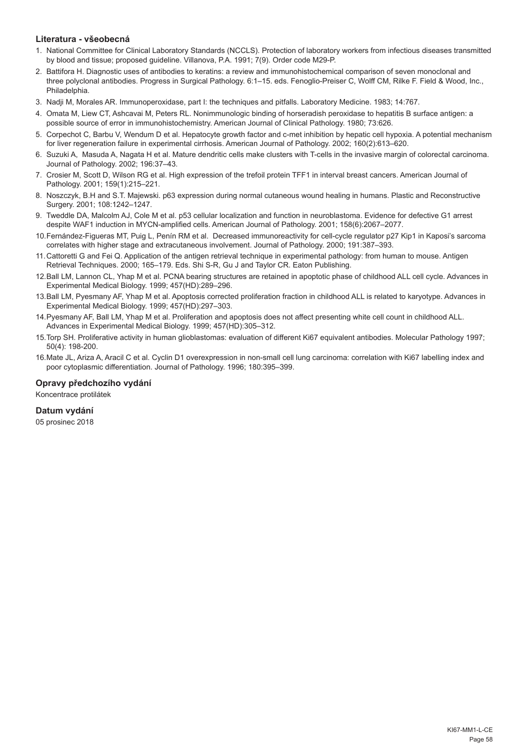# **Literatura - všeobecná**

- 1. National Committee for Clinical Laboratory Standards (NCCLS). Protection of laboratory workers from infectious diseases transmitted by blood and tissue; proposed guideline. Villanova, P.A. 1991; 7(9). Order code M29-P.
- 2. Battifora H. Diagnostic uses of antibodies to keratins: a review and immunohistochemical comparison of seven monoclonal and three polyclonal antibodies. Progress in Surgical Pathology. 6:1–15. eds. Fenoglio-Preiser C, Wolff CM, Rilke F. Field & Wood, Inc., Philadelphia.
- 3. Nadji M, Morales AR. Immunoperoxidase, part I: the techniques and pitfalls. Laboratory Medicine. 1983; 14:767.
- 4. Omata M, Liew CT, Ashcavai M, Peters RL. Nonimmunologic binding of horseradish peroxidase to hepatitis B surface antigen: a possible source of error in immunohistochemistry. American Journal of Clinical Pathology. 1980; 73:626.
- 5. Corpechot C, Barbu V, Wendum D et al. Hepatocyte growth factor and c-met inhibition by hepatic cell hypoxia. A potential mechanism for liver regeneration failure in experimental cirrhosis. American Journal of Pathology. 2002; 160(2):613–620.
- 6. Suzuki A, Masuda A, Nagata H et al. Mature dendritic cells make clusters with T-cells in the invasive margin of colorectal carcinoma. Journal of Pathology. 2002; 196:37–43.
- 7. Crosier M, Scott D, Wilson RG et al. High expression of the trefoil protein TFF1 in interval breast cancers. American Journal of Pathology. 2001; 159(1):215–221.
- 8. Noszczyk, B.H and S.T. Majewski. p63 expression during normal cutaneous wound healing in humans. Plastic and Reconstructive Surgery. 2001; 108:1242–1247.
- 9. Tweddle DA, Malcolm AJ, Cole M et al. p53 cellular localization and function in neuroblastoma. Evidence for defective G1 arrest despite WAF1 induction in MYCN-amplified cells. American Journal of Pathology. 2001; 158(6):2067–2077.
- 10.Fernández-Figueras MT, Puig L, Penín RM et al. Decreased immunoreactivity for cell-cycle regulator p27 Kip1 in Kaposi's sarcoma correlates with higher stage and extracutaneous involvement. Journal of Pathology. 2000; 191:387–393.
- 11.Cattoretti G and Fei Q. Application of the antigen retrieval technique in experimental pathology: from human to mouse. Antigen Retrieval Techniques. 2000; 165–179. Eds. Shi S-R, Gu J and Taylor CR. Eaton Publishing.
- 12.Ball LM, Lannon CL, Yhap M et al. PCNA bearing structures are retained in apoptotic phase of childhood ALL cell cycle. Advances in Experimental Medical Biology. 1999; 457(HD):289–296.
- 13.Ball LM, Pyesmany AF, Yhap M et al. Apoptosis corrected proliferation fraction in childhood ALL is related to karyotype. Advances in Experimental Medical Biology. 1999; 457(HD):297–303.
- 14.Pyesmany AF, Ball LM, Yhap M et al. Proliferation and apoptosis does not affect presenting white cell count in childhood ALL. Advances in Experimental Medical Biology. 1999; 457(HD):305–312.
- 15.Torp SH. Proliferative activity in human glioblastomas: evaluation of different Ki67 equivalent antibodies. Molecular Pathology 1997; 50(4): 198-200.
- 16.Mate JL, Ariza A, Aracil C et al. Cyclin D1 overexpression in non-small cell lung carcinoma: correlation with Ki67 labelling index and poor cytoplasmic differentiation. Journal of Pathology. 1996; 180:395–399.

# **Opravy předchozího vydání**

Koncentrace protilátek

# **Datum vydání**

05 prosinec 2018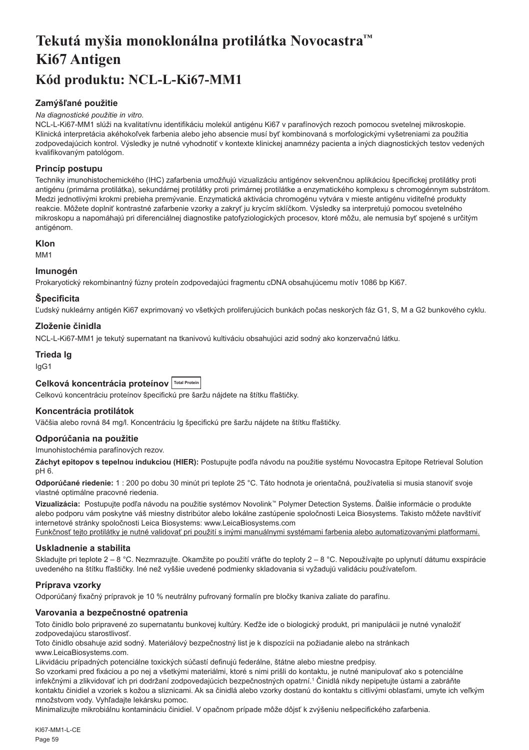# <span id="page-59-0"></span>**Tekutá myšia monoklonálna protilátka Novocastra™ Ki67 Antigen Kód produktu: NCL-L-Ki67-MM1**

# **Zamýšľané použitie**

#### *Na diagnostické použitie in vitro.*

NCL-L-Ki67-MM1 slúži na kvalitatívnu identifikáciu molekúl antigénu Ki67 v parafínových rezoch pomocou svetelnej mikroskopie. Klinická interpretácia akéhokoľvek farbenia alebo jeho absencie musí byť kombinovaná s morfologickými vyšetreniami za použitia zodpovedajúcich kontrol. Výsledky je nutné vyhodnotiť v kontexte klinickej anamnézy pacienta a iných diagnostických testov vedených kvalifikovaným patológom.

# **Princíp postupu**

Techniky imunohistochemického (IHC) zafarbenia umožňujú vizualizáciu antigénov sekvenčnou aplikáciou špecifickej protilátky proti antigénu (primárna protilátka), sekundárnej protilátky proti primárnej protilátke a enzymatického komplexu s chromogénnym substrátom. Medzi jednotlivými krokmi prebieha premývanie. Enzymatická aktivácia chromogénu vytvára v mieste antigénu viditeľné produkty reakcie. Môžete doplniť kontrastné zafarbenie vzorky a zakryť ju krycím sklíčkom. Výsledky sa interpretujú pomocou svetelného mikroskopu a napomáhajú pri diferenciálnej diagnostike patofyziologických procesov, ktoré môžu, ale nemusia byť spojené s určitým antigénom.

# **Klon**

M<sub>M</sub>1

# **Imunogén**

Prokaryotický rekombinantný fúzny proteín zodpovedajúci fragmentu cDNA obsahujúcemu motív 1086 bp Ki67.

# **Špecificita**

Ľudský nukleárny antigén Ki67 exprimovaný vo všetkých proliferujúcich bunkách počas neskorých fáz G1, S, M a G2 bunkového cyklu.

# **Zloženie činidla**

NCL-L-Ki67-MM1 je tekutý supernatant na tkanivovú kultiváciu obsahujúci azid sodný ako konzervačnú látku.

# **Trieda Ig**

IgG1

# **Celková koncentrácia proteínov Total Protein**

Celkovú koncentráciu proteínov špecifickú pre šaržu nájdete na štítku fľaštičky.

# **Koncentrácia protilátok**

Väčšia alebo rovná 84 mg/l. Koncentráciu Ig špecifickú pre šaržu nájdete na štítku fľaštičky.

# **Odporúčania na použitie**

Imunohistochémia parafínových rezov.

**Záchyt epitopov s tepelnou indukciou (HIER):** Postupujte podľa návodu na použitie systému Novocastra Epitope Retrieval Solution pH 6.

**Odporúčané riedenie:** 1 : 200 po dobu 30 minút pri teplote 25 °C. Táto hodnota je orientačná, používatelia si musia stanoviť svoje vlastné optimálne pracovné riedenia.

**Vizualizácia:** Postupujte podľa návodu na použitie systémov Novolink™ Polymer Detection Systems. Ďalšie informácie o produkte alebo podporu vám poskytne váš miestny distribútor alebo lokálne zastúpenie spoločnosti Leica Biosystems. Takisto môžete navštíviť internetové stránky spoločnosti Leica Biosystems: www.LeicaBiosystems.com

Funkčnosť tejto protilátky je nutné validovať pri použití s inými manuálnymi systémami farbenia alebo automatizovanými platformami.

# **Uskladnenie a stabilita**

Skladujte pri teplote 2 – 8 °C. Nezmrazujte. Okamžite po použití vráťte do teploty 2 – 8 °C. Nepoužívajte po uplynutí dátumu exspirácie uvedeného na štítku fľaštičky. Iné než vyššie uvedené podmienky skladovania si vyžadujú validáciu používateľom.

# **Príprava vzorky**

Odporúčaný fixačný prípravok je 10 % neutrálny pufrovaný formalín pre bločky tkaniva zaliate do parafínu.

# **Varovania a bezpečnostné opatrenia**

Toto činidlo bolo pripravené zo supernatantu bunkovej kultúry. Keďže ide o biologický produkt, pri manipulácii je nutné vynaložiť zodpovedajúcu starostlivosť.

Toto činidlo obsahuje azid sodný. Materiálový bezpečnostný list je k dispozícii na požiadanie alebo na stránkach www.LeicaBiosystems.com.

Likvidáciu prípadných potenciálne toxických súčastí definujú federálne, štátne alebo miestne predpisy.

So vzorkami pred fixáciou a po nej a všetkými materiálmi, ktoré s nimi prišli do kontaktu, je nutné manipulovať ako s potenciálne infekčnými a zlikvidovať ich pri dodržaní zodpovedajúcich bezpečnostných opatrní.<sup>1</sup> Činidlá nikdy nepipetujte ústami a zabráňte kontaktu činidiel a vzoriek s kožou a sliznicami. Ak sa činidlá alebo vzorky dostanú do kontaktu s citlivými oblasťami, umyte ich veľkým množstvom vody. Vyhľadajte lekársku pomoc.

Minimalizujte mikrobiálnu kontamináciu činidiel. V opačnom prípade môže dôjsť k zvýšeniu nešpecifického zafarbenia.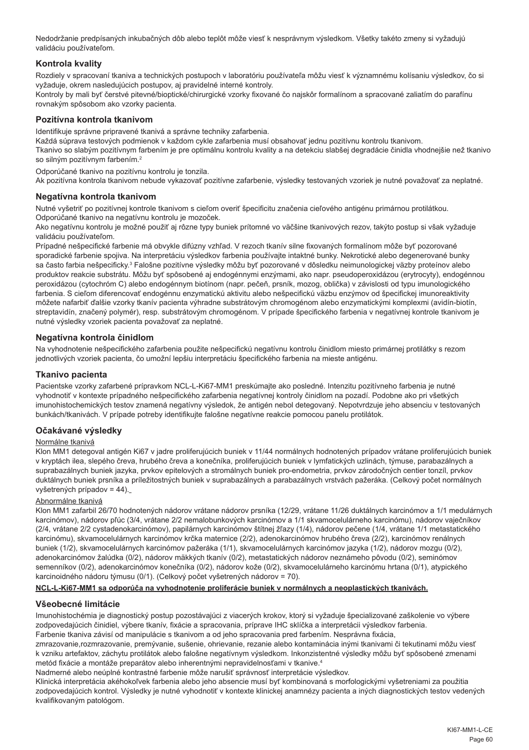Nedodržanie predpísaných inkubačných dôb alebo teplôt môže viesť k nesprávnym výsledkom. Všetky takéto zmeny si vyžadujú validáciu používateľom.

# **Kontrola kvality**

Rozdiely v spracovaní tkaniva a technických postupoch v laboratóriu používateľa môžu viesť k významnému kolísaniu výsledkov, čo si vyžaduje, okrem nasledujúcich postupov, aj pravidelné interné kontroly.

Kontroly by mali byť čerstvé pitevné/bioptické/chirurgické vzorky fixované čo najskôr formalínom a spracované zaliatím do parafínu rovnakým spôsobom ako vzorky pacienta.

#### **Pozitívna kontrola tkanivom**

Identifikuje správne pripravené tkanivá a správne techniky zafarbenia.

Každá súprava testových podmienok v každom cykle zafarbenia musí obsahovať jednu pozitívnu kontrolu tkanivom. Tkanivo so slabým pozitívnym farbením je pre optimálnu kontrolu kvality a na detekciu slabšej degradácie činidla vhodnejšie než tkanivo so silným pozitívnym farbením.<sup>2</sup>

Odporúčané tkanivo na pozitívnu kontrolu je tonzila.

Ak pozitívna kontrola tkanivom nebude vykazovať pozitívne zafarbenie, výsledky testovaných vzoriek je nutné považovať za neplatné.

#### **Negatívna kontrola tkanivom**

Nutné vyšetriť po pozitívnej kontrole tkanivom s cieľom overiť špecificitu značenia cieľového antigénu primárnou protilátkou. Odporúčané tkanivo na negatívnu kontrolu je mozoček.

Ako negatívnu kontrolu je možné použiť aj rôzne typy buniek prítomné vo väčšine tkanivových rezov, takýto postup si však vyžaduje validáciu používateľom.

Prípadné nešpecifické farbenie má obvykle difúzny vzhľad. V rezoch tkanív silne fixovaných formalínom môže byť pozorované sporadické farbenie spojiva. Na interpretáciu výsledkov farbenia používajte intaktné bunky. Nekrotické alebo degenerované bunky sa často farbia nešpecificky.<sup>3</sup> Falošne pozitívne výsledky môžu byť pozorované v dôsledku neimunologickej väzby proteínov alebo produktov reakcie substrátu. Môžu byť spôsobené aj endogénnymi enzýmami, ako napr. pseudoperoxidázou (erytrocyty), endogénnou peroxidázou (cytochróm C) alebo endogénnym biotínom (napr. pečeň, prsník, mozog, oblička) v závislosti od typu imunologického farbenia. S cieľom diferencovať endogénnu enzymatickú aktivitu alebo nešpecifickú väzbu enzýmov od špecifickej imunoreaktivity môžete nafarbiť ďalšie vzorky tkanív pacienta výhradne substrátovým chromogénom alebo enzymatickými komplexmi (avidín-biotín, streptavidín, značený polymér), resp. substrátovým chromogénom. V prípade špecifického farbenia v negatívnej kontrole tkanivom je nutné výsledky vzoriek pacienta považovať za neplatné.

#### **Negatívna kontrola činidlom**

Na vyhodnotenie nešpecifického zafarbenia použite nešpecifickú negatívnu kontrolu činidlom miesto primárnej protilátky s rezom jednotlivých vzoriek pacienta, čo umožní lepšiu interpretáciu špecifického farbenia na mieste antigénu.

#### **Tkanivo pacienta**

Pacientske vzorky zafarbené prípravkom NCL-L-Ki67-MM1 preskúmajte ako posledné. Intenzitu pozitívneho farbenia je nutné vyhodnotiť v kontexte prípadného nešpecifického zafarbenia negatívnej kontroly činidlom na pozadí. Podobne ako pri všetkých imunohistochemických testov znamená negatívny výsledok, že antigén nebol detegovaný. Nepotvrdzuje jeho absenciu v testovaných bunkách/tkanivách. V prípade potreby identifikujte falošne negatívne reakcie pomocou panelu protilátok.

# **Očakávané výsledky**

#### Normálne tkanivá

Klon MM1 detegoval antigén Ki67 v jadre proliferujúcich buniek v 11/44 normálnych hodnotených prípadov vrátane proliferujúcich buniek v kryptách ilea, slepého čreva, hrubého čreva a konečníka, proliferujúcich buniek v lymfatických uzlinách, týmuse, parabazálnych a suprabazálnych buniek jazyka, prvkov epitelových a stromálnych buniek pro-endometria, prvkov zárodočných centier tonzíl, prvkov duktálnych buniek prsníka a príležitostných buniek v suprabazálnych a parabazálnych vrstvách pažeráka. (Celkový počet normálnych vyšetrených prípadov = 44).

#### Abnormálne tkanivá

Klon MM1 zafarbil 26/70 hodnotených nádorov vrátane nádorov prsníka (12/29, vrátane 11/26 duktálnych karcinómov a 1/1 medulárnych karcinómov), nádorov pľúc (3/4, vrátane 2/2 nemalobunkových karcinómov a 1/1 skvamocelulárneho karcinómu), nádorov vaječníkov (2/4, vrátane 2/2 cystadenokarcinómov), papilárnych karcinómov štítnej žľazy (1/4), nádorov pečene (1/4, vrátane 1/1 metastatického karcinómu), skvamocelulárnych karcinómov krčka maternice (2/2), adenokarcinómov hrubého čreva (2/2), karcinómov renálnych buniek (1/2), skvamocelulárnych karcinómov pažeráka (1/1), skvamocelulárnych karcinómov jazyka (1/2), nádorov mozgu (0/2), adenokarcinómov žalúdka (0/2), nádorov mäkkých tkanív (0/2), metastatických nádorov neznámeho pôvodu (0/2), seminómov semenníkov (0/2), adenokarcinómov konečníka (0/2), nádorov kože (0/2), skvamocelulárneho karcinómu hrtana (0/1), atypického karcinoidného nádoru týmusu (0/1). (Celkový počet vyšetrených nádorov = 70).

#### **NCL-L-Ki67-MM1 sa odporúča na vyhodnotenie proliferácie buniek v normálnych a neoplastických tkanivách.**

#### **Všeobecné limitácie**

Imunohistochémia je diagnostický postup pozostávajúci z viacerých krokov, ktorý si vyžaduje špecializované zaškolenie vo výbere zodpovedajúcich činidiel, výbere tkanív, fixácie a spracovania, príprave IHC sklíčka a interpretácii výsledkov farbenia. Farbenie tkaniva závisí od manipulácie s tkanivom a od jeho spracovania pred farbením. Nesprávna fixácia,

zmrazovanie,rozmrazovanie, premývanie, sušenie, ohrievanie, rezanie alebo kontaminácia inými tkanivami či tekutinami môžu viesť k vzniku artefaktov, záchytu protilátok alebo falošne negatívnym výsledkom. Inkonzistentné výsledky môžu byť spôsobené zmenami metód fixácie a montáže preparátov alebo inherentnými nepravidelnosťami v tkanive.4

Nadmerné alebo neúplné kontrastné farbenie môže narušiť správnosť interpretácie výsledkov.

Klinická interpretácia akéhokoľvek farbenia alebo jeho absencie musí byť kombinovaná s morfologickými vyšetreniami za použitia zodpovedajúcich kontrol. Výsledky je nutné vyhodnotiť v kontexte klinickej anamnézy pacienta a iných diagnostických testov vedených kvalifikovaným patológom.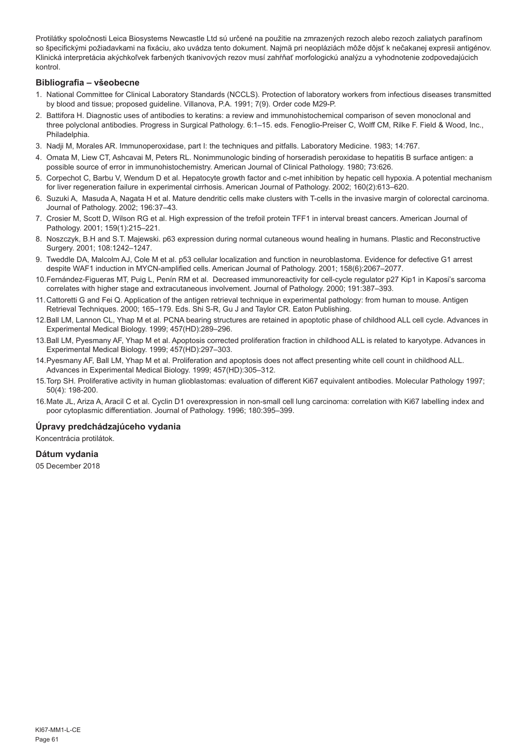Protilátky spoločnosti Leica Biosystems Newcastle Ltd sú určené na použitie na zmrazených rezoch alebo rezoch zaliatych parafínom so špecifickými požiadavkami na fixáciu, ako uvádza tento dokument. Najmä pri neopláziách môže dôjsť k nečakanej expresii antigénov. Klinická interpretácia akýchkoľvek farbených tkanivových rezov musí zahŕňať morfologickú analýzu a vyhodnotenie zodpovedajúcich kontrol.

# **Bibliografia – všeobecne**

- 1. National Committee for Clinical Laboratory Standards (NCCLS). Protection of laboratory workers from infectious diseases transmitted by blood and tissue; proposed guideline. Villanova, P.A. 1991; 7(9). Order code M29-P.
- 2. Battifora H. Diagnostic uses of antibodies to keratins: a review and immunohistochemical comparison of seven monoclonal and three polyclonal antibodies. Progress in Surgical Pathology. 6:1–15. eds. Fenoglio-Preiser C, Wolff CM, Rilke F. Field & Wood, Inc., Philadelphia.
- 3. Nadji M, Morales AR. Immunoperoxidase, part I: the techniques and pitfalls. Laboratory Medicine. 1983; 14:767.
- 4. Omata M, Liew CT, Ashcavai M, Peters RL. Nonimmunologic binding of horseradish peroxidase to hepatitis B surface antigen: a possible source of error in immunohistochemistry. American Journal of Clinical Pathology. 1980; 73:626.
- 5. Corpechot C, Barbu V, Wendum D et al. Hepatocyte growth factor and c-met inhibition by hepatic cell hypoxia. A potential mechanism for liver regeneration failure in experimental cirrhosis. American Journal of Pathology. 2002; 160(2):613–620.
- 6. Suzuki A, Masuda A, Nagata H et al. Mature dendritic cells make clusters with T-cells in the invasive margin of colorectal carcinoma. Journal of Pathology. 2002; 196:37–43.
- 7. Crosier M, Scott D, Wilson RG et al. High expression of the trefoil protein TFF1 in interval breast cancers. American Journal of Pathology. 2001; 159(1):215–221.
- 8. Noszczyk, B.H and S.T. Majewski. p63 expression during normal cutaneous wound healing in humans. Plastic and Reconstructive Surgery. 2001; 108:1242–1247.
- 9. Tweddle DA, Malcolm AJ, Cole M et al. p53 cellular localization and function in neuroblastoma. Evidence for defective G1 arrest despite WAF1 induction in MYCN-amplified cells. American Journal of Pathology. 2001; 158(6):2067–2077.
- 10.Fernández-Figueras MT, Puig L, Penín RM et al. Decreased immunoreactivity for cell-cycle regulator p27 Kip1 in Kaposi's sarcoma correlates with higher stage and extracutaneous involvement. Journal of Pathology. 2000; 191:387–393.
- 11.Cattoretti G and Fei Q. Application of the antigen retrieval technique in experimental pathology: from human to mouse. Antigen Retrieval Techniques. 2000; 165–179. Eds. Shi S-R, Gu J and Taylor CR. Eaton Publishing.
- 12.Ball LM, Lannon CL, Yhap M et al. PCNA bearing structures are retained in apoptotic phase of childhood ALL cell cycle. Advances in Experimental Medical Biology. 1999; 457(HD):289–296.
- 13.Ball LM, Pyesmany AF, Yhap M et al. Apoptosis corrected proliferation fraction in childhood ALL is related to karyotype. Advances in Experimental Medical Biology. 1999; 457(HD):297–303.
- 14.Pyesmany AF, Ball LM, Yhap M et al. Proliferation and apoptosis does not affect presenting white cell count in childhood ALL. Advances in Experimental Medical Biology. 1999; 457(HD):305–312.
- 15.Torp SH. Proliferative activity in human glioblastomas: evaluation of different Ki67 equivalent antibodies. Molecular Pathology 1997; 50(4): 198-200.
- 16.Mate JL, Ariza A, Aracil C et al. Cyclin D1 overexpression in non-small cell lung carcinoma: correlation with Ki67 labelling index and poor cytoplasmic differentiation. Journal of Pathology. 1996; 180:395–399.

# **Úpravy predchádzajúceho vydania**

Koncentrácia protilátok.

#### **Dátum vydania**

05 December 2018